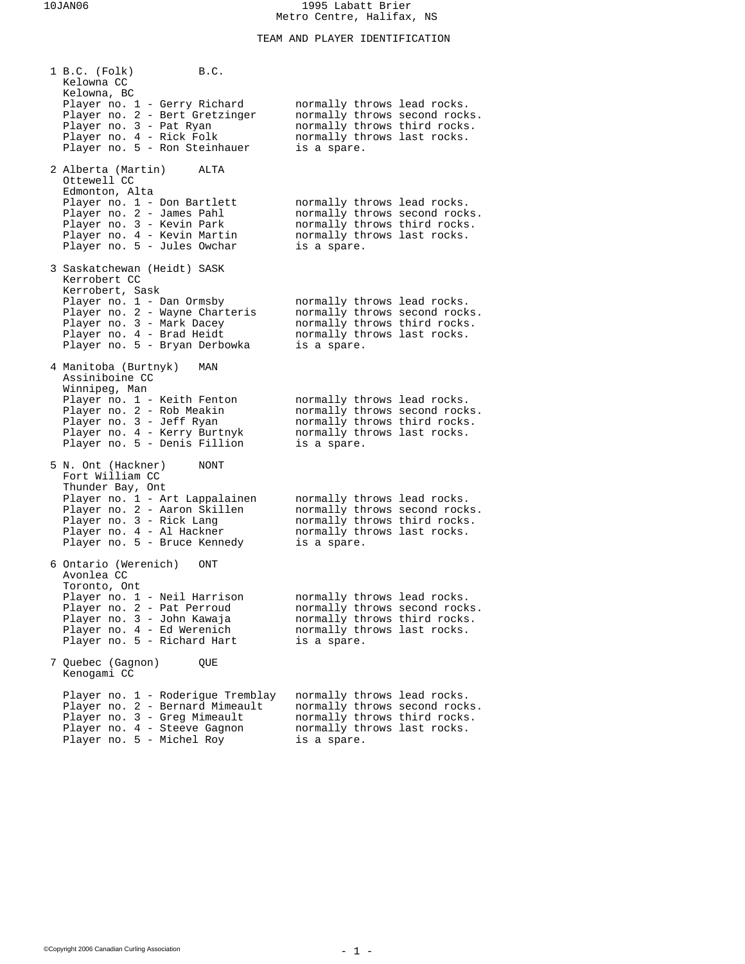TEAM AND PLAYER IDENTIFICATION

| 1 B.C. (Folk)<br>Kelowna CC                                                                                                                                                 | B.C. |                                                                                                                                            |  |
|-----------------------------------------------------------------------------------------------------------------------------------------------------------------------------|------|--------------------------------------------------------------------------------------------------------------------------------------------|--|
| Kelowna, BC<br>Player no. 1 - Gerry Richard<br>Player no. 2 - Bert Gretzinger<br>Player no. 3 - Pat Ryan<br>Player no. 4 - Rick Folk<br>Player no. 5 - Ron Steinhauer       |      | normally throws lead rocks.<br>normally throws second rocks.<br>normally throws third rocks.<br>normally throws last rocks.<br>is a spare. |  |
| 2 Alberta (Martin)<br>Ottewell CC<br>Edmonton, Alta                                                                                                                         | ALTA |                                                                                                                                            |  |
| Player no. 1 - Don Bartlett<br>Player no. 2 - James Pahl<br>Player no. 3 - Kevin Park<br>Player no. 4 - Kevin Martin<br>Player no. 5 - Jules Owchar                         |      | normally throws lead rocks.<br>normally throws second rocks.<br>normally throws third rocks.<br>normally throws last rocks.<br>is a spare. |  |
| 3 Saskatchewan (Heidt) SASK<br>Kerrobert CC                                                                                                                                 |      |                                                                                                                                            |  |
| Kerrobert, Sask<br>Player no. 1 - Dan Ormsby<br>Player no. 2 - Wayne Charteris<br>Player no. 3 - Mark Dacey<br>Player no. 4 - Brad Heidt<br>Player no. 5 - Bryan Derbowka   |      | normally throws lead rocks.<br>normally throws second rocks.<br>normally throws third rocks.<br>normally throws last rocks.<br>is a spare. |  |
| 4 Manitoba (Burtnyk)<br>Assiniboine CC                                                                                                                                      | MAN  |                                                                                                                                            |  |
| Winnipeg, Man<br>Player no. 1 - Keith Fenton<br>Player no. 2 - Rob Meakin<br>Player no. 3 - Jeff Ryan<br>Player no. 4 - Kerry Burtnyk<br>Player no. 5 - Denis Fillion       |      | normally throws lead rocks.<br>normally throws second rocks.<br>normally throws third rocks.<br>normally throws last rocks.<br>is a spare. |  |
| 5 N. Ont (Hackner)<br>Fort William CC                                                                                                                                       | NONT |                                                                                                                                            |  |
| Thunder Bay, Ont<br>Player no. 1 - Art Lappalainen<br>Player no. 2 - Aaron Skillen<br>Player no. 3 - Rick Lang<br>Player no. 4 - Al Hackner<br>Player no. 5 - Bruce Kennedy |      | normally throws lead rocks.<br>normally throws second rocks.<br>normally throws third rocks.<br>normally throws last rocks.<br>is a spare. |  |
| 6 Ontario (Werenich)<br>Avonlea CC                                                                                                                                          | ONT  |                                                                                                                                            |  |
| Toronto, Ont<br>Player no. 1 - Neil Harrison<br>Player no. 2 - Pat Perroud<br>Player no. 3 - John Kawaja<br>Player no. 4 - Ed Werenich<br>Player no. 5 - Richard Hart       |      | normally throws lead rocks.<br>normally throws second rocks.<br>normally throws third rocks.<br>normally throws last rocks.<br>is a spare. |  |
| 7 Quebec (Gagnon)<br>Kenogami CC                                                                                                                                            | QUE  |                                                                                                                                            |  |
| Player no. 1 - Roderigue Tremblay<br>Player no. 2 - Bernard Mimeault<br>Player no. 3 - Greg Mimeault<br>Player no. 4 - Steeve Gagnon<br>Player no. 5 - Michel Roy           |      | normally throws lead rocks.<br>normally throws second rocks.<br>normally throws third rocks.<br>normally throws last rocks.<br>is a spare. |  |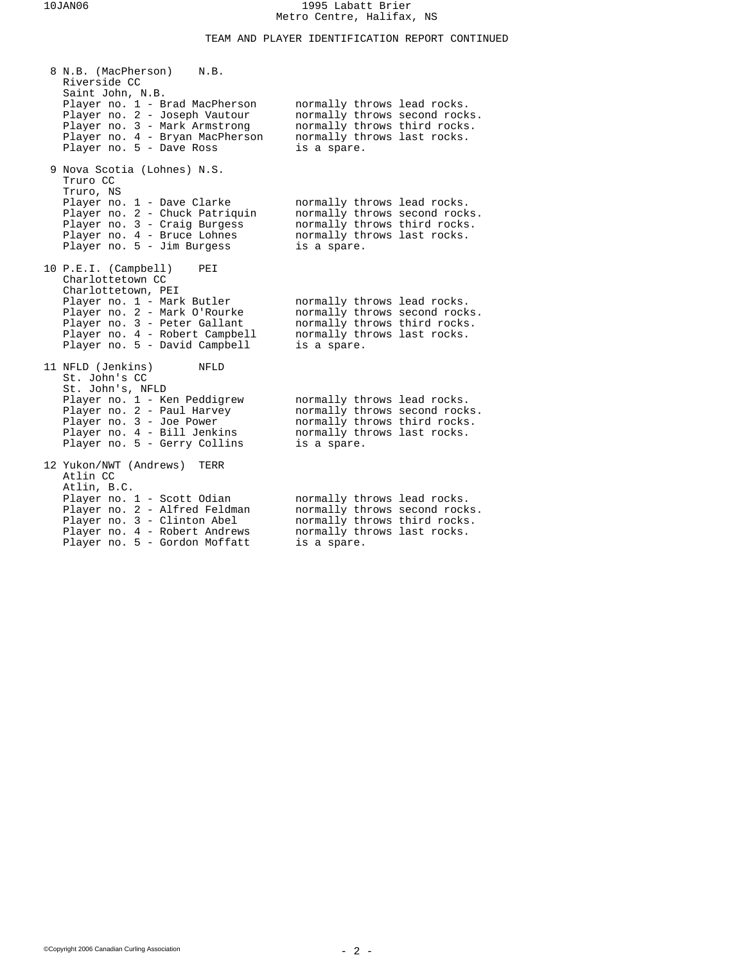## TEAM AND PLAYER IDENTIFICATION REPORT CONTINUED

| 8 N.B. (MacPherson)<br>N.B.<br>Riverside CC<br>Saint John, N.B.<br>Player no. 1 - Brad MacPherson<br>Player no. 2 - Joseph Vautour<br>Player no. 3 - Mark Armstrong<br>Player no. 4 - Bryan MacPherson                                 | normally throws lead rocks.<br>normally throws second rocks.<br>normally throws third rocks.<br>normally throws last rocks.                |  |
|----------------------------------------------------------------------------------------------------------------------------------------------------------------------------------------------------------------------------------------|--------------------------------------------------------------------------------------------------------------------------------------------|--|
| Player no. 5 - Dave Ross<br>9 Nova Scotia (Lohnes) N.S.<br>Truro CC                                                                                                                                                                    | is a spare.                                                                                                                                |  |
| Truro, NS<br>Player no. 1 - Dave Clarke<br>Player no. 2 - Chuck Patriquin<br>Player no. 3 - Craig Burgess<br>Player no. 4 - Bruce Lohnes<br>Player no. 5 - Jim Burgess                                                                 | normally throws lead rocks.<br>normally throws second rocks.<br>normally throws third rocks.<br>normally throws last rocks.<br>is a spare. |  |
| 10 P.E.I. (Campbell)<br>PEI<br>Charlottetown CC<br>Charlottetown, PEI<br>Player no. 1 - Mark Butler<br>Player no. 2 - Mark O'Rourke<br>Player no. 3 - Peter Gallant<br>Player no. 4 - Robert Campbell<br>Player no. 5 - David Campbell | normally throws lead rocks.<br>normally throws second rocks.<br>normally throws third rocks.<br>normally throws last rocks.<br>is a spare. |  |
| 11 NFLD (Jenkins)<br>NFLD<br>St. John's CC<br>St. John's, NFLD<br>Player no. 1 - Ken Peddigrew<br>Player no. 2 - Paul Harvey<br>Player no. 3 - Joe Power<br>Player no. 4 - Bill Jenkins<br>Player no. 5 - Gerry Collins                | normally throws lead rocks.<br>normally throws second rocks.<br>normally throws third rocks.<br>normally throws last rocks.<br>is a spare. |  |
| 12 Yukon/NWT (Andrews)<br>TERR<br>Atlin CC<br>Atlin, B.C.<br>Player no. 1 - Scott Odian<br>Player no. 2 - Alfred Feldman<br>Player no. 3 - Clinton Abel<br>Player no. 4 - Robert Andrews<br>Player no. 5 - Gordon Moffatt              | normally throws lead rocks.<br>normally throws second rocks.<br>normally throws third rocks.<br>normally throws last rocks.<br>is a spare. |  |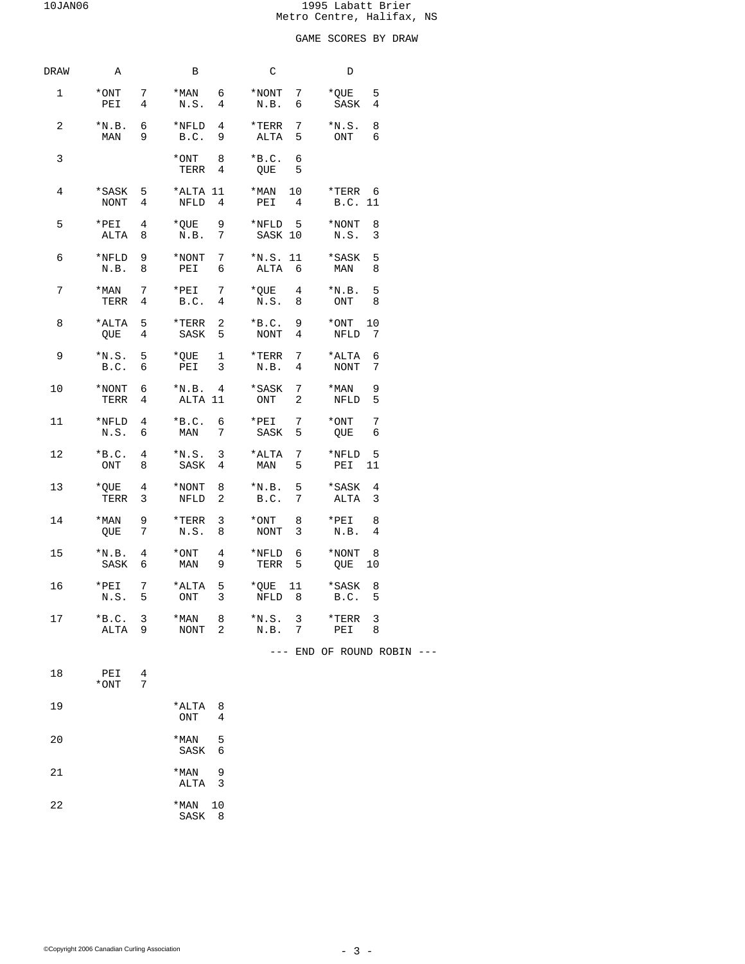# GAME SCORES BY DRAW

| DRAW | A                  |        | В                                                                                                                                                                                         | C                                 | D                                        |  |
|------|--------------------|--------|-------------------------------------------------------------------------------------------------------------------------------------------------------------------------------------------|-----------------------------------|------------------------------------------|--|
| 1    | *ONT 7<br>PEI 4    |        | *MAN 6 *NONT 7<br>N.S. 4 N.B. 6                                                                                                                                                           |                                   | *QUE 5<br>SASK<br>4                      |  |
| 2    | $*N.B. 6$<br>MAN 9 |        | *NFLD 4 *TERR 7<br>B.C. 9                                                                                                                                                                 | ALTA 5                            | $*N.S. 8$<br>ONT 6                       |  |
| 3    |                    |        | $*$ ONT 8<br>TERR 4                                                                                                                                                                       | 6<br>$*B.C.$<br>QUE<br>5          |                                          |  |
| 4    |                    |        | $*$ SASK 5 $*$ ALTA 11 $*$ MAN 10<br>NONT 4 NFLD 4                                                                                                                                        | PEI 4                             | *TERR 6<br>B.C. 11                       |  |
| 5    | $*PEI$ 4<br>ALTA 8 |        | *QUE 9<br>N.B. 7                                                                                                                                                                          | *NFLD 5 *NONT 8<br>SASK 10 N.S. 3 |                                          |  |
| 6    |                    |        | NET A WONT 7 *N.S. 11 *SASK 5*<br>N.B. 8 PEI 6 ALTA 6 MAN 8*                                                                                                                              |                                   |                                          |  |
| 7    | $*MAN$ 7<br>TERR 4 |        | *PEI $7$<br>B.C. $4$                                                                                                                                                                      | *QUE 4 *N.B. 5<br>N.S. 8          | ONT 8                                    |  |
| 8    | QUE 4              |        | *ALTA 5 *TERR 2 *B.C. 9 *ONT 10<br>SASK 5 NONT 4                                                                                                                                          |                                   | NFLD 7                                   |  |
| 9    |                    |        | $*$ N.S. 5 $*$ QUE 1<br>B.C. 6 PEI 3                                                                                                                                                      | *TERR 7 *ALTA 6<br>N.B. 4 NONT 7  |                                          |  |
| 10   | TERR <sub>4</sub>  |        | ALTA 11                                                                                                                                                                                   | ONT <sub>2</sub>                  | NFLD 5                                   |  |
| 11   |                    |        | $\begin{array}{ccccccccc}\n\text{\tt{*NFLD}} & 4 & & \text{\tt{*B.C.}} & 6 & & \text{\tt{*PEI}} & 7 \\ \text{\tt N.S.} & 6 & & \text{\tt{MAN}} & 7 & & \text{\tt{SASK}} & 5\n\end{array}$ | SASK                              | $*$ ONT<br>$7\phantom{.0}$<br>QUE<br>- 6 |  |
| 12   | ONT 8              |        | $\begin{tabular}{lllllllll} \tt *B.C. & 4 & *N.S. & 3 & *ALTA & 7 \\ \tt ONT & 8 & SASK & 4 & MAN & 5 \\ \end{tabular}$                                                                   |                                   | *NFLD 5<br>PEI 11                        |  |
| 13   | TERR 3             |        | $*$ QUE 4 $*$ NONT 8<br>NFLD <sub>2</sub>                                                                                                                                                 | $*N.B.$ 5 $*SASK 4$<br>B.C.<br>7  | ALTA <sub>3</sub>                        |  |
| 14   | QUE 7              |        | *MAN 9 *TERR 3 *ONT 8 *PEI 8<br>N.S. 8                                                                                                                                                    | NONT 3                            | N.B. 4                                   |  |
| 15   |                    |        | $\begin{array}{cccc} * \text{N.B.} & 4 & * \text{ONT} & 4 \\ \text{SASK} & 6 & \text{MAN} & 9 \end{array}$                                                                                | *NFLD 6 *NONT 8<br>TERR 5         | QUE 10                                   |  |
| 16   |                    |        | *PEI 7 *ALTA 5 *QUE 11 *SASK 8<br>N.S. 5 ONT 3 NFLD 8                                                                                                                                     |                                   | B.C. 5                                   |  |
| 17   | $*B.C. 3$<br>ALTA  | 9      | *MAN<br>8<br>NONT<br>2                                                                                                                                                                    | $*$ N.S. 3<br>N.B. 7              | 3<br>*TERR<br>PEI<br>8                   |  |
|      |                    |        |                                                                                                                                                                                           |                                   | --- END OF ROUND ROBIN ---               |  |
| 18   | PEI<br>$*$ ONT     | 4<br>7 |                                                                                                                                                                                           |                                   |                                          |  |
| 19   |                    |        | *ALTA<br>8<br>ONT<br>4                                                                                                                                                                    |                                   |                                          |  |
| 20   |                    |        | *MAN<br>5<br>SASK<br>6                                                                                                                                                                    |                                   |                                          |  |
| 21   |                    |        | *MAN<br>9<br>ALTA<br>3                                                                                                                                                                    |                                   |                                          |  |
| 22   |                    |        | *MAN<br>10<br>SASK<br>8                                                                                                                                                                   |                                   |                                          |  |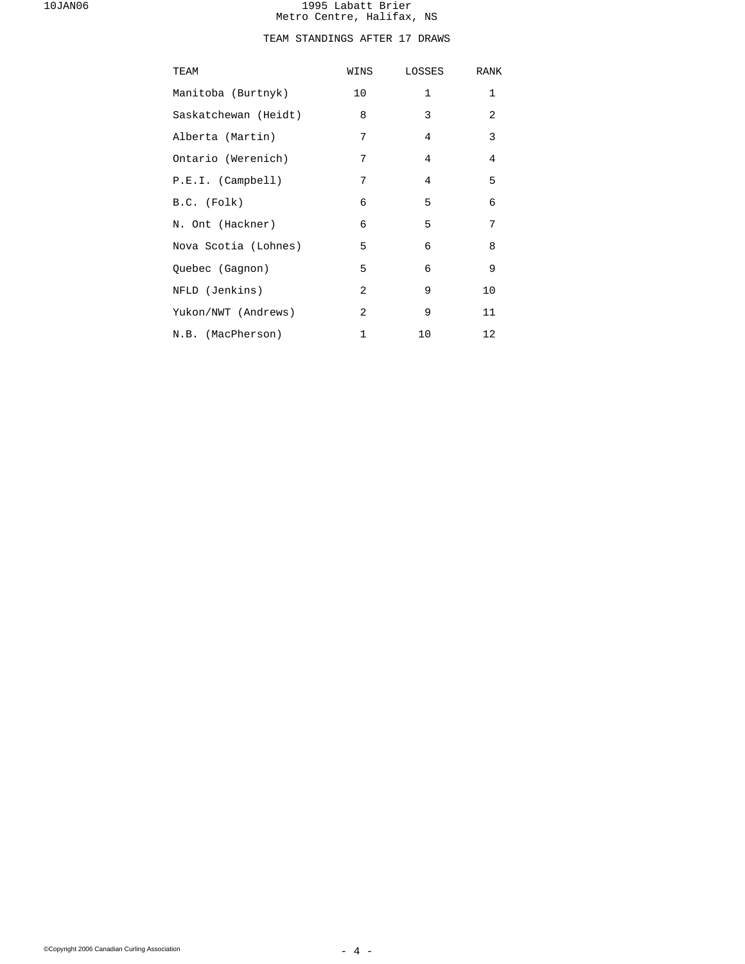# TEAM STANDINGS AFTER 17 DRAWS

| TEAM                 | WINS           | LOSSES         | RANK           |
|----------------------|----------------|----------------|----------------|
| Manitoba (Burtnyk)   | 10             | $\mathbf 1$    | $\mathbf{1}$   |
| Saskatchewan (Heidt) | 8              | 3              | 2              |
| Alberta (Martin)     | 7              | $\overline{4}$ | 3              |
| Ontario (Werenich)   | 7              | $\overline{4}$ | $\overline{4}$ |
| P.E.I. (Camplell)    | 7              | $\overline{4}$ | 5              |
| B.C. (Folk)          | 6              | 5              | 6              |
| N. Ont (Hackner)     | 6              | 5              | 7              |
| Nova Scotia (Lohnes) | 5              | 6              | 8              |
| Quebec (Gagnon)      | 5              | 6              | 9              |
| NFLD (Jenkins)       | $\overline{a}$ | 9              | 10             |
| Yukon/NWT (Andrews)  | 2              | 9              | 11             |
| N.B. (MacPherson)    | 1              | 10             | 12             |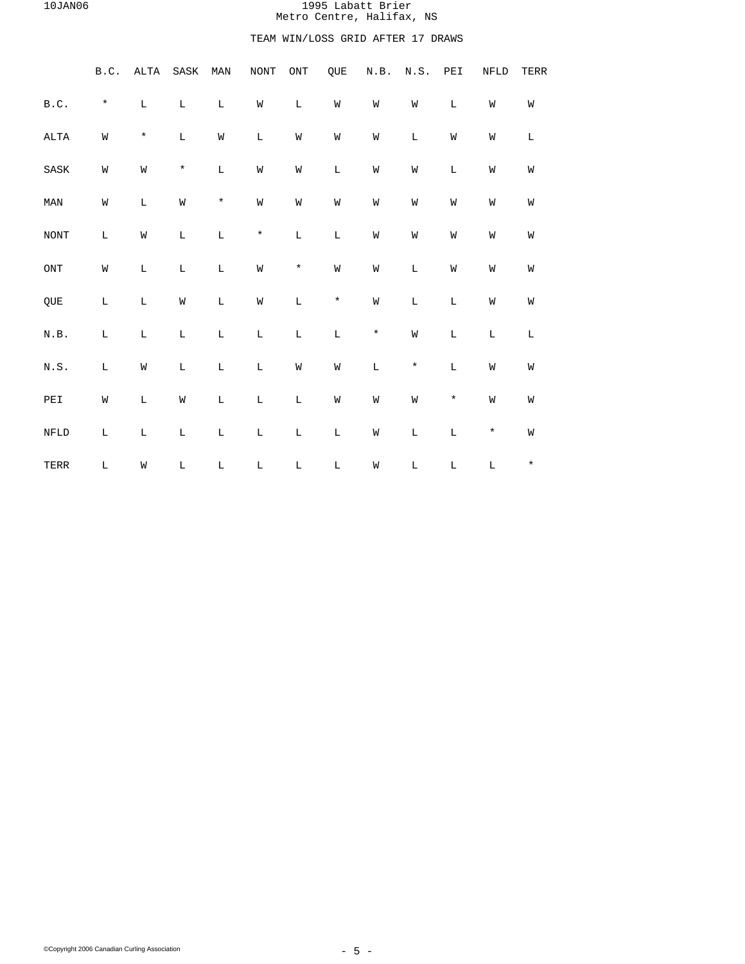# TEAM WIN/LOSS GRID AFTER 17 DRAWS

|                                                        | B.C.        | ALTA        | ${\tt SASK}$ | MAN         | <b>NONT</b> | $\mathrm{ONT}$ | QUE         | N.B.        | N.S.        | PEI         | NFLD        | TERR        |  |
|--------------------------------------------------------|-------------|-------------|--------------|-------------|-------------|----------------|-------------|-------------|-------------|-------------|-------------|-------------|--|
| $\texttt{B.C.}$                                        | $\star$     | $\mathbb L$ | $\mathbb L$  | $\mathbb L$ | M           | $\mathbb L$    | W           | W           | W           | L           | W           | W           |  |
| $\mathtt{ALTA}$                                        | W           | $\star$     | $\mathbb L$  | W           | $\mathbb L$ | M              | M           | M           | L           | W           | W           | $\mathbb L$ |  |
| $\operatorname{SASK}$                                  | W           | W           | $\star$      | $\mathbb L$ | M           | M              | $\mathbb L$ | W           | W           | $\mathbf L$ | W           | W           |  |
| MAN                                                    | W           | $\mathbb L$ | W            | $\star$     | M           | M              | W           | W           | W           | W           | W           | W           |  |
| $\rm{NONT}$                                            | $\mathbb L$ | W           | $\mathbb L$  | $\mathbb L$ | $\star$     | $\mathbb L$    | $\mathbb L$ | W           | W           | W           | W           | W           |  |
| $\mathop{\rm ONT}\nolimits$                            | W           | $\mathbb L$ | $\mathbb L$  | $\mathbb L$ | M           | $\star$        | W           | W           | $\mathbb L$ | W           | W           | W           |  |
| QUE                                                    | $\mathbb L$ | $\mathbb L$ | W            | $\mathbb L$ | W           | $\mathbf L$    | $\star$     | W           | $\mathbb L$ | $\mathbf L$ | M           | W           |  |
| $\textsc{N.B}.$                                        | L           | L           | $\mathbb L$  | $\mathbb L$ | $\mathbb L$ | $\mathbb L$    | $\mathbb L$ | $\star$     | M           | L           | L           | $\mathbb L$ |  |
| $\textsc{N} \cdot \textsc{S}$ .                        | L           | W           | $\mathbb L$  | $\mathbb L$ | $\mathbb L$ | W              | M           | $\mathbb L$ | $\star$     | $\mathbf L$ | M           | W           |  |
| $\ensuremath{\mathop{\rm PE}}\ensuremath{\mathbbm{1}}$ | M           | $\mathbb L$ | W            | $\mathbb L$ | $\mathbb L$ | $\mathbb L$    | W           | W           | W           | $\star$     | M           | W           |  |
| ${\tt NFLD}$                                           | L           | L           | $\mathbb L$  | $\mathbb L$ | $\mathbb L$ | $\mathbb L$    | $\mathbb L$ | M           | $\mathbb L$ | $\mathbf L$ | $\star$     | W           |  |
| TERR                                                   | $\mathbb L$ | W           | $\mathbb L$  | $\mathbb L$ | $\mathbb L$ | $\mathbb L$    | $\mathbb L$ | W           | $\mathbb L$ | $\mathbb L$ | $\mathbb L$ | $\star$     |  |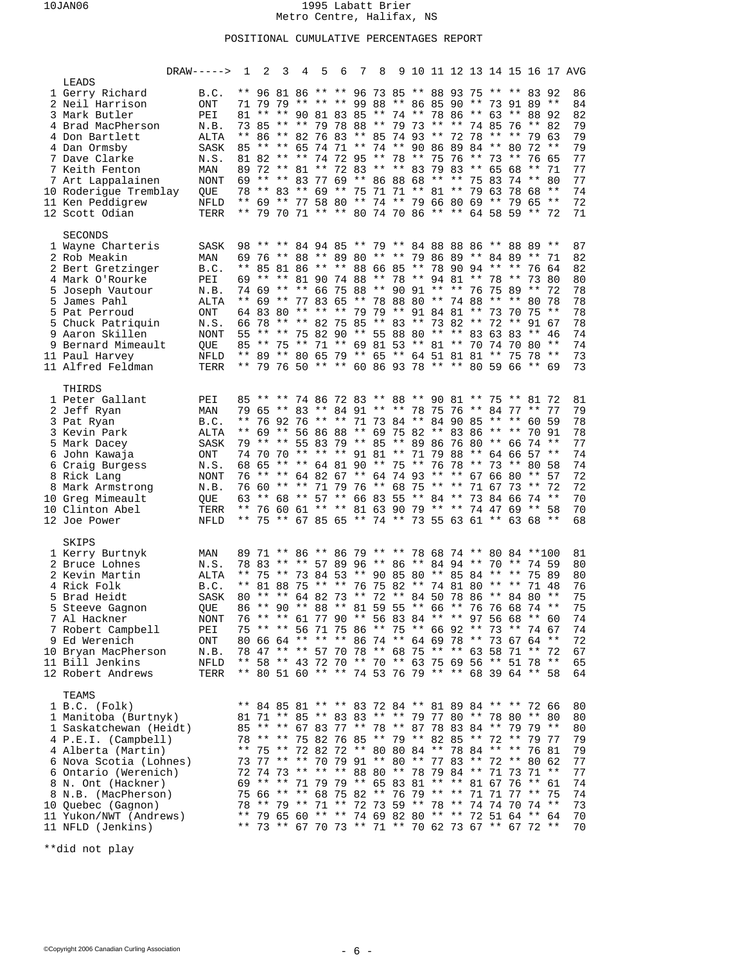## POSITIONAL CUMULATIVE PERCENTAGES REPORT

|                                                                                                                                                                                                                                                                                           | $DRAW---->$                                                                                            | 1                     | 2                                                                                                                                                                                                                                                                                                                                                                                                                                                                                                                                                                                                                                                                                                        | $3 \quad 4$ |                                                 | 5 6 |  |  |  |  |                |    | 7 8 9 10 11 12 13 14 15 16 17 AVG                                    |
|-------------------------------------------------------------------------------------------------------------------------------------------------------------------------------------------------------------------------------------------------------------------------------------------|--------------------------------------------------------------------------------------------------------|-----------------------|----------------------------------------------------------------------------------------------------------------------------------------------------------------------------------------------------------------------------------------------------------------------------------------------------------------------------------------------------------------------------------------------------------------------------------------------------------------------------------------------------------------------------------------------------------------------------------------------------------------------------------------------------------------------------------------------------------|-------------|-------------------------------------------------|-----|--|--|--|--|----------------|----|----------------------------------------------------------------------|
| LEADS<br>1 Gerry Richard<br>2 Neil Harrison<br>3 Mark Butler<br>4 Brad MacPherson<br>4 Don Bartlett<br>4 Dan Ormsby<br>7 Dave Clarke<br>7 Keith Fenton<br>7 Art Lappalainen<br>10 Roderigue Tremblay<br>11 Ken Peddigrew<br>12 Scott Odian                                                | B.C.<br>ONT<br>PEI<br>N.B.<br>ALTA<br><b>SASK</b><br>N.S.<br>MAN<br><b>NONT</b><br>QUE<br>NFLD<br>TERR |                       | ** 96 81 86 ** ** 96 73 85 ** 88 93 75 ** ** 83 92<br>71 79 79 ** ** ** 99 88 ** 86 85 90 ** 73 91 89 **<br>81 ** ** 90 81 83 85 ** 74 ** 78 86 ** 63 ** 88 92<br>73 85 ** ** 79 78 88 ** 79 73 ** ** 74 85 76 ** 82<br>** 86 ** 82 76 83 ** 85 74 93 ** 72 78 ** ** 79 63<br>85 ** ** 65 74 71 ** 74 ** 90 86 89 84 ** 80 72 **<br>81 82 ** ** 74 72 95 ** 78 ** 75 76 ** 73 ** 76 65<br>89 72 ** 81 ** 72 83 ** ** 83 79 83 ** 65 68<br>69 ** ** 83 77 69 ** 86 88 68 ** ** 75 83 74 ** 80<br>78 ** 83 ** 69 ** 75 71 71 ** 81 ** 79 63 78 68 **<br>** 69 ** 77 58 80 ** 74 ** 79 66 80 69 ** 79 65 **<br>** 79 70 71 ** ** 80 74 70 86 ** ** 64 58 59 ** 72                                           |             |                                                 |     |  |  |  |  | $***$          | 71 | 86<br>84<br>82<br>79<br>79<br>79<br>77<br>77<br>77<br>74<br>72<br>71 |
| <b>SECONDS</b><br>1 Wayne Charteris<br>2 Rob Meakin<br>2 Bert Gretzinger<br>4 Mark O'Rourke<br>5 Joseph Vautour<br>5 James Pahl<br>5 Pat Perroud<br>5 Chuck Patriquin<br>9 Aaron Skillen<br>9 Bernard Mimeault<br>11 Paul Harvey<br>11 Alfred Feldman                                     | SASK<br>MAN<br>B.C.<br>PEI<br>N.B.<br>ALTA<br>ONT<br>N.S.<br><b>NONT</b><br>QUE<br>NFLD<br>TERR        |                       | 98 ** ** 84 94 85 ** 79 ** 84 88 88 86 ** 88 89 **<br>69 76 ** 88 ** 89 80 ** ** 79 86 89 ** 84 89 ** 71<br>** 85 81 86 ** ** 88 66 85 ** 78 90 94 ** ** 76 64<br>69 ** ** 81 90 74 88 ** 78 ** 94 81 ** 78 **<br>74    69    **    **    66    75    88    **    90    91    **    **    76    75    89    **    72<br>** 69 ** 77 83 65 ** 78 88 80 ** 74 88 ** ** 80 78<br>64 83 80 ** ** ** 79 79 ** 91 84 81 ** 73 70 75 **<br>66 78 ** ** 82 75 85 ** 83 ** 73 82 ** 72 **<br>55 ** ** 75 82 90 ** 55 88 80 ** ** 83 63 83 ** 46<br>85 ** 75 ** 71 ** 69 81 53 ** 81 ** 70 74 70 80 **<br>** 89 ** 80 65 79 ** 65 ** 64 51 81 81 ** 75 78 **<br>** 79 76 50 ** ** 60 86 93 78 ** ** 80 59 66 ** 69 |             |                                                 |     |  |  |  |  | 73 80<br>91 67 |    | 87<br>82<br>82<br>80<br>78<br>78<br>78<br>78<br>74<br>74<br>73<br>73 |
| THIRDS<br>1 Peter Gallant<br>2 Jeff Ryan<br>3 Pat Ryan<br>3 Kevin Park<br>5 Mark Dacey<br>6 John Kawaja<br>6 Craig Burgess<br>8 Rick Lang<br>8 Mark Armstrong<br>10 Greg Mimeault<br>10 Clinton Abel<br>12 Joe Power                                                                      | PEI<br>MAN<br>B.C.<br>ALTA<br>SASK<br>ONT<br>N.S.<br>NONT<br>N.B.<br>QUE<br>TERR<br>NFLD               |                       | 85 ** ** 74 86 72 83 ** 88 ** 90 81 ** 75 ** 81 72<br>79 65 ** 83 ** 84 91 ** ** 78 75 76 ** 84 77 ** 77<br>** 76 92 76 ** ** 71 73 84 ** 84 90 85 ** ** 60 59<br>** 69 ** 56 86 88 ** 69 75 82 ** 83 86 ** ** 70 91<br>79 ** ** 55 83 79 ** 85 ** 89 86 76 80 ** 66 74 **<br>74 70 70 ** ** ** 91 81 ** 71 79 88 ** 64 66 57 **<br>68 65 ** ** 64 81 90 ** 75 ** 76 78 ** 73 ** 80 58<br>76 ** ** 64 82 67 ** 64 74 93 ** ** 67 66 80 ** 57<br>76 60 ** ** 71 79 76 ** 68 75 ** ** 71 67 73 ** 72<br>63 ** 68 ** 57 ** 66 83 55 ** 84 ** 73 84 66 74 **<br>** 76 60 61 ** ** 81 63 90 79 ** ** 74 47 69 ** 58<br>** 75 ** 67 85 65 ** 74 ** 73 55 63 61 ** 63 68 **                                     |             |                                                 |     |  |  |  |  |                |    | 81<br>79<br>78<br>78<br>77<br>74<br>74<br>72<br>72<br>70<br>70<br>68 |
| SKIPS<br>1 Kerry Burtnyk<br>2 Bruce Lohnes<br>2 Kevin Martin<br>4 Rick Folk<br>5 Brad Heidt<br>5 Steeve Gagnon<br>7 Al Hackner<br>7 Robert Campbell<br>9 Ed Werenich<br>10 Bryan MacPherson<br>11 Bill Jenkins<br>12 Robert Andrews                                                       | MAN<br>N.S.<br>ALTA<br>B.C.<br><b>SASK</b><br>QUE<br>NONT<br>PEI<br>ONT<br>N.B.<br><b>NFLD</b><br>TERR | $\star\star$<br>$***$ | 89 71 ** 86 ** 86 79 ** ** 78 68 74 ** 80 84 **100<br>78 83 ** ** 57 89 96 ** 86 ** 84 94 ** 70 ** 74 59<br>75 ** 73 84 53 ** 90 85 80 ** 85 84 ** ** 75 89<br>80 ** ** 64 82 73 ** 72 ** 84 50 78 86 ** 84 80 **<br>86 ** 90 ** 88 ** 81 59 55 ** 66 ** 76 76 68 74 **<br>76 ** ** 61 77 90 ** 56 83 84 ** ** 97 56 68 ** 60<br>75 ** ** 56 71 75 86 ** 75 ** 66 92 ** 73 ** 74 67<br>80 66 64 ** ** ** 86 74 ** 64 69 78 ** 73 67 64 **<br>78 47 ** ** 57 70 78 ** 68 75 ** ** 63 58 71 ** 72<br>** 58 ** 43 72 70 ** 70 ** 63 75 69 56 ** 51 78 **<br>** 80 51 60 ** ** 74 53 76 79 ** ** 68 39 64 ** 58                                                                                              |             | 81 88 75 ** ** 76 75 82 ** 74 81 80 ** ** 71 48 |     |  |  |  |  |                |    | 81<br>80<br>80<br>76<br>75<br>75<br>74<br>74<br>72<br>67<br>65<br>64 |
| TEAMS<br>1 B.C. (Folk)<br>1 Manitoba (Burtnyk)<br>1 Saskatchewan (Heidt)<br>4 P.E.I. (Campbell)<br>4 Alberta (Martin)<br>6 Nova Scotia (Lohnes)<br>6 Ontario (Werenich)<br>8 N. Ont (Hackner)<br>8 N.B. (MacPherson)<br>10 Quebec (Gagnon)<br>11 Yukon/NWT (Andrews)<br>11 NFLD (Jenkins) |                                                                                                        |                       | ** 84 85 81 ** ** 83 72 84 ** 81 89 84 ** ** 72 66<br>81 71 ** 85 ** 83 83 ** ** 79 77 80 ** 78 80 ** 80<br>85 ** ** 67 83 77 ** 78 ** 87 78 83 84 ** 79 79 **<br>78 ** ** 75 82 76 85 ** 79 ** 82 85 ** 72 ** 79 77<br>** 75 ** 72 82 72 ** 80 80 84 ** 78 84 ** ** 76 81<br>73 77 ** ** 70 79 91 ** 80 ** 77 83 ** 72 ** 80 62<br>72 74 73 ** ** ** 88 80 ** 78 79 84 ** 71 73 71 **<br>69 ** ** 71 79 79 ** 65 83 81 ** ** 81 67 76 ** 61<br>75 66 ** ** 68 75 82 ** 76 79 ** ** 71 71 77 ** 75<br>78 ** 79 ** 71 ** 72 73 59 ** 78 ** 74 74 70 74 **<br>** 79 65 60 ** ** 74 69 82 80 ** ** 72 51 64 ** 64<br>** 73 ** 67 70 73 ** 71 ** 70 62 73 67 ** 67 72 **                                     |             |                                                 |     |  |  |  |  |                |    | 80<br>80<br>80<br>79<br>79<br>77<br>77<br>74<br>74<br>73<br>70<br>70 |

\*\*did not play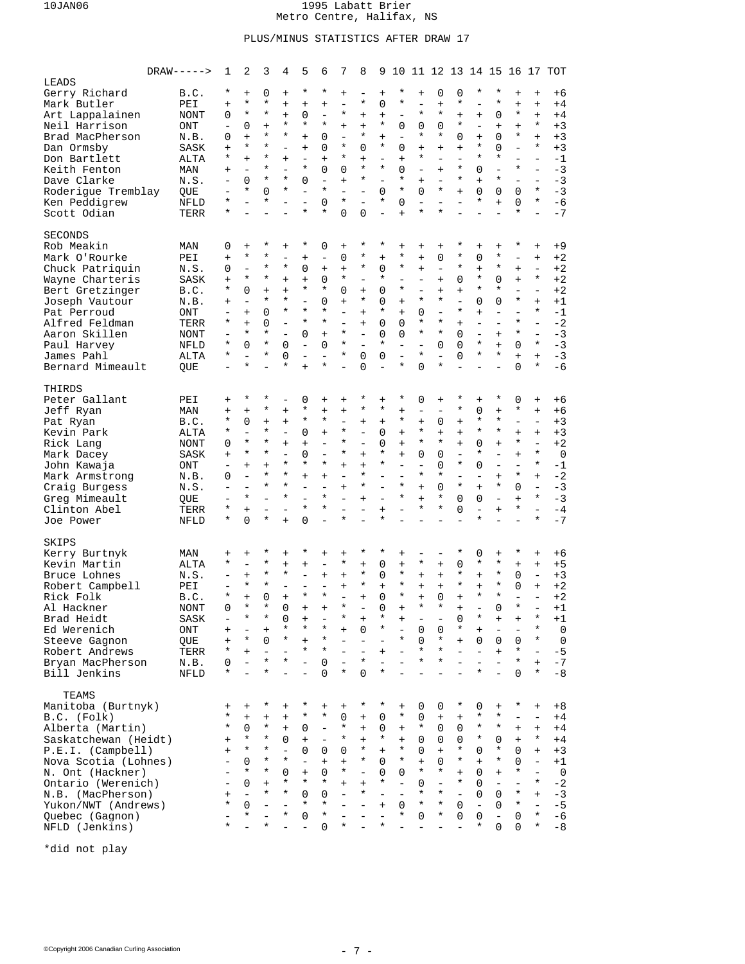## PLUS/MINUS STATISTICS AFTER DRAW 17

|                        | $DRAW---$   | 1                        | 2                        | 3                        | 4                        | 5                         | 6                        | 7                        | 8                        | 9                        | 10                       |                           |                          |                          |                          | 11 12 13 14 15 16 17     |                          |                          | TOT            |
|------------------------|-------------|--------------------------|--------------------------|--------------------------|--------------------------|---------------------------|--------------------------|--------------------------|--------------------------|--------------------------|--------------------------|---------------------------|--------------------------|--------------------------|--------------------------|--------------------------|--------------------------|--------------------------|----------------|
| LEADS                  |             |                          |                          |                          |                          |                           |                          |                          |                          |                          |                          |                           |                          |                          |                          |                          |                          |                          |                |
| Gerry Richard          | B.C.        | $^\star$                 | $\ddot{}$                | 0                        | $\ddot{}$                | $^\star$                  | $^\star$                 | $\ddot{}$                | $\overline{\phantom{a}}$ | $+$                      | $^\star$                 | $\ddot{}$                 | $\mathbf 0$              | 0                        | *                        | $^\star$                 | $\ddot{}$                | $+$                      | +6             |
| Mark Butler            | PEI         | $\ddot{}$                | $^\star$                 | $^\star$                 | $\ddot{}$                | $\ddot{}$                 | $\ddot{}$                | $\overline{\phantom{0}}$ | *                        | 0                        | $^\star$                 | $\overline{\phantom{0}}$  | $\ddot{}$                | $^\star$                 |                          | $^\star$                 | $\ddot{}$                | $\ddot{}$                | $+4$           |
| Art Lappalainen        | NONT        | 0                        | $^\star$                 | $^\star$                 | $\ddot{}$                | $\Omega$                  | $\equiv$                 | *                        | $+$                      | $\ddot{}$                | $\overline{\phantom{0}}$ | $^\star$                  | $^\star$                 | $+$                      | $+$                      | 0                        | $^\star$                 | $+$                      | $+4$           |
| Neil Harrison          | ONT         | $\qquad \qquad -$        | 0                        | $\ddot{}$                | $^\star$                 | $^\star$                  | $\star$                  | $\ddot{}$                | $+$                      | $\star$                  | 0                        | 0                         | $\mathbf 0$              | $^\star$                 | $\overline{\phantom{a}}$ | $\ddot{}$                | $\ddot{}$                | $\star$                  | $+3$           |
| Brad MacPherson        | N.B.        | 0                        | $+$                      | $^\star$                 | *                        | $+$                       | 0                        | $\equiv$                 | $^\star$                 | $+$                      | $\overline{\phantom{0}}$ | $^\star$                  | $^\star$                 | 0                        | $+$                      | 0                        | $^\star$                 | $+$                      | $+3$           |
| Dan Ormsby             | SASK        | $+$                      | $^\star$                 | *                        | $\overline{\phantom{0}}$ | $+$                       | 0                        | *                        | 0                        | $\star$                  | $\mathbf 0$              | $+$                       | $+$                      | $+$                      | $^\star$                 | 0                        | $\equiv$                 | $\star$                  | $+3$           |
| Don Bartlett           | ALTA        | *                        | $+$                      | $^\star$                 | $\ddot{}$                | $\overline{\phantom{0}}$  | $\ddot{}$                | $^\star$                 | $+$                      | $\equiv$                 | $\ddot{}$                | $^\star$                  | $\overline{\phantom{a}}$ | $\overline{\phantom{0}}$ | *                        | $^\star$                 | $\equiv$                 | $\equiv$                 | $-1$           |
| Keith Fenton           | MAN         | $\ddot{}$                | $\overline{\phantom{0}}$ | $^\star$                 | $\overline{\phantom{0}}$ | $^\star$                  | 0                        | 0                        | $^\star$                 | $^\star$                 | $\mathbf 0$              | $\overline{\phantom{0}}$  | $+$                      | $^\star$                 | 0                        | $\equiv$                 | $^\star$                 | $\overline{\phantom{0}}$ | $-3$           |
| Dave Clarke            | N.S.        | $\overline{\phantom{0}}$ | 0                        | $^\star$                 | $^\star$                 | $\Omega$                  | $\overline{\phantom{0}}$ | $\ddot{}$                | $^\star$                 | $\equiv$                 | $^\star$                 | $\ddot{}$                 | $\overline{a}$           | $^\star$                 | $+$                      | $^\star$                 |                          | $\overline{a}$           | $-3$           |
| Roderigue Tremblay     | QUE         | $\qquad \qquad -$        | $^\star$                 | $\Omega$                 | $^\star$                 | $\equiv$                  | $\star$                  | $\overline{\phantom{0}}$ | $\overline{\phantom{a}}$ | $\mathbf 0$              | $^\star$                 | $\Omega$                  | $^\star$                 | $+$                      | 0                        | 0                        | $\Omega$                 | $\star$                  | $-3$           |
| Ken Peddigrew          | <b>NFLD</b> | $^\star$                 |                          | $^\star$                 |                          | $\overline{a}$<br>$\star$ | 0<br>$^\star$            | *                        |                          | $\star$                  | $\Omega$                 | $\overline{a}$<br>$\star$ | $\star$                  | $\overline{a}$           | $^\star$                 | $\ddot{}$                | 0<br>$^\star$            | $\star$                  | $-6$           |
| Scott Odian            | TERR        | *                        |                          |                          |                          |                           |                          | 0                        | 0                        | $\overline{a}$           | $\ddot{}$                |                           |                          |                          |                          |                          |                          | $\equiv$                 | $-7$           |
| <b>SECONDS</b>         |             |                          |                          |                          |                          |                           |                          |                          |                          |                          |                          |                           |                          |                          |                          |                          |                          |                          |                |
| Rob Meakin             | MAN         | 0                        | $\ddot{}$                | *                        | $\ddot{}$                | $^\star$                  | 0                        | $\ddot{}$                | $^\star$                 | *                        | $\ddot{}$                | $^{+}$                    | $\qquad \qquad +$        | $^\star$                 | $\ddot{}$                | $\ddot{}$                | $^\star$                 | $+$                      | +9             |
| Mark O'Rourke          | PEI         | $+$                      | $^\star$                 | *                        | $\overline{\phantom{0}}$ | $\ddot{}$                 | $\equiv$                 | 0                        | $^\star$                 | $\ddot{}$                | $^\star$                 | $\ddot{}$                 | 0                        | $^\star$                 | 0                        | *                        | $\overline{\phantom{0}}$ | $+$                      | +2             |
| Chuck Patriquin        | N.S.        | 0                        | $\equiv$                 | $^\star$                 | $^\star$                 | $\mathbf 0$               | $\ddot{}$                | $\ddot{}$                | *                        | $\mathbf 0$              | $^\star$                 | $^{+}$                    | $\overline{a}$           | $^\star$                 | $\ddot{}$                | *                        | $+$                      | $\overline{\phantom{0}}$ | +2             |
| Wayne Charteris        | SASK        | $+$                      | $^\star$                 | $^\star$                 | $\ddot{}$                | $\ddot{}$                 | 0                        | *                        | $\overline{\phantom{a}}$ | $\star$                  | $\overline{\phantom{a}}$ | $\overline{\phantom{0}}$  | $+$                      | 0                        | $^\star$                 | 0                        | $+$                      | $\star$                  | $+2$           |
| Bert Gretzinger        | B.C.        | *                        | 0                        | $\ddot{}$                | $\ddot{}$                | $^\star$                  | $^\star$                 | $\Omega$                 | $+$                      | 0                        | $^\star$                 | $\equiv$                  | $+$                      | $+$                      | $^\star$                 | $^\star$                 | $\overline{\phantom{0}}$ | $\equiv$                 | $+2$           |
| Joseph Vautour         | N.B.        | $+$                      | $\equiv$                 | $^\star$                 | $^\star$                 | $\overline{\phantom{0}}$  | 0                        | $\ddot{}$                | $^\star$                 | 0                        | $+$                      | $^\star$                  | $^\star$                 | $\equiv$                 | 0                        | 0                        | $^\star$                 | $+$                      | $+1$           |
| Pat Perroud            | ONT         | $\overline{\phantom{a}}$ | $+$                      | $\Omega$                 | $\star$                  | $\star$                   | $^\star$                 | $\overline{\phantom{0}}$ | $+$                      | *                        | $+$                      | 0                         | $\overline{a}$           | $\star$                  | $+$                      | $\overline{\phantom{0}}$ | $\equiv$                 | $\star$                  | $-1$           |
| Alfred Feldman         | TERR        | *                        | $+$                      | $\Omega$                 | $\equiv$                 | $\star$                   | $^\star$                 | $\overline{\phantom{0}}$ | $+$                      | 0                        | 0                        | $^\star$                  | $^\star$                 | $+$                      | $\overline{\phantom{0}}$ | $\overline{\phantom{0}}$ | $^\star$                 | $\overline{\phantom{0}}$ | $-2$           |
| Aaron Skillen          | NONT        |                          | $^\star$                 | $^\star$                 | $\overline{a}$           | $\Omega$                  | $\ddot{}$                | *                        | $\overline{\phantom{a}}$ | 0                        | $\Omega$                 | $^\star$                  | $^\star$                 | 0                        | $\overline{\phantom{0}}$ | $+$                      | $^\star$                 | $\overline{a}$           | $-3$           |
| Paul Harvey            | NFLD        | *                        | 0                        | $^\star$                 | 0                        | $\equiv$                  | 0                        | $^\star$                 | $\equiv$                 | *                        | $\equiv$                 | $\overline{\phantom{0}}$  | 0                        | 0                        | $^\star$                 | $+$                      | $\Omega$                 | $\star$                  | $-3$           |
| James Pahl             | ALTA        | $^\star$                 | $\equiv$                 | $^\star$                 | 0                        |                           | $\overline{a}$           | *                        | $\Omega$                 | 0                        |                          | $^\star$                  | $\equiv$                 | $\Omega$                 | $^\star$                 | $^\star$                 | $\ddot{}$                | $+$                      | $-3$           |
| Bernard Mimeault       | QUE         | $\overline{\phantom{0}}$ | $^\star$                 |                          | $^\star$                 | $+$                       | $^\star$                 |                          | $\Omega$                 | $\overline{a}$           | *                        | 0                         | $^\star$                 |                          |                          |                          | $\Omega$                 | $\star$                  | $-6$           |
|                        |             |                          |                          |                          |                          |                           |                          |                          |                          |                          |                          |                           |                          |                          |                          |                          |                          |                          |                |
| THIRDS                 |             |                          |                          |                          |                          |                           |                          |                          |                          |                          |                          |                           |                          |                          |                          |                          |                          |                          |                |
| Peter Gallant          | PEI         | $\ddot{}$                | $^\star$                 | *                        | $\overline{\phantom{0}}$ | 0                         | $\ddot{}$                | $^{+}$                   | *                        | $+$                      | *                        | 0                         | $+$                      | $^\star$                 | $+$                      | $^\star$                 | $\mathbf 0$              | $+$                      | $+6$           |
| Jeff Ryan              | MAN         | $\ddot{}$                | $+$                      | $^\star$                 | $\ddot{}$                | $^\star$                  | $\ddot{}$                | $\ddot{}$                | *                        | *                        | $+$                      | $\overline{a}$            | $\overline{\phantom{a}}$ | $^\star$                 | 0                        | $\ddot{}$                | $^\star$                 | $+$                      | $+6$           |
| Pat Ryan               | B.C.        | *                        | 0                        | $\ddot{}$                | $\ddot{}$                | $^\star$                  | $^\star$                 | $\equiv$                 | $+$                      | $+$                      | $^\star$                 | $\ddot{}$                 | 0                        | $+$                      | $^\star$                 | $^\star$                 | $\overline{\phantom{0}}$ | $\equiv$                 | $+3$           |
| Kevin Park             | ALTA        | *                        | $\equiv$                 | $^\star$                 | $\equiv$                 | $\Omega$                  | $+$                      | *                        | $\overline{\phantom{0}}$ | $\mathbf 0$              | $+$                      | $^\star$                  | $+$                      | $+$                      | $^\star$                 | $^\star$                 | $+$                      | $+$                      | $+3$           |
| Rick Lang              | NONT        | $\Omega$                 | $^\star$                 | $^\star$                 | $+$                      | $+$                       | $\overline{\phantom{0}}$ | $^\star$                 |                          | 0                        | $+$                      | $^\star$                  | $^\star$                 | $+$                      | 0                        | $+$                      | $^\star$                 | $\overline{\phantom{0}}$ | $+2$           |
| Mark Dacey             | SASK        | $+$                      | $^\star$                 | *                        | $\overline{\phantom{0}}$ | 0                         | $\equiv$                 | *                        | $+$                      | *                        | $+$                      | 0                         | 0                        | $\equiv$                 | $^\star$                 | $\overline{\phantom{0}}$ | $\ddot{}$                | $\star$                  | $\mathbf 0$    |
| John Kawaja            | ONT         | $\qquad \qquad -$        | $+$                      | $+$                      | $^\star$                 | $^\star$                  | $^\star$                 | $+$                      | $+$                      | *                        | $\overline{\phantom{0}}$ | $\equiv$                  | $\Omega$                 | $^\star$                 | $\Omega$                 | $\overline{a}$           | $\equiv$                 | $\star$                  | $-1$           |
| Mark Armstrong         | N.B.        | 0                        | $\equiv$                 | $^\star$                 | $^\star$                 | $+$                       | $\ddot{}$                | $\overline{\phantom{0}}$ | $^\star$                 | $\equiv$                 |                          | $^\star$                  | $\star$                  | $\equiv$                 | $\overline{\phantom{0}}$ | $+$                      | $^\star$                 | $+$                      | $-2$           |
| Craig Burgess          | N.S.        | $\overline{\phantom{0}}$ |                          | $^\star$                 | $^\star$                 | $\overline{\phantom{0}}$  | $\equiv$                 | $\ddot{}$                | $^\star$                 | $\overline{a}$           | $\star$                  | $+$                       | $\mathbf 0$              | $\star$                  | $+$                      | $^\star$                 | $\Omega$                 | $\overline{\phantom{0}}$ | $-3$           |
| Greg Mimeault          | QUE         | $\qquad \qquad -$        | $\star$                  |                          | $^\star$                 |                           | $^\star$                 | $\overline{\phantom{0}}$ | $+$                      | $\overline{\phantom{0}}$ | $^\star$                 | $^{+}$                    | $^\star$                 | 0                        | 0                        | $\overline{\phantom{0}}$ | $+$                      | $\star$                  | $-3$           |
| Clinton Abel           | TERR        | *                        | $\ddot{}$                | $\overline{\phantom{0}}$ | $\overline{a}$           | $\star$                   | $^\star$                 |                          |                          | $\ddot{}$                |                          | $^\star$                  | $^\star$                 | $\Omega$                 | $\equiv$                 | $\ddot{}$                | $^\star$                 | $\overline{a}$           | $-4$           |
| Joe Power              | NFLD        | *                        | 0                        | $^\star$                 | $\ddot{}$                | $\Omega$                  | $\equiv$                 | *                        | ÷.                       | $\star$                  |                          |                           |                          |                          | *                        |                          |                          | $\star$                  | $-7$           |
|                        |             |                          |                          |                          |                          |                           |                          |                          |                          |                          |                          |                           |                          |                          |                          |                          |                          |                          |                |
| SKIPS<br>Kerry Burtnyk | MAN         | $\ddot{}$                | $\ddot{}$                | *                        | $\ddot{}$                | *                         | $+$                      | $\ddot{}$                | *                        | *                        | $\ddot{}$                |                           | $\overline{\phantom{a}}$ | $^\star$                 | 0                        | $\ddot{}$                | $^\star$                 | $+$                      | +6             |
| Kevin Martin           | ALTA        | *                        | $\equiv$                 | *                        | $\ddot{}$                | $\ddot{}$                 | $\qquad \qquad -$        | *                        | $\ddot{}$                | 0                        | $+$                      | *                         | $\qquad \qquad +$        | 0                        | *                        | *                        | $+$                      | $+$                      | $+5$           |
| Bruce Lohnes           | N.S.        |                          | $+$                      | $^\star$                 | $^\star$                 | $\overline{\phantom{0}}$  | $\ddot{}$                | $\ddot{}$                | $^\star$                 | 0                        | *                        | $+$                       | $+$                      | $^\star$                 | $+$                      | $^\star$                 | $\Omega$                 | $\qquad \qquad -$        | $+3$           |
| Robert Campbell        | PEI         |                          | $\star$                  | $^\star$                 | $\overline{\phantom{0}}$ | $\overline{\phantom{0}}$  | $\overline{\phantom{a}}$ | $\ddot{}$                | *                        | $\ddot{}$                | $^\star$                 | $+$                       | $+$                      | $^\star$                 | $+$                      | *                        | 0                        | $\ddot{}$                | $+2$           |
| Rick Folk              | B.C.        | $^\star$                 | $\ddot{}$                | $\Omega$                 | $\ddot{}$                | $\star$                   | $\star$                  | $\overline{a}$           | $+$                      | 0                        | $\star$                  | $\ddot{}$                 | $\Omega$                 | $+$                      | $^\star$                 | $^\star$                 | $\overline{\phantom{0}}$ | $\equiv$                 | $+2$           |
| Al Hackner             | <b>NONT</b> | $\Omega$                 | $\star$                  | $\star$                  | 0                        | $+$                       | $+$                      | $\star$                  |                          | $\Omega$                 |                          | $\star$                   | $\star$                  | $+$                      |                          | $\Omega$                 | $\star$                  |                          | $+1$           |
| Brad Heidt             | SASK        |                          | $^\star$                 | *                        | 0                        | $^{+}$                    |                          | *                        |                          | *                        | $^{+}$                   |                           |                          | 0                        | *                        |                          | $\ddot{}$                | $^\star$                 | $+1$           |
| Ed Werenich            | <b>ONT</b>  | $\pmb{+}$                | $\overline{\phantom{0}}$ | $\ddot{}$                | *                        | *                         | *                        | $\ddot{}$                | 0                        | *                        | $\overline{\phantom{a}}$ | 0                         | 0                        | *                        | $\ddot{}$                |                          |                          | $^\star$                 | 0              |
| Steeve Gagnon          | QUE         | $+$                      | $^\star$                 | 0                        | $^\star$                 | $+$                       | $^\star$                 |                          |                          | $\overline{\phantom{0}}$ | $^\star$                 | 0                         | $^\star$                 | $+$                      | 0                        | 0                        | 0                        | $\star$                  | $\mathbf 0$    |
| Robert Andrews         | TERR        | *                        | $+$                      | $\overline{\phantom{0}}$ | $\qquad \qquad -$        | $^\star$                  | $^\star$                 | $\overline{\phantom{0}}$ | $\overline{\phantom{0}}$ | $+$                      | $\overline{\phantom{0}}$ | $^\star$                  | $^\star$                 | $\equiv$                 | $\overline{\phantom{0}}$ | $+$                      | $^\star$                 | $\overline{\phantom{a}}$ | $-5$           |
| Bryan MacPherson       | N.B.        | 0                        | $\equiv$                 | $^\star$                 | $^\star$                 | $\overline{\phantom{a}}$  | 0                        | $\overline{\phantom{0}}$ | $^\star$                 | $\overline{\phantom{0}}$ |                          | $^\star$                  | $^\star$                 | $\overline{a}$           | $\equiv$                 | $\equiv$                 | $^\star$                 | $+$                      | $-7$           |
| Bill Jenkins           | NFLD        | *                        |                          | $^\star$                 |                          | $\equiv$                  | $\Omega$                 | $^\star$                 | $\Omega$                 | $^\star$                 |                          |                           |                          |                          | *                        | $\overline{a}$           | $\Omega$                 | $\star$                  | $-8$           |
|                        |             |                          |                          |                          |                          |                           |                          |                          |                          |                          |                          |                           |                          |                          |                          |                          |                          |                          |                |
| TEAMS                  |             |                          |                          |                          |                          |                           |                          |                          |                          |                          |                          |                           |                          |                          |                          |                          |                          |                          |                |
| Manitoba (Burtnyk)     |             | $+$                      | $+$                      | *                        | $\ddot{}$                | $^\star$                  | $+$                      | $\qquad \qquad +$        | $^\star$                 | $^\star$                 | $+$                      | 0                         | 0                        | $^\star$                 | 0                        | $+$                      | $^\star$                 | $+$                      | $+8$           |
| B.C. (Folk)            |             | *                        | $+$                      | $\ddot{}$                | $^{+}$                   | $^\star$                  | $^\star$                 | 0                        | $+$                      | 0                        | $^\star$                 | 0                         | $\boldsymbol{+}$         | $+$                      | $^\star$                 | *                        | $\qquad \qquad -$        | $\overline{\phantom{a}}$ | $+4$           |
| Alberta (Martin)       |             | $^\star$                 | 0                        | $^\star$                 | $+$                      | 0                         | $\qquad \qquad -$        | $^\star$                 | $+$                      | 0                        | $\qquad \qquad +$        | $^\star$                  | 0                        | 0                        | $^\star$                 | $^\star$                 | $+$                      | $+$                      | $+4$           |
| Saskatchewan (Heidt)   |             | $+$                      | $^\star$                 | $^\star$                 | 0                        | $+$                       | $\equiv$                 | $^\star$                 | $+$                      | $\star$                  | $+$                      | 0                         | 0                        | 0                        | $^\star$                 | 0                        | $+$                      | $^\star$                 | $+4$           |
| P.E.I. (Camplell)      |             | $+$                      | $^\star$                 | $^\star$                 | $\equiv$                 | $\Omega$                  | 0                        | 0                        | $^\star$                 | $+$                      | $^\star$                 | 0                         | $+$                      | $^\star$                 | 0                        | $^\star$                 | $\Omega$                 | $+$                      | $+3$           |
| Nova Scotia (Lohnes)   |             |                          | 0                        | $^\star$                 | $^\star$                 | $\overline{\phantom{a}}$  | $+$                      | $+$                      | *                        | 0                        | $^\star$                 | $^{+}$                    | 0                        | $^\star$                 | $+$                      | $^\star$                 | 0                        | $\overline{\phantom{a}}$ | $+1$           |
| N. Ont (Hackner)       |             |                          | $^\star$                 | *                        | 0                        | $\pm$                     | 0                        | $^\star$                 | $\overline{\phantom{a}}$ | 0                        | $\Omega$                 | $^\star$                  | $^\star$                 | $+$                      | 0                        | $+$                      | $^\star$                 | $\overline{\phantom{0}}$ | $\overline{0}$ |
| Ontario (Werenich)     |             |                          | 0                        | $\ddot{}$                | $^\star$                 | $^\star$                  | $\star$                  | $+$                      | $+$                      | *                        | $\overline{\phantom{0}}$ | 0                         | $\overline{\phantom{a}}$ | $^\star$                 | 0                        | $\qquad \qquad -$        | $\overline{\phantom{m}}$ | $^\star$                 | $-2$           |
| N.B. (MacPherson)      |             | $\ddot{}$                | $\equiv$                 | $^\star$                 | $^\star$                 | $\Omega$                  | 0                        | $\overline{\phantom{0}}$ | $^\star$                 | $\overline{\phantom{0}}$ | $\equiv$                 | $^\star$                  | $^\star$                 | $\equiv$                 | 0                        | 0                        | $^\star$                 | $+$                      | $-3$           |
| Yukon/NWT (Andrews)    |             | *                        | 0                        | ÷                        | $\overline{\phantom{0}}$ | $^\star$                  | $^\star$                 |                          | $\overline{\phantom{a}}$ | $+$                      | 0                        | $^\star$                  | $^\star$                 | 0                        | $\qquad \qquad -$        | 0                        | $^\star$                 | $\equiv$                 | $-5$           |
| Quebec (Gagnon)        |             |                          | $^\star$                 |                          | $^\star$                 | $\Omega$                  | $^\star$                 |                          |                          | $\equiv$                 | *                        | 0                         | $^\star$                 | 0                        | 0                        | $\overline{\phantom{0}}$ | 0                        | $\star$                  | $-6$           |
| NFLD (Jenkins)         |             | $^\star$                 |                          | *                        |                          | L.                        | 0                        | *                        |                          | $\ast$                   |                          |                           |                          | $\equiv$                 | $^\star$                 | 0                        | 0                        | $^\star$                 | $-8$           |

\*did not play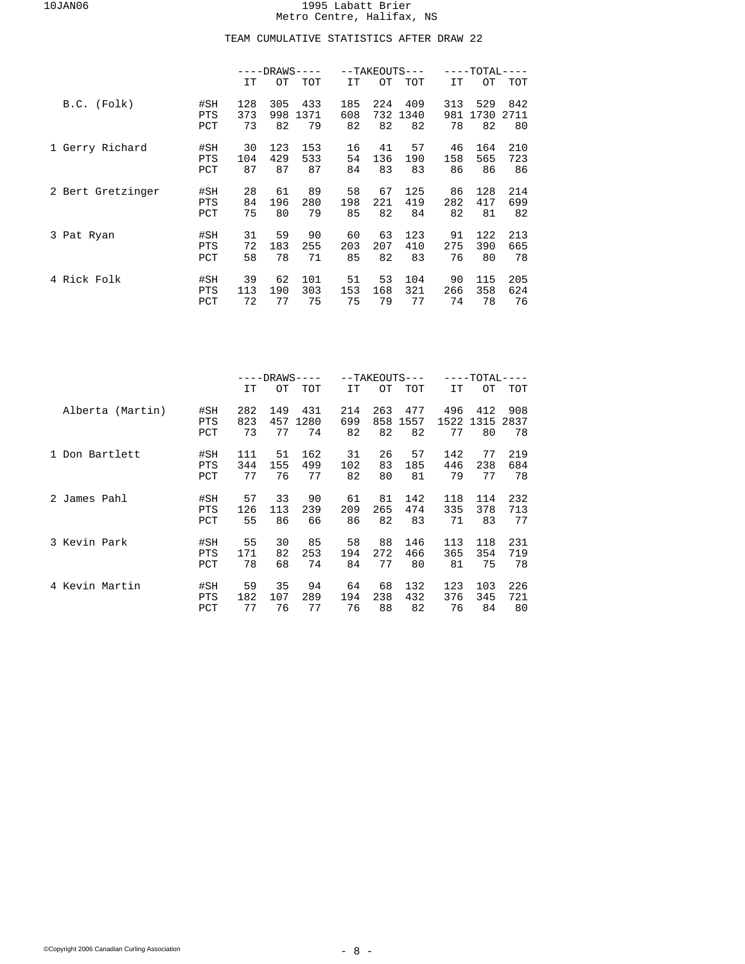## TEAM CUMULATIVE STATISTICS AFTER DRAW 22

|                   |            |     | $---DRANS---$ |      |     | --TAKEOUTS--- |      |     | $-{\tt TOTAL}$ |            |  |
|-------------------|------------|-----|---------------|------|-----|---------------|------|-----|----------------|------------|--|
|                   |            | IT  | OТ            | TOT  | IT  | OТ            | TOT  | IT  | OТ             | <b>TOT</b> |  |
| B.C. (Folk)       | #SH        | 128 | 305           | 433  | 185 | 224           | 409  | 313 | 529            | 842        |  |
|                   | <b>PTS</b> | 373 | 998           | 1371 | 608 | 732           | 1340 | 981 | 1730           | 2711       |  |
|                   | PCT        | 73  | 82            | 79   | 82  | 82            | 82   | 78  | 82             | 80         |  |
| 1 Gerry Richard   | #SH        | 30  | 123           | 153  | 16  | 41            | 57   | 46  | 164            | 210        |  |
|                   | <b>PTS</b> | 104 | 429           | 533  | 54  | 136           | 190  | 158 | 565            | 723        |  |
|                   | PCT        | 87  | 87            | 87   | 84  | 83            | 83   | 86  | 86             | 86         |  |
| 2 Bert Gretzinger | #SH        | 28  | 61            | 89   | 58  | 67            | 125  | 86  | 128            | 214        |  |
|                   | <b>PTS</b> | 84  | 196           | 280  | 198 | 221           | 419  | 282 | 417            | 699        |  |
|                   | PCT        | 75  | 80            | 79   | 85  | 82            | 84   | 82  | 81             | 82         |  |
| 3 Pat Ryan        | #SH        | 31  | 59            | 90   | 60  | 63            | 123  | 91  | 122            | 213        |  |
|                   | <b>PTS</b> | 72  | 183           | 255  | 203 | 207           | 410  | 275 | 390            | 665        |  |
|                   | PCT        | 58  | 78            | 71   | 85  | 82            | 83   | 76  | 80             | 78         |  |
| 4 Rick Folk       | #SH        | 39  | 62            | 101  | 51  | 53            | 104  | 90  | 115            | 205        |  |
|                   | <b>PTS</b> | 113 | 190           | 303  | 153 | 168           | 321  | 266 | 358            | 624        |  |
|                   | PCT        | 72  | 77            | 75   | 75  | 79            | 77   | 74  | 78             | 76         |  |

|                  |            |     | -DRAWS· |      |     |     | --TAKEOUTS--- |      | -TOTAL· |      |  |
|------------------|------------|-----|---------|------|-----|-----|---------------|------|---------|------|--|
|                  |            | IT  | OТ      | TOT  | IT  | OТ  | TOT           | IT   | OТ      | TOT  |  |
| Alberta (Martin) | #SH        | 282 | 149     | 431  | 214 | 263 | 477           | 496  | 412     | 908  |  |
|                  | <b>PTS</b> | 823 | 457     | 1280 | 699 | 858 | 1557          | 1522 | 1315    | 2837 |  |
|                  | PCT        | 73  | 77      | 74   | 82  | 82  | 82            | 77   | 80      | 78   |  |
| Don Bartlett     | #SH        | 111 | 51      | 162  | 31  | 26  | 57            | 142  | 77      | 219  |  |
|                  | <b>PTS</b> | 344 | 155     | 499  | 102 | 83  | 185           | 446  | 238     | 684  |  |
|                  | PCT        | 77  | 76      | 77   | 82  | 80  | 81            | 79   | 77      | 78   |  |
| 2 James Pahl     | #SH        | 57  | 33      | 90   | 61  | 81  | 142           | 118  | 114     | 232  |  |
|                  | <b>PTS</b> | 126 | 113     | 239  | 209 | 265 | 474           | 335  | 378     | 713  |  |
|                  | PCT        | 55  | 86      | 66   | 86  | 82  | 83            | 71   | 83      | 77   |  |
| 3 Kevin Park     | #SH        | 55  | 30      | 85   | 58  | 88  | 146           | 113  | 118     | 231  |  |
|                  | <b>PTS</b> | 171 | 82      | 253  | 194 | 272 | 466           | 365  | 354     | 719  |  |
|                  | PCT        | 78  | 68      | 74   | 84  | 77  | 80            | 81   | 75      | 78   |  |
| 4 Kevin Martin   | #SH        | 59  | 35      | 94   | 64  | 68  | 132           | 123  | 103     | 226  |  |
|                  | <b>PTS</b> | 182 | 107     | 289  | 194 | 238 | 432           | 376  | 345     | 721  |  |
|                  | PCT        | 77  | 76      | 77   | 76  | 88  | 82            | 76   | 84      | 80   |  |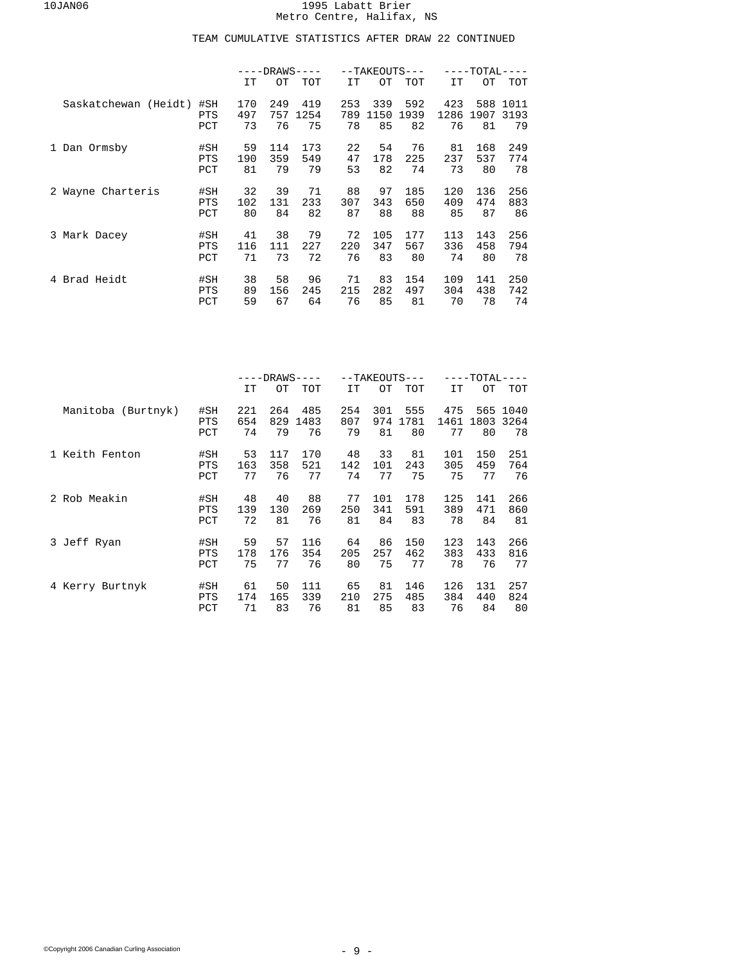|                      |                          | $---DRANS---$<br>--TAKEOUTS |                 |                 |                 |                 | -TOTAL           |                  |                  |                  |
|----------------------|--------------------------|-----------------------------|-----------------|-----------------|-----------------|-----------------|------------------|------------------|------------------|------------------|
|                      |                          | IT                          | OТ              | TOT             | IT              | OТ              | TOT              | IT               | OТ               | <b>TOT</b>       |
| Saskatchewan (Heidt) | #SH                      | 170                         | 249             | 419             | 253             | 339             | 592              | 423              | 588              | 1011             |
|                      | <b>PTS</b>               | 497                         | 757             | 1254            | 789             | 1150            | 1939             | 1286             | 1907             | 3193             |
|                      | PCT                      | 73                          | 76              | 75              | 78              | 85              | 82               | 76               | 81               | 79               |
| 1 Dan Ormsby         | #SH                      | 59                          | 114             | 173             | 22              | 54              | 76               | 81               | 168              | 249              |
|                      | <b>PTS</b>               | 190                         | 359             | 549             | 47              | 178             | 225              | 237              | 537              | 774              |
|                      | PCT                      | 81                          | 79              | 79              | 53              | 82              | 74               | 73               | 80               | 78               |
| 2 Wayne Charteris    | #SH                      | 32                          | 39              | 71              | 88              | 97              | 185              | 120              | 136              | 256              |
|                      | <b>PTS</b>               | 102                         | 131             | 233             | 307             | 343             | 650              | 409              | 474              | 883              |
|                      | PCT                      | 80                          | 84              | 82              | 87              | 88              | 88               | 85               | 87               | 86               |
| 3 Mark Dacey         | #SH                      | 41                          | 38              | 79              | 72              | 105             | 177              | 113              | 143              | 256              |
|                      | <b>PTS</b>               | 116                         | 111             | 227             | 220             | 347             | 567              | 336              | 458              | 794              |
|                      | PCT                      | 71                          | 73              | 72              | 76              | 83              | 80               | 74               | 80               | 78               |
| Brad Heidt<br>4      | #SH<br><b>PTS</b><br>PCT | 38<br>89<br>59              | 58<br>156<br>67 | 96<br>245<br>64 | 71<br>215<br>76 | 83<br>282<br>85 | 154<br>497<br>81 | 109<br>304<br>70 | 141<br>438<br>78 | 250<br>742<br>74 |

|                    |                          | -DRAWS·<br>--TAKEOUTS--- |                  |                   |                  |                  | -TOTAL·           |                   |            |                        |
|--------------------|--------------------------|--------------------------|------------------|-------------------|------------------|------------------|-------------------|-------------------|------------|------------------------|
|                    |                          | IT                       | OТ               | TOT               | IT               | OТ               | TOT               | IT                | OТ         | TOT                    |
| Manitoba (Burtnyk) | #SH<br><b>PTS</b><br>PCT | 221<br>654<br>74         | 264<br>829<br>79 | 485<br>1483<br>76 | 254<br>807<br>79 | 301<br>974<br>81 | 555<br>1781<br>80 | 475<br>1461<br>77 | 1803<br>80 | 565 1040<br>3264<br>78 |
| 1 Keith Fenton     | #SH                      | 53                       | 117              | 170               | 48               | 33               | 81                | 101               | 150        | 251                    |
|                    | <b>PTS</b>               | 163                      | 358              | 521               | 142              | 101              | 243               | 305               | 459        | 764                    |
|                    | PCT                      | 77                       | 76               | 77                | 74               | 77               | 75                | 75                | 77         | 76                     |
| 2 Rob Meakin       | #SH                      | 48                       | 40               | 88                | 77               | 101              | 178               | 125               | 141        | 266                    |
|                    | <b>PTS</b>               | 139                      | 130              | 269               | 250              | 341              | 591               | 389               | 471        | 860                    |
|                    | PCT                      | 72                       | 81               | 76                | 81               | 84               | 83                | 78                | 84         | 81                     |
| 3 Jeff Ryan        | #SH                      | 59                       | 57               | 116               | 64               | 86               | 150               | 123               | 143        | 266                    |
|                    | <b>PTS</b>               | 178                      | 176              | 354               | 205              | 257              | 462               | 383               | 433        | 816                    |
|                    | PCT                      | 75                       | 77               | 76                | 80               | 75               | 77                | 78                | 76         | 77                     |
| 4 Kerry Burtnyk    | #SH                      | 61                       | 50               | 111               | 65               | 81               | 146               | 126               | 131        | 257                    |
|                    | <b>PTS</b>               | 174                      | 165              | 339               | 210              | 275              | 485               | 384               | 440        | 824                    |
|                    | PCT                      | 71                       | 83               | 76                | 81               | 85               | 83                | 76                | 84         | 80                     |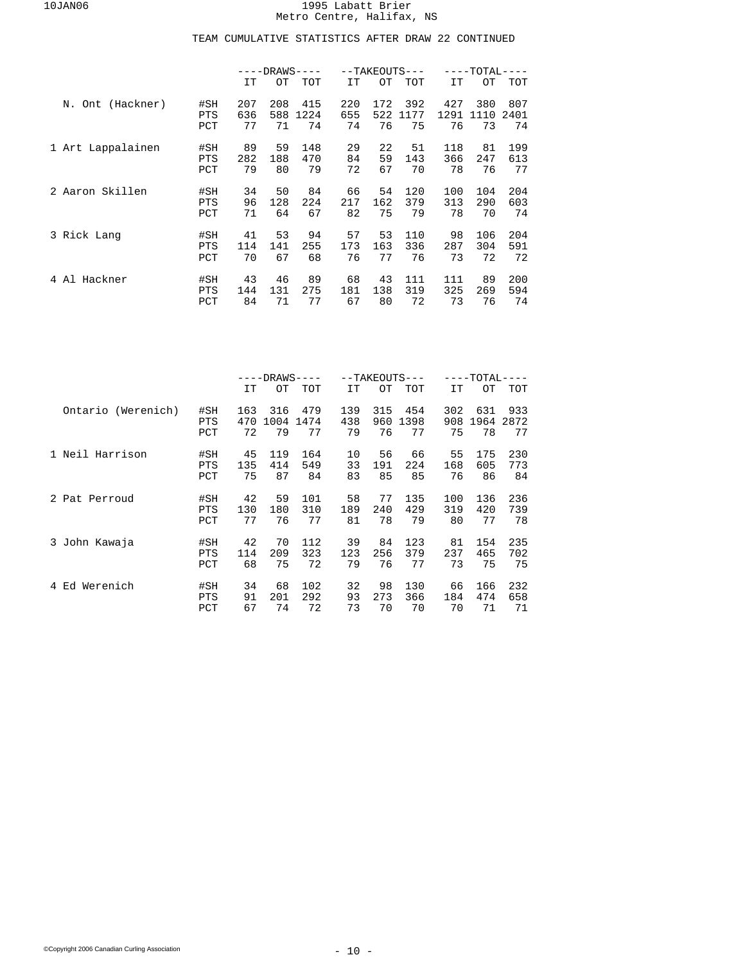|                   |                   |            | -DRAWS·    |             |            |            | --TAKEOUTS--- |             | -TOTAL      |             |
|-------------------|-------------------|------------|------------|-------------|------------|------------|---------------|-------------|-------------|-------------|
|                   |                   | IT         | OТ         | TOT         | IT         | OТ         | <b>TOT</b>    | IT          | OТ          | <b>TOT</b>  |
| N. Ont (Hackner)  | #SH<br><b>PTS</b> | 207<br>636 | 208<br>588 | 415<br>1224 | 220<br>655 | 172<br>522 | 392<br>1177   | 427<br>1291 | 380<br>1110 | 807<br>2401 |
|                   | PCT               | 77         | 71         | 74          | 74         | 76         | 75            | 76          | 73          | 74          |
| 1 Art Lappalainen | #SH               | 89         | 59         | 148         | 29         | 22         | 51            | 118         | 81          | 199         |
|                   | <b>PTS</b>        | 282        | 188        | 470         | 84         | 59         | 143           | 366         | 247         | 613         |
|                   | PCT               | 79         | 80         | 79          | 72         | 67         | 70            | 78          | 76          | 77          |
| 2 Aaron Skillen   | #SH               | 34         | 50         | 84          | 66         | 54         | 120           | 100         | 104         | 204         |
|                   | <b>PTS</b>        | 96         | 128        | 224         | 217        | 162        | 379           | 313         | 290         | 603         |
|                   | PCT               | 71         | 64         | 67          | 82         | 75         | 79            | 78          | 70          | 74          |
| 3 Rick Lang       | #SH               | 41         | 53         | 94          | 57         | 53         | 110           | 98          | 106         | 204         |
|                   | <b>PTS</b>        | 114        | 141        | 255         | 173        | 163        | 336           | 287         | 304         | 591         |
|                   | PCT               | 70         | 67         | 68          | 76         | 77         | 76            | 73          | 72          | 72          |
| Al Hackner<br>4   | #SH               | 43         | 46         | 89          | 68         | 43         | 111           | 111         | 89          | 200         |
|                   | <b>PTS</b>        | 144        | 131        | 275         | 181        | 138        | 319           | 325         | 269         | 594         |
|                   | PCT               | 84         | 71         | 77          | 67         | 80         | 72            | 73          | 76          | 74          |

|                    |                          | -DRAWS         |                 |                  |                | --TAKEOUTS---   |                  | -TOTAL·         |                  |                  |  |
|--------------------|--------------------------|----------------|-----------------|------------------|----------------|-----------------|------------------|-----------------|------------------|------------------|--|
|                    |                          | IT             | OТ              | TOT              | IT             | OТ              | TOT              | IT              | OТ               | TOT              |  |
| Ontario (Werenich) | #SH                      | 163            | 316             | 479              | 139            | 315             | 454              | 302             | 631              | 933              |  |
|                    | <b>PTS</b>               | 470            | 1004            | 1474             | 438            | 960             | 1398             | 908             | 1964             | 2872             |  |
|                    | PCT                      | 72             | 79              | 77               | 79             | 76              | 77               | 75              | 78               | 77               |  |
| 1 Neil Harrison    | #SH                      | 45             | 119             | 164              | 10             | 56              | 66               | 55              | 175              | 230              |  |
|                    | <b>PTS</b>               | 135            | 414             | 549              | 33             | 191             | 224              | 168             | 605              | 773              |  |
|                    | PCT                      | 75             | 87              | 84               | 83             | 85              | 85               | 76              | 86               | 84               |  |
| 2 Pat Perroud      | #SH                      | 42             | 59              | 101              | 58             | 77              | 135              | 100             | 136              | 236              |  |
|                    | <b>PTS</b>               | 130            | 180             | 310              | 189            | 240             | 429              | 319             | 420              | 739              |  |
|                    | PCT                      | 77             | 76              | 77               | 81             | 78              | 79               | 80              | 77               | 78               |  |
| 3 John Kawaja      | #SH                      | 42             | 70              | 112              | 39             | 84              | 123              | 81              | 154              | 235              |  |
|                    | <b>PTS</b>               | 114            | 209             | 323              | 123            | 256             | 379              | 237             | 465              | 702              |  |
|                    | PCT                      | 68             | 75              | 72               | 79             | 76              | 77               | 73              | 75               | 75               |  |
| Ed Werenich<br>4   | #SH<br><b>PTS</b><br>PCT | 34<br>91<br>67 | 68<br>201<br>74 | 102<br>292<br>72 | 32<br>93<br>73 | 98<br>273<br>70 | 130<br>366<br>70 | 66<br>184<br>70 | 166<br>474<br>71 | 232<br>658<br>71 |  |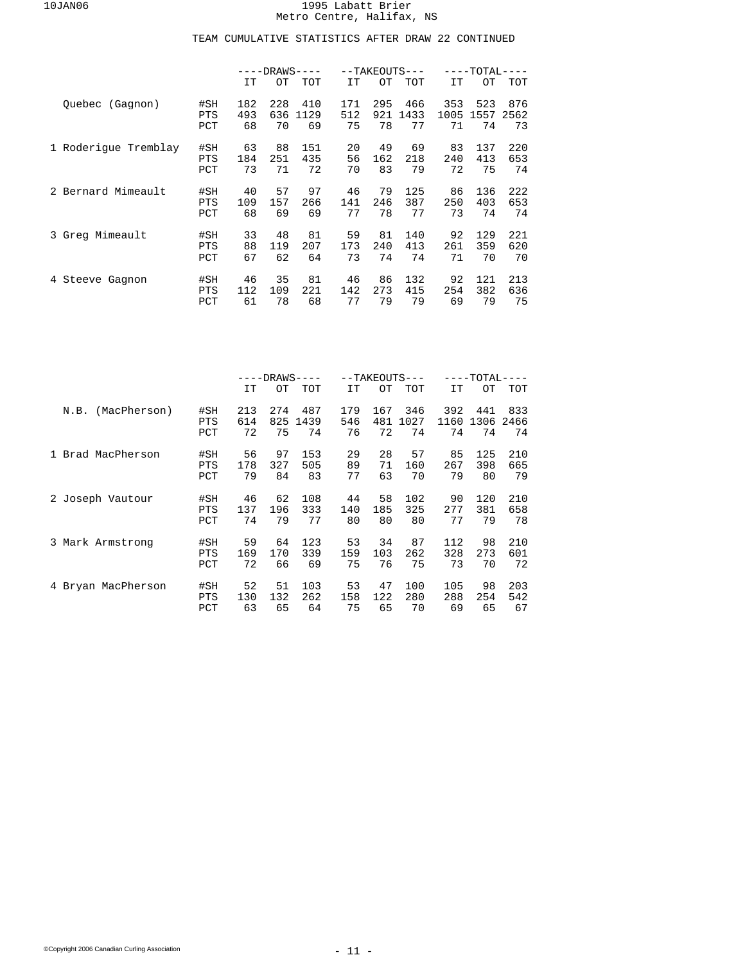|                        |                          | $---DRAWS-$      |                  |                   | --TAKEOUTS---    |                  | ----TOTAL         |                   |                   |                   |
|------------------------|--------------------------|------------------|------------------|-------------------|------------------|------------------|-------------------|-------------------|-------------------|-------------------|
|                        |                          | IT               | OТ               | TOT               | IT               | OТ               | <b>TOT</b>        | IT                | OТ                | <b>TOT</b>        |
| Quebec (Gagnon)        | #SH<br><b>PTS</b><br>PCT | 182<br>493<br>68 | 228<br>636<br>70 | 410<br>1129<br>69 | 171<br>512<br>75 | 295<br>921<br>78 | 466<br>1433<br>77 | 353<br>1005<br>71 | 523<br>1557<br>74 | 876<br>2562<br>73 |
| 1 Roderique Tremblay   | #SH<br><b>PTS</b><br>PCT | 63<br>184<br>73  | 88<br>251<br>71  | 151<br>435<br>72  | 20<br>56<br>70   | 49<br>162<br>83  | 69<br>218<br>79   | 83<br>240<br>72   | 137<br>413<br>75  | 220<br>653<br>74  |
| Bernard Mimeault<br>2. | #SH<br><b>PTS</b><br>PCT | 40<br>109<br>68  | 57<br>157<br>69  | 97<br>266<br>69   | 46<br>141<br>77  | 79<br>246<br>78  | 125<br>387<br>77  | 86<br>250<br>73   | 136<br>403<br>74  | 222<br>653<br>74  |
| 3 Greg Mimeault        | #SH<br><b>PTS</b><br>PCT | 33<br>88<br>67   | 48<br>119<br>62  | 81<br>207<br>64   | 59<br>173<br>73  | 81<br>240<br>74  | 140<br>413<br>74  | 92<br>261<br>71   | 129<br>359<br>70  | 221<br>620<br>70  |
| Steeve Gagnon<br>4     | #SH<br><b>PTS</b><br>PCT | 46<br>112<br>61  | 35<br>109<br>78  | 81<br>221<br>68   | 46<br>142<br>77  | 86<br>273<br>79  | 132<br>415<br>79  | 92<br>254<br>69   | 121<br>382<br>79  | 213<br>636<br>75  |

|                      |                          | -DRAWS·          |                  |                   |                  | --TAKEOUTS---    |                   | $-{\tt TOTAL}\cdot$ |                   |                   |  |
|----------------------|--------------------------|------------------|------------------|-------------------|------------------|------------------|-------------------|---------------------|-------------------|-------------------|--|
|                      |                          | IT               | OТ               | TOT               | IT               | OТ               | TOT               | IT                  | OТ                | TOT               |  |
| (MacPherson)<br>N.B. | #SH<br><b>PTS</b><br>PCT | 213<br>614<br>72 | 274<br>825<br>75 | 487<br>1439<br>74 | 179<br>546<br>76 | 167<br>481<br>72 | 346<br>1027<br>74 | 392<br>1160<br>74   | 441<br>1306<br>74 | 833<br>2466<br>74 |  |
| Brad MacPherson      | #SH                      | 56               | 97               | 153               | 29               | 28               | 57                | 85                  | 125               | 210               |  |
|                      | <b>PTS</b>               | 178              | 327              | 505               | 89               | 71               | 160               | 267                 | 398               | 665               |  |
|                      | PCT                      | 79               | 84               | 83                | 77               | 63               | 70                | 79                  | 80                | 79                |  |
| 2 Joseph Vautour     | #SH                      | 46               | 62               | 108               | 44               | 58               | 102               | 90                  | 120               | 210               |  |
|                      | <b>PTS</b>               | 137              | 196              | 333               | 140              | 185              | 325               | 277                 | 381               | 658               |  |
|                      | PCT                      | 74               | 79               | 77                | 80               | 80               | 80                | 77                  | 79                | 78                |  |
| 3 Mark Armstrong     | #SH                      | 59               | 64               | 123               | 53               | 34               | 87                | 112                 | 98                | 210               |  |
|                      | <b>PTS</b>               | 169              | 170              | 339               | 159              | 103              | 262               | 328                 | 273               | 601               |  |
|                      | PCT                      | 72               | 66               | 69                | 75               | 76               | 75                | 73                  | 70                | 72                |  |
| 4 Bryan MacPherson   | #SH                      | 52               | 51               | 103               | 53               | 47               | 100               | 105                 | 98                | 203               |  |
|                      | <b>PTS</b>               | 130              | 132              | 262               | 158              | 122              | 280               | 288                 | 254               | 542               |  |
|                      | PCT                      | 63               | 65               | 64                | 75               | 65               | 70                | 69                  | 65                | 67                |  |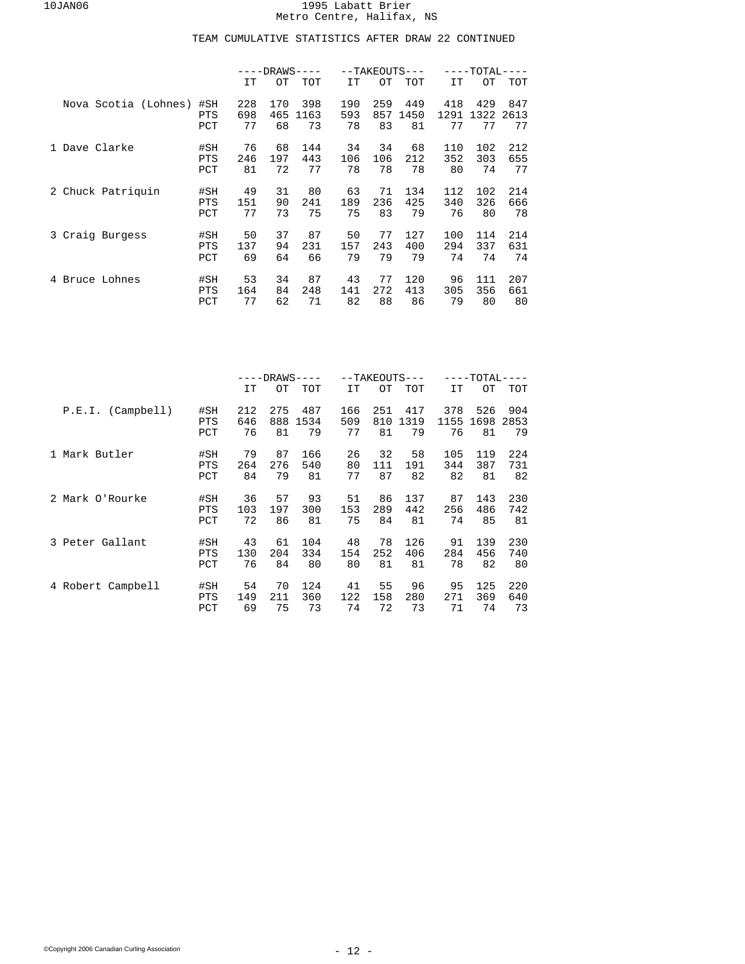|                      |                          | $---DRAWS-$     |                |                 | --TAKEOUTS      |                 | -TOTAL           |                 |                  |                  |
|----------------------|--------------------------|-----------------|----------------|-----------------|-----------------|-----------------|------------------|-----------------|------------------|------------------|
|                      |                          | IT              | OТ             | TOT             | IT              | OТ              | <b>TOT</b>       | IT              | OТ               | TOT              |
| Nova Scotia (Lohnes) | #SH                      | 228             | 170            | 398             | 190             | 259             | 449              | 418             | 429              | 847              |
|                      | <b>PTS</b>               | 698             | 465            | 1163            | 593             | 857             | 1450             | 1291            | 1322             | 2613             |
|                      | PCT                      | 77              | 68             | 73              | 78              | 83              | 81               | 77              | 77               | 77               |
| Dave Clarke          | #SH                      | 76              | 68             | 144             | 34              | 34              | 68               | 110             | 102              | 212              |
|                      | <b>PTS</b>               | 246             | 197            | 443             | 106             | 106             | 212              | 352             | 303              | 655              |
|                      | PCT                      | 81              | 72             | 77              | 78              | 78              | 78               | 80              | 74               | 77               |
| 2 Chuck Patriquin    | #SH                      | 49              | 31             | 80              | 63              | 71              | 134              | 112             | 102              | 214              |
|                      | <b>PTS</b>               | 151             | 90             | 241             | 189             | 236             | 425              | 340             | 326              | 666              |
|                      | PCT                      | 77              | 73             | 75              | 75              | 83              | 79               | 76              | 80               | 78               |
| 3 Craig Burgess      | #SH                      | 50              | 37             | 87              | 50              | 77              | 127              | 100             | 114              | 214              |
|                      | <b>PTS</b>               | 137             | 94             | 231             | 157             | 243             | 400              | 294             | 337              | 631              |
|                      | PCT                      | 69              | 64             | 66              | 79              | 79              | 79               | 74              | 74               | 74               |
| Bruce Lohnes<br>4    | #SH<br><b>PTS</b><br>PCT | 53<br>164<br>77 | 34<br>84<br>62 | 87<br>248<br>71 | 43<br>141<br>82 | 77<br>272<br>88 | 120<br>413<br>86 | 96<br>305<br>79 | 111<br>356<br>80 | 207<br>661<br>80 |

|                   |            | -DRAWS· |     |      |     | --TAKEOUTS--- | -TOTAL- |      |      |      |
|-------------------|------------|---------|-----|------|-----|---------------|---------|------|------|------|
|                   |            | IT      | OТ  | TOT  | IT  | OТ            | TOT     | IT   | OТ   | TOT  |
| P.E.I. (Camplell) | #SH        | 212     | 275 | 487  | 166 | 251           | 417     | 378  | 526  | 904  |
|                   | <b>PTS</b> | 646     | 888 | 1534 | 509 | 810           | 1319    | 1155 | 1698 | 2853 |
|                   | PCT        | 76      | 81  | 79   | 77  | 81            | 79      | 76   | 81   | 79   |
| 1 Mark Butler     | #SH        | 79      | 87  | 166  | 26  | 32            | 58      | 105  | 119  | 224  |
|                   | <b>PTS</b> | 264     | 276 | 540  | 80  | 111           | 191     | 344  | 387  | 731  |
|                   | PCT        | 84      | 79  | 81   | 77  | 87            | 82      | 82   | 81   | 82   |
| 2 Mark O'Rourke   | #SH        | 36      | 57  | 93   | 51  | 86            | 137     | 87   | 143  | 230  |
|                   | <b>PTS</b> | 103     | 197 | 300  | 153 | 289           | 442     | 256  | 486  | 742  |
|                   | PCT        | 72      | 86  | 81   | 75  | 84            | 81      | 74   | 85   | 81   |
| 3 Peter Gallant   | #SH        | 43      | 61  | 104  | 48  | 78            | 126     | 91   | 139  | 230  |
|                   | <b>PTS</b> | 130     | 204 | 334  | 154 | 252           | 406     | 284  | 456  | 740  |
|                   | PCT        | 76      | 84  | 80   | 80  | 81            | 81      | 78   | 82   | 80   |
| 4 Robert Campbell | #SH        | 54      | 70  | 124  | 41  | 55            | 96      | 95   | 125  | 220  |
|                   | <b>PTS</b> | 149     | 211 | 360  | 122 | 158           | 280     | 271  | 369  | 640  |
|                   | PCT        | 69      | 75  | 73   | 74  | 72            | 73      | 71   | 74   | 73   |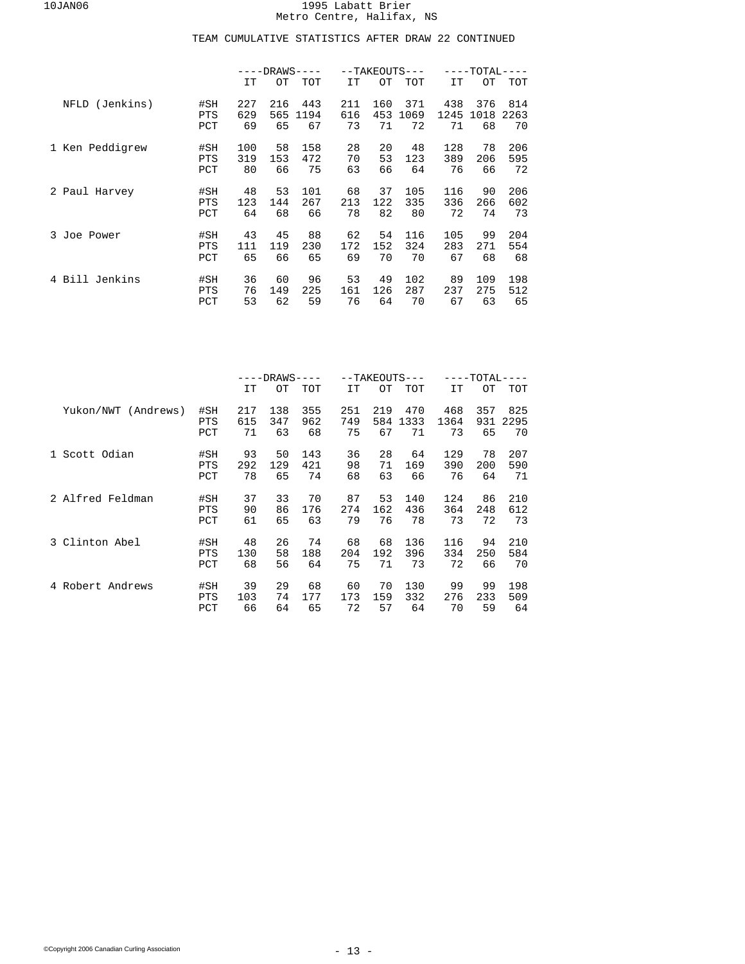|                   |                          | -DRAWS-          |                  |                   |                  | --TAKEOUTS---    | -TOTAL            |                   |                   |                   |
|-------------------|--------------------------|------------------|------------------|-------------------|------------------|------------------|-------------------|-------------------|-------------------|-------------------|
|                   |                          | IT               | OТ               | TOT               | IT               | OТ               | <b>TOT</b>        | IT                | OТ                | <b>TOT</b>        |
| (Jenkins)<br>NFLD | #SH<br><b>PTS</b><br>PCT | 227<br>629<br>69 | 216<br>565<br>65 | 443<br>1194<br>67 | 211<br>616<br>73 | 160<br>453<br>71 | 371<br>1069<br>72 | 438<br>1245<br>71 | 376<br>1018<br>68 | 814<br>2263<br>70 |
| 1 Ken Peddigrew   | #SH                      | 100              | 58               | 158               | 28               | 20               | 48                | 128               | 78                | 206               |
|                   | <b>PTS</b>               | 319              | 153              | 472               | 70               | 53               | 123               | 389               | 206               | 595               |
|                   | PCT                      | 80               | 66               | 75                | 63               | 66               | 64                | 76                | 66                | 72                |
| 2 Paul Harvey     | #SH                      | 48               | 53               | 101               | 68               | 37               | 105               | 116               | 90                | 206               |
|                   | <b>PTS</b>               | 123              | 144              | 267               | 213              | 122              | 335               | 336               | 266               | 602               |
|                   | PCT                      | 64               | 68               | 66                | 78               | 82               | 80                | 72                | 74                | 73                |
| 3 Joe Power       | #SH                      | 43               | 45               | 88                | 62               | 54               | 116               | 105               | 99                | 204               |
|                   | <b>PTS</b>               | 111              | 119              | 230               | 172              | 152              | 324               | 283               | 271               | 554               |
|                   | PCT                      | 65               | 66               | 65                | 69               | 70               | 70                | 67                | 68                | 68                |
| Jenkins           | #SH                      | 36               | 60               | 96                | 53               | 49               | 102               | 89                | 109               | 198               |
| Bill              | <b>PTS</b>               | 76               | 149              | 225               | 161              | 126              | 287               | 237               | 275               | 512               |
| 4                 | PCT                      | 53               | 62               | 59                | 76               | 64               | 70                | 67                | 63                | 65                |

|                        |                          | $---DRANS$       |                  |                  |                  |                  | --TAKEOUTS---     | ----TOTAL-        |                  |                   |  |
|------------------------|--------------------------|------------------|------------------|------------------|------------------|------------------|-------------------|-------------------|------------------|-------------------|--|
|                        |                          | IT               | OТ               | TOT              | IT               | OТ               | TOT               | IT                | OТ               | TOT               |  |
| Yukon/NWT<br>(Andrews) | #SH<br><b>PTS</b><br>PCT | 217<br>615<br>71 | 138<br>347<br>63 | 355<br>962<br>68 | 251<br>749<br>75 | 219<br>584<br>67 | 470<br>1333<br>71 | 468<br>1364<br>73 | 357<br>931<br>65 | 825<br>2295<br>70 |  |
| 1 Scott Odian          | #SH                      | 93               | 50               | 143              | 36               | 28               | 64                | 129               | 78               | 207               |  |
|                        | <b>PTS</b>               | 292              | 129              | 421              | 98               | 71               | 169               | 390               | 200              | 590               |  |
|                        | PCT                      | 78               | 65               | 74               | 68               | 63               | 66                | 76                | 64               | 71                |  |
| 2 Alfred Feldman       | #SH                      | 37               | 33               | 70               | 87               | 53               | 140               | 124               | 86               | 210               |  |
|                        | <b>PTS</b>               | 90               | 86               | 176              | 274              | 162              | 436               | 364               | 248              | 612               |  |
|                        | PCT                      | 61               | 65               | 63               | 79               | 76               | 78                | 73                | 72               | 73                |  |
| 3 Clinton Abel         | #SH                      | 48               | 26               | 74               | 68               | 68               | 136               | 116               | 94               | 210               |  |
|                        | <b>PTS</b>               | 130              | 58               | 188              | 204              | 192              | 396               | 334               | 250              | 584               |  |
|                        | PCT                      | 68               | 56               | 64               | 75               | 71               | 73                | 72                | 66               | 70                |  |
| 4 Robert Andrews       | #SH                      | 39               | 29               | 68               | 60               | 70               | 130               | 99                | 99               | 198               |  |
|                        | <b>PTS</b>               | 103              | 74               | 177              | 173              | 159              | 332               | 276               | 233              | 509               |  |
|                        | PCT                      | 66               | 64               | 65               | 72               | 57               | 64                | 70                | 59               | 64                |  |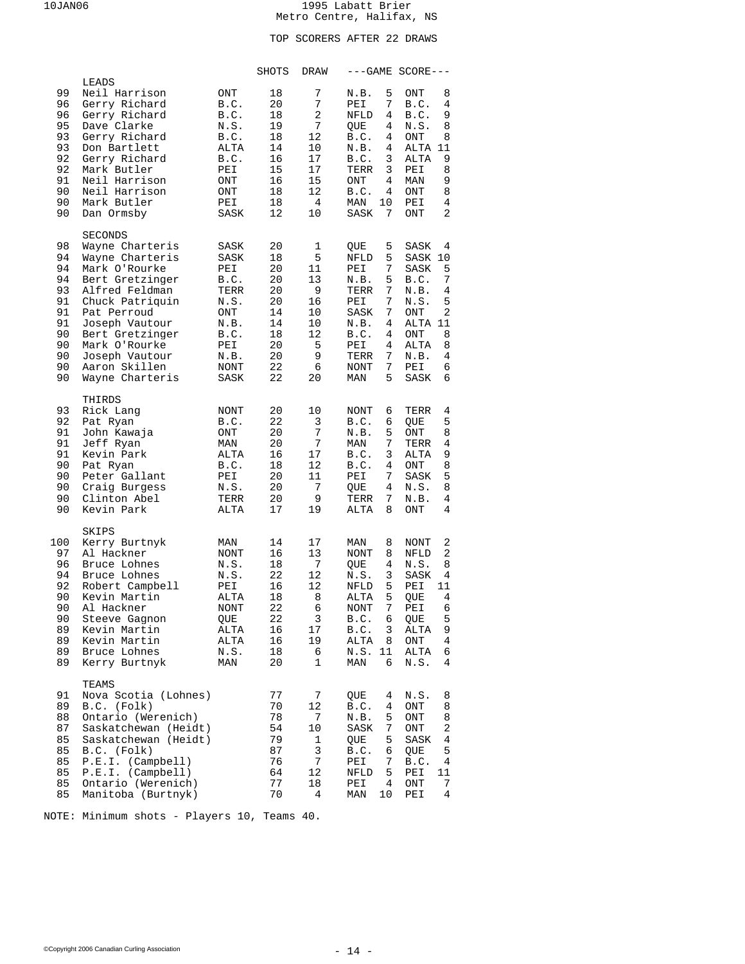# TOP SCORERS AFTER 22 DRAWS

|                                                                            |                                                                                                                                                                                                                                                          |                                                                                                        | SHOTS                                                                      | DRAW                                                                         |                                                                                                                                                                      | $---GAME SCORE---$                                                                                                                                                       |
|----------------------------------------------------------------------------|----------------------------------------------------------------------------------------------------------------------------------------------------------------------------------------------------------------------------------------------------------|--------------------------------------------------------------------------------------------------------|----------------------------------------------------------------------------|------------------------------------------------------------------------------|----------------------------------------------------------------------------------------------------------------------------------------------------------------------|--------------------------------------------------------------------------------------------------------------------------------------------------------------------------|
| 99<br>96<br>96<br>95<br>93<br>93<br>92<br>92<br>91<br>90<br>90<br>90       | LEADS<br>Neil Harrison<br>Gerry Richard<br>Gerry Richard<br>Dave Clarke<br>Gerry Richard<br>Don Bartlett<br>Gerry Richard<br>Mark Butler<br>Neil Harrison<br>Neil Harrison<br>Mark Butler<br>Dan Ormsby                                                  | ONT<br>B.C.<br>B.C.<br>N.S.<br>B.C.<br>ALTA<br>B.C.<br>PEI<br>ONT<br>ONT<br>PEI<br>SASK                | 18<br>20<br>18<br>19<br>18<br>14<br>16<br>15<br>16<br>18<br>18<br>12       | 7<br>7<br>2<br>7<br>12<br>10<br>17<br>17<br>15<br>12<br>$\overline{4}$<br>10 | 5<br>N.B.<br>7<br>PEI<br>4<br>NFLD<br>4<br>QUE<br>B.C.<br>4<br>N.B.<br>4<br>B.C.<br>3<br>TERR<br>3<br>ONT<br>4<br>B.C.<br>4<br>MAN<br>10<br>7<br>SASK                | ONT<br>8<br>B.C.<br>4<br>9<br>B.C.<br>N.S.<br>8<br>ONT<br>8<br>ALTA 11<br>9<br>ALTA<br>8<br>PEI<br>9<br>MAN<br>ONT<br>8<br>PEI<br>4<br>2<br>ONT                          |
| 98<br>94<br>94<br>94<br>93<br>91<br>91<br>91<br>90<br>90<br>90<br>90<br>90 | <b>SECONDS</b><br>Wayne Charteris<br>Wayne Charteris<br>Mark O'Rourke<br>Bert Gretzinger<br>Alfred Feldman<br>Chuck Patriquin<br>Pat Perroud<br>Joseph Vautour<br>Bert Gretzinger<br>Mark O'Rourke<br>Joseph Vautour<br>Aaron Skillen<br>Wayne Charteris | SASK<br>SASK<br>PEI<br>B.C.<br>TERR<br>N.S.<br>ONT<br>N.B.<br>B.C.<br>PEI<br>N.B.<br>NONT<br>SASK      | 20<br>18<br>20<br>20<br>20<br>20<br>14<br>14<br>18<br>20<br>20<br>22<br>22 | 1<br>5<br>11<br>13<br>9<br>16<br>10<br>10<br>12<br>5<br>9<br>6<br>20         | 5<br>QUE<br>5<br>NFLD<br>7<br>PEI<br>5<br>N.B.<br>7<br>TERR<br>7<br>PEI<br>7<br>SASK<br>N.B.<br>4<br>B.C.<br>4<br>PEI<br>4<br>7<br>TERR<br>7<br>NONT<br>5<br>MAN     | SASK<br>4<br>SASK 10<br>5<br>SASK<br>7<br>B.C.<br>N.B.<br>4<br>5<br>N.S.<br>2<br>ONT<br>ALTA 11<br>ONT<br>8<br>ALTA<br>8<br>N.B.<br>4<br>PEI<br>6<br>SASK<br>6           |
| 93<br>92<br>91<br>91<br>91<br>90<br>90<br>90<br>90<br>90                   | THIRDS<br>Rick Lang<br>Pat Ryan<br>John Kawaja<br>Jeff Ryan<br>Kevin Park<br>Pat Ryan<br>Peter Gallant<br>Craig Burgess<br>Clinton Abel<br>Kevin Park                                                                                                    | NONT<br>B.C.<br>ONT<br>MAN<br>ALTA<br>B.C.<br>PEI<br>N.S.<br>TERR<br>ALTA                              | 20<br>22<br>20<br>20<br>16<br>18<br>20<br>20<br>20<br>$17$                 | 10<br>3<br>7<br>7<br>17<br>12<br>11<br>7<br>9<br>19                          | NONT<br>6<br>6<br>B.C.<br>N.B.<br>5<br>7<br>MAN<br>3<br>B.C.<br>B.C.<br>4<br>PEI<br>7<br>4<br>QUE<br>TERR<br>7<br>ALTA<br>8                                          | 4<br>TERR<br>5<br>QUE<br>8<br>ONT<br>4<br>TERR<br>9<br>ALTA<br>8<br>ONT<br>5<br>SASK<br>N.S.<br>8<br>N.B.<br>4<br>4<br>ONT                                               |
| 100<br>97<br>96<br>94<br>92<br>90<br>90<br>90<br>89<br>89<br>89<br>89      | SKIPS<br>Kerry Burtnyk<br>Al Hackner<br>Bruce Lohnes<br>Bruce Lohnes<br>Robert Campbell<br>Kevin Martin<br>Al Hackner<br>Steeve Gagnon<br>Kevin Martin<br>Kevin Martin<br>Bruce Lohnes<br>Kerry Burtnyk                                                  | MAN<br><b>NONT</b><br>N.S.<br>N.S.<br>PEI<br>ALTA<br><b>NONT</b><br>QUE<br>ALTA<br>ALTA<br>N.S.<br>MAN | 14<br>16<br>18<br>22<br>16<br>18<br>22<br>22<br>16<br>16<br>18<br>20       | 17<br>13<br>7<br>12<br>12<br>8<br>6<br>3<br>17<br>19<br>6<br>1               | MAN<br>8<br><b>NONT</b><br>8<br>4<br>QUE<br>3<br>N.S.<br>5<br>NFLD<br>5<br>ALTA<br>7<br><b>NONT</b><br>B.C.<br>6<br>B.C.<br>3<br>ALTA<br>8<br>N.S.<br>11<br>MAN<br>6 | 2<br>NONT<br>2<br>NFLD<br>N.S.<br>8<br>SASK<br>4<br>PEI<br>11<br>4<br>QUE<br>6<br>PEI<br>5<br>QUE<br>9<br>ALTA<br>$\overline{4}$<br>ONT<br>ALTA<br>6<br>N.S.<br>4        |
| 91<br>89<br>88<br>87<br>85<br>85<br>85<br>85<br>85<br>85                   | TEAMS<br>Nova Scotia (Lohnes)<br>B.C. (Folk)<br>Ontario (Werenich)<br>Saskatchewan (Heidt)<br>Saskatchewan (Heidt)<br>B.C. (Folk)<br>P.E.I. (Camplell)<br>P.E.I. (Camplell)<br>Ontario (Werenich)<br>Manitoba (Burtnyk)                                  |                                                                                                        | 77<br>70<br>78<br>54<br>79<br>87<br>76<br>64<br>77<br>70                   | 7<br>12<br>7<br>10<br>1<br>3<br>7<br>12<br>18<br>4                           | QUE<br>4<br>B.C.<br>4<br>N.B.<br>5<br>7<br>SASK<br>QUE<br>5<br>B.C.<br>6<br>PEI<br>7<br>5<br>NFLD<br>PEI<br>4<br>MAN<br>10                                           | N.S.<br>8<br>ONT<br>8<br>ONT<br>8<br>$\overline{\mathbf{c}}$<br>ONT<br>$\overline{4}$<br>SASK<br>5<br>QUE<br>$\overline{4}$<br>B.C.<br>PEI<br>11<br>ONT<br>7<br>4<br>PEI |

NOTE: Minimum shots - Players 10, Teams 40.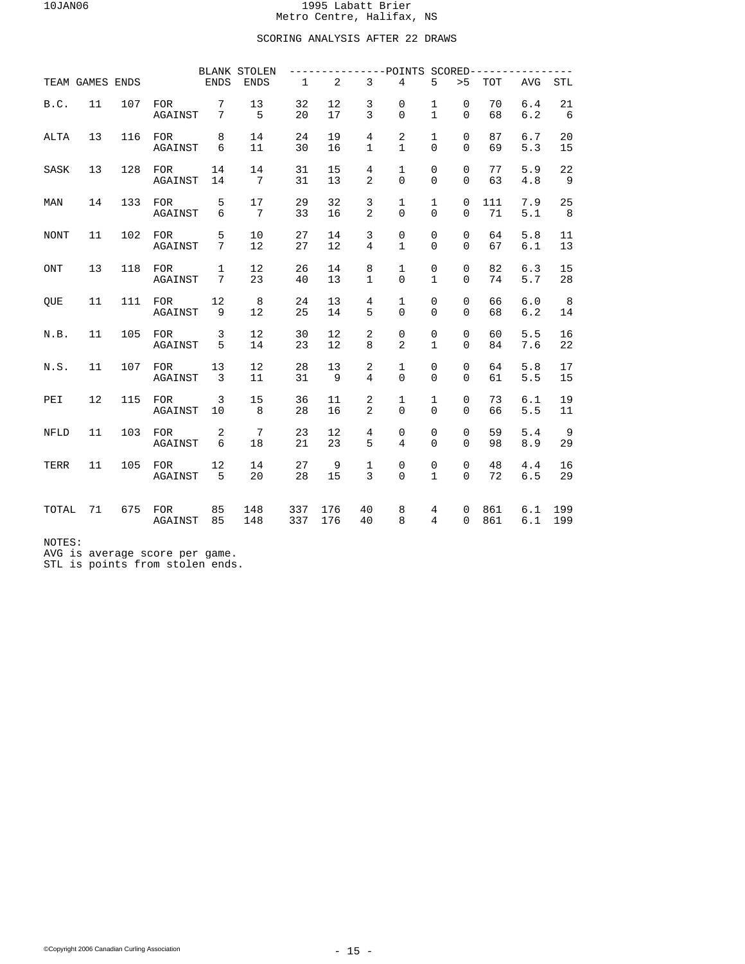## SCORING ANALYSIS AFTER 22 DRAWS

|             |                 |     |                       |                      | <b>BLANK STOLEN</b>   |              |                |                                  | ----POINTS SCORED--------      |                                     |                         |            |            |            |
|-------------|-----------------|-----|-----------------------|----------------------|-----------------------|--------------|----------------|----------------------------------|--------------------------------|-------------------------------------|-------------------------|------------|------------|------------|
|             | TEAM GAMES ENDS |     |                       | <b>ENDS</b>          | <b>ENDS</b>           | $\mathbf{1}$ | $\overline{2}$ | $\mathbf{3}$                     | $\overline{4}$                 | 5                                   | > 5                     | <b>TOT</b> | <b>AVG</b> | <b>STL</b> |
| B.C.        | 11              | 107 | <b>FOR</b><br>AGAINST | 7<br>7               | 13<br>5               | 32<br>20     | 12<br>17       | 3<br>$\overline{3}$              | 0<br>$\Omega$                  | $\mathbf{1}$<br>$\mathbf{1}$        | $\mathbf 0$<br>$\Omega$ | 70<br>68   | 6.4<br>6.2 | 21<br>6    |
| <b>ALTA</b> | 13              | 116 | <b>FOR</b><br>AGAINST | 8<br>6               | 14<br>11              | 24<br>30     | 19<br>16       | 4<br>$\mathbf{1}$                | $\overline{2}$<br>$\mathbf{1}$ | $\mathbf{1}$<br>$\Omega$            | $\mathbf 0$<br>$\Omega$ | 87<br>69   | 6.7<br>5.3 | 20<br>15   |
| SASK        | 13              | 128 | <b>FOR</b><br>AGAINST | 14<br>14             | 14<br>$7\overline{ }$ | 31<br>31     | 15<br>13       | $\overline{4}$<br>$\overline{2}$ | $\mathbf{1}$<br>$\Omega$       | $\mathsf 0$<br>$\Omega$             | $\mathbf 0$<br>$\Omega$ | 77<br>63   | 5.9<br>4.8 | 22<br>- 9  |
| MAN         | 14              | 133 | <b>FOR</b><br>AGAINST | 5<br>6               | 17<br>7               | 29<br>33     | 32<br>16       | 3<br>$\overline{2}$              | 1<br>$\mathbf 0$               | 1<br>$\mathbf 0$                    | 0<br>$\mathbf 0$        | 111<br>71  | 7.9<br>5.1 | 25<br>8    |
| <b>NONT</b> | 11              | 102 | <b>FOR</b><br>AGAINST | 5<br>7               | 10<br>12              | 27<br>27     | 14<br>12       | 3<br>4                           | 0<br>$\mathbf{1}$              | $\mathsf 0$<br>$\Omega$             | $\mathbf 0$<br>$\Omega$ | 64<br>67   | 5.8<br>6.1 | 11<br>13   |
| <b>ONT</b>  | 13              | 118 | <b>FOR</b><br>AGAINST | $\mathbf 1$<br>7     | 12<br>23              | 26<br>40     | 14<br>13       | 8<br>1                           | $\mathbf{1}$<br>0              | $\mathsf{O}\xspace$<br>$\mathbf{1}$ | $\mathbf 0$<br>0        | 82<br>74   | 6.3<br>5.7 | 15<br>28   |
| QUE         | 11              | 111 | <b>FOR</b><br>AGAINST | 12<br>9              | 8<br>12               | 24<br>25     | 13<br>14       | 4<br>5                           | 1<br>0                         | $\mathsf 0$<br>0                    | $\mathbf 0$<br>$\Omega$ | 66<br>68   | 6.0<br>6.2 | 8<br>14    |
| N.B.        | 11              | 105 | <b>FOR</b><br>AGAINST | 3<br>5               | 12<br>14              | 30<br>23     | 12<br>12       | 2<br>8                           | 0<br>$\overline{a}$            | $\mathsf 0$<br>$\mathbf{1}$         | $\mathbf 0$<br>$\Omega$ | 60<br>84   | 5.5<br>7.6 | 16<br>22   |
| N.S.        | 11              | 107 | <b>FOR</b><br>AGAINST | 13<br>$\overline{3}$ | 12<br>11              | 28<br>31     | 13<br>9        | 2<br>$\overline{4}$              | $\mathbf{1}$<br>$\Omega$       | $\mathsf 0$<br>$\Omega$             | $\mathbf 0$<br>$\Omega$ | 64<br>61   | 5.8<br>5.5 | 17<br>15   |
| PEI         | 12              | 115 | <b>FOR</b><br>AGAINST | 3<br>10              | 15<br>8               | 36<br>28     | 11<br>16       | 2<br>2                           | 1<br>$\Omega$                  | 1<br>$\Omega$                       | $\mathbf 0$<br>$\Omega$ | 73<br>66   | 6.1<br>5.5 | 19<br>11   |
| <b>NFLD</b> | 11              | 103 | <b>FOR</b><br>AGAINST | 2<br>6               | $\overline{7}$<br>18  | 23<br>21     | 12<br>23       | 4<br>5                           | 0<br>4                         | 0<br>$\Omega$                       | 0<br>$\Omega$           | 59<br>98   | 5.4<br>8.9 | 9<br>29    |
| TERR        | 11              | 105 | <b>FOR</b><br>AGAINST | 12<br>5              | 14<br>20              | 27<br>28     | 9<br>15        | $\mathbf 1$<br>3                 | 0<br>$\mathbf 0$               | 0<br>$\mathbf{1}$                   | $\mathbf 0$<br>$\Omega$ | 48<br>72   | 4.4<br>6.5 | 16<br>29   |
| TOTAL       | 71              | 675 | <b>FOR</b><br>AGAINST | 85<br>85             | 148<br>148            | 337<br>337   | 176<br>176     | 40<br>40                         | 8<br>8                         | 4<br>$\overline{4}$                 | $\mathbf 0$<br>$\Omega$ | 861<br>861 | 6.1<br>6.1 | 199<br>199 |

NOTES:

AVG is average score per game. STL is points from stolen ends.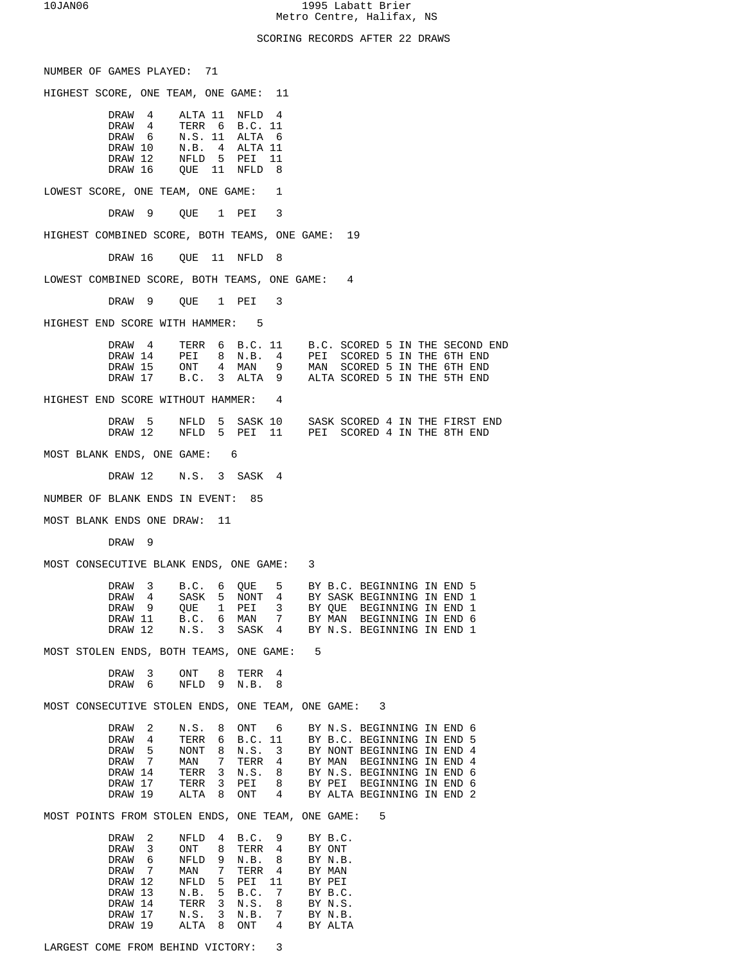## SCORING RECORDS AFTER 22 DRAWS

| NUMBER OF GAMES PLAYED:<br>71                                                                                                              |
|--------------------------------------------------------------------------------------------------------------------------------------------|
| HIGHEST SCORE, ONE TEAM, ONE GAME:<br>11                                                                                                   |
| DRAW 4<br>ALTA 11 NFLD<br>$\overline{4}$                                                                                                   |
| DRAW 4<br>TERR 6 B.C. 11                                                                                                                   |
| DRAW 6<br>N.S. 11<br>ALTA 6                                                                                                                |
| DRAW 10<br>N.B. 4<br>ALTA 11                                                                                                               |
| DRAW 12<br>NFLD 5<br>PEI<br>- 11                                                                                                           |
| DRAW 16<br>QUE 11<br>8<br>NFLD                                                                                                             |
| LOWEST SCORE, ONE TEAM, ONE GAME:<br>1                                                                                                     |
| DRAW 9<br>QUE 1<br>3<br>PEI                                                                                                                |
| HIGHEST COMBINED SCORE, BOTH TEAMS, ONE GAME: 19                                                                                           |
| DRAW 16<br>QUE 11<br>8<br>NFLD                                                                                                             |
| LOWEST COMBINED SCORE, BOTH TEAMS, ONE GAME:<br>$\overline{4}$                                                                             |
| DRAW 9<br>OUE 1 PEI<br>3                                                                                                                   |
| HIGHEST END SCORE WITH HAMMER: 5                                                                                                           |
| DRAW 4<br>TERR 6 B.C. 11 B.C. SCORED 5 IN THE SECOND END                                                                                   |
| SCORED 5 IN THE 6TH END<br>DRAW 14<br>PEI 8 N.B. 4<br>PEI                                                                                  |
| SCORED 5 IN THE 6TH END<br>DRAW 15<br>ONT 4 MAN<br>9<br>MAN                                                                                |
| ALTA 9 ALTA SCORED 5 IN THE 5TH END<br>$B.C.$ 3<br>DRAW 17                                                                                 |
| HIGHEST END SCORE WITHOUT HAMMER: 4                                                                                                        |
|                                                                                                                                            |
| DRAW 5<br>NFLD 5<br>SASK 10 SASK SCORED 4 IN THE FIRST END<br>DRAW 12<br>NFLD 5 PEI 11 PEI SCORED 4 IN THE 8TH END                         |
| MOST BLANK ENDS, ONE GAME: 6                                                                                                               |
| DRAW 12 N.S. 3 SASK 4                                                                                                                      |
| NUMBER OF BLANK ENDS IN EVENT:<br>85                                                                                                       |
| MOST BLANK ENDS ONE DRAW: 11                                                                                                               |
| DRAW 9                                                                                                                                     |
| MOST CONSECUTIVE BLANK ENDS, ONE GAME:<br>3                                                                                                |
|                                                                                                                                            |
| 3<br>B.C. 6<br>5 BY B.C. BEGINNING IN END 5<br>DRAW<br>OUE                                                                                 |
| 5<br>4<br>SASK<br>NONT<br>4<br>BY SASK BEGINNING IN END 1<br>DRAW                                                                          |
| 3<br>DRAW 9<br>OUE<br>1<br>PEI<br>BY QUE BEGINNING IN END 1                                                                                |
| MAN<br>7<br>DRAW 11<br>B.C.<br>6<br>BY MAN BEGINNING IN END 6<br>N.S.<br>DRAW 12<br>$\overline{3}$<br>SASK 4<br>BY N.S. BEGINNING IN END 1 |
|                                                                                                                                            |
| MOST STOLEN ENDS, BOTH TEAMS, ONE GAME:<br>5                                                                                               |
| 3<br>DRAW<br>ONT<br>8<br>TERR<br>4<br>DRAW<br>6<br>NFLD<br>9<br>N.B.<br>8                                                                  |
| MOST CONSECUTIVE STOLEN ENDS, ONE TEAM, ONE GAME: 3                                                                                        |
| DRAW<br>2<br>N.S.<br>8<br>ONT<br>6<br>BY N.S. BEGINNING IN END 6                                                                           |
| DRAW<br>4<br>TERR<br>B.C. 11<br>BY B.C. BEGINNING IN END 5<br>6                                                                            |
| 5<br>DRAW<br>NONT<br>N.S.<br>3<br>BY NONT BEGINNING IN END 4<br>8                                                                          |
| 7<br>TERR 4<br>DRAW<br>MAN<br>7<br>BY MAN BEGINNING IN END 4                                                                               |
| DRAW 14<br>TERR<br>3<br>N.S.<br>8<br>BY N.S. BEGINNING IN END 6                                                                            |
| 8<br>DRAW 17<br>TERR<br>3<br>PEI<br>BY PEI BEGINNING IN END 6                                                                              |
| DRAW 19<br>ALTA<br>8<br>ONT<br>$4\degree$<br>BY ALTA BEGINNING IN END 2                                                                    |
| MOST POINTS FROM STOLEN ENDS, ONE TEAM, ONE GAME:<br>5                                                                                     |
| DRAW<br>2<br>NFLD<br>B.C.<br>9<br>BY B.C.<br>4                                                                                             |
| DRAW<br>3<br>ONT<br>8<br>TERR 4<br>BY ONT                                                                                                  |
| DRAW<br>6<br>NFLD<br>9<br>N.B.<br>8<br>BY N.B.                                                                                             |
| DRAW<br>7<br>MAN<br>7<br>TERR<br>$\overline{4}$<br>BY MAN                                                                                  |
| 11<br>DRAW 12<br>NFLD<br>5<br>PEI<br>BY PEI                                                                                                |
| 5<br>DRAW 13<br>N.B.<br>B.C.<br>7<br>BY B.C.                                                                                               |
| DRAW 14<br>TERR<br>3<br>N.S.<br>8<br>BY N.S.                                                                                               |
| DRAW 17<br>N.S.<br>3<br>N.B.<br>7<br>BY N.B.                                                                                               |
| DRAW 19<br>ALTA<br>8<br>ONT<br>4<br>BY ALTA                                                                                                |
| 3<br>LARGEST COME FROM BEHIND VICTORY:                                                                                                     |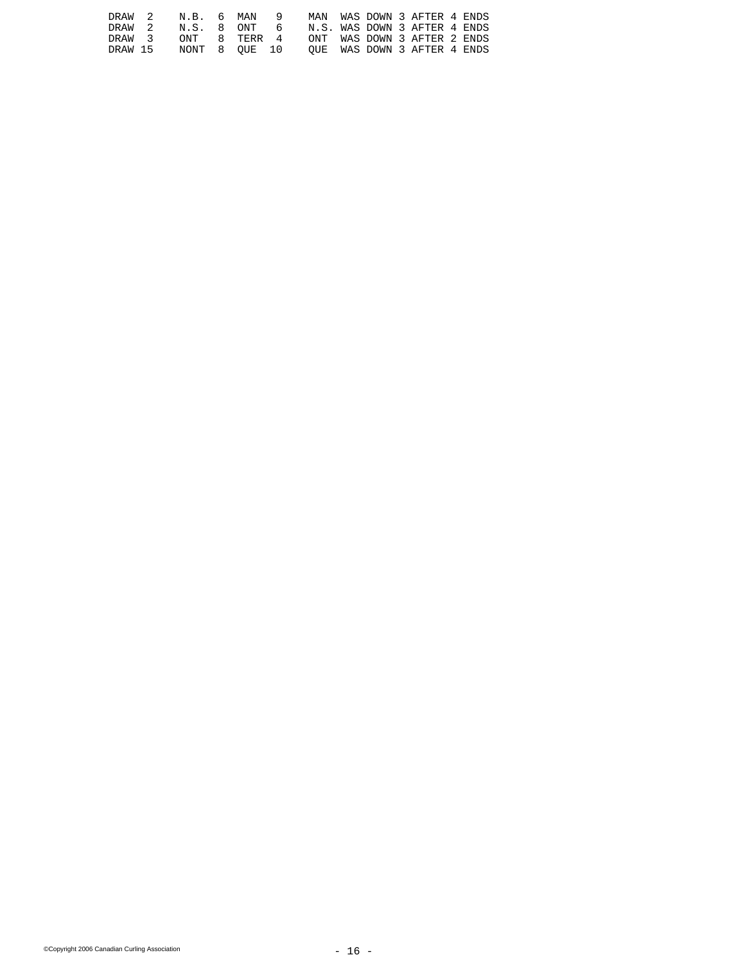| DRAW 2  |  |  | N.B. 6 MAN 9 MAN WAS DOWN 3 AFTER 4 ENDS  |  |  |  |
|---------|--|--|-------------------------------------------|--|--|--|
| DRAW 2  |  |  | N.S. 8 ONT 6 N.S. WAS DOWN 3 AFTER 4 ENDS |  |  |  |
| DRAW 3  |  |  | ONT 8 TERR 4 ONT WAS DOWN 3 AFTER 2 ENDS  |  |  |  |
| DRAW 15 |  |  | NONT 8 OUE 10 OUE WAS DOWN 3 AFTER 4 ENDS |  |  |  |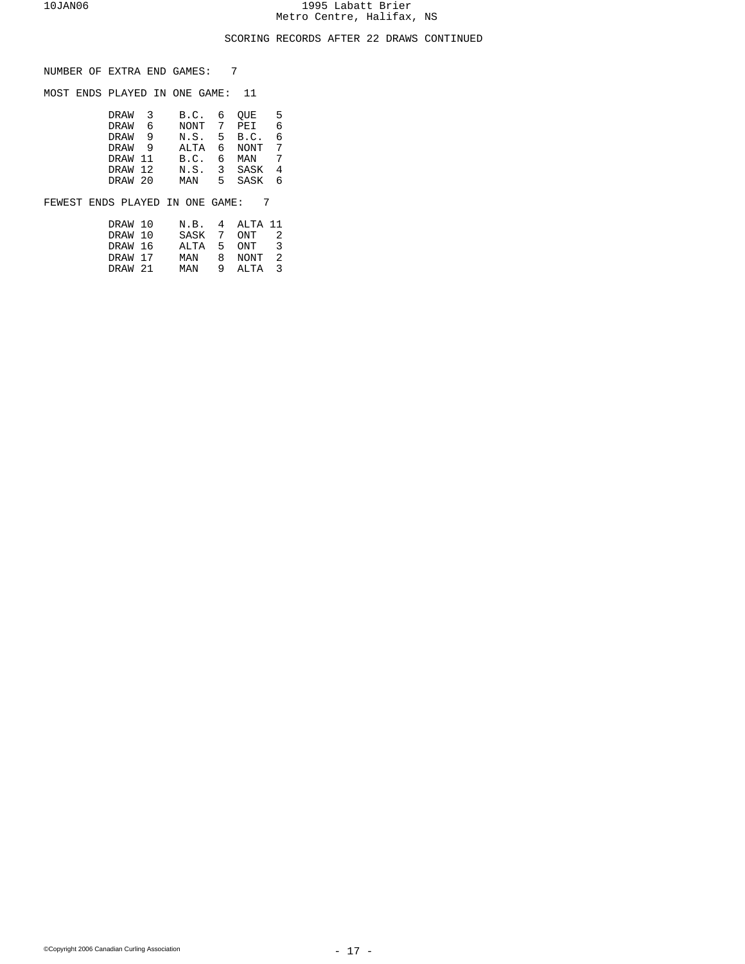## SCORING RECORDS AFTER 22 DRAWS CONTINUED

NUMBER OF EXTRA END GAMES: 7

MOST ENDS PLAYED IN ONE GAME: 11

| DRAW <sub>3</sub> |     | B.C.        | 6   | OUE         | -5 |
|-------------------|-----|-------------|-----|-------------|----|
| DRAW              | 6   | NONT 7 PEI  |     |             | 6  |
| DRAW              | − q | N.S. 5 B.C. |     |             | 6  |
| DRAW 9            |     | ALTA        | რ — | NONT 7      |    |
| DRAW 11           |     | B.C.        | რ — | MAN         | 7  |
| DRAW 12           |     |             |     | N.S. 3 SASK | 4  |
| DRAW 20           |     | MAN         | 5.  | SASK        | б. |
|                   |     |             |     |             |    |

FEWEST ENDS PLAYED IN ONE GAME: 7

| DRAW 10 | N.B. 4 ALTA 11 |           |                |
|---------|----------------|-----------|----------------|
| DRAW 10 | SASK 7 ONT     |           |                |
| DRAW 16 | ALTA 5 ONT     |           | -२             |
| DRAW 17 | MAN            | 8 NONT    | $\overline{2}$ |
| DRAW 21 | MAN            | 9 AT.TA 3 |                |
|         |                |           |                |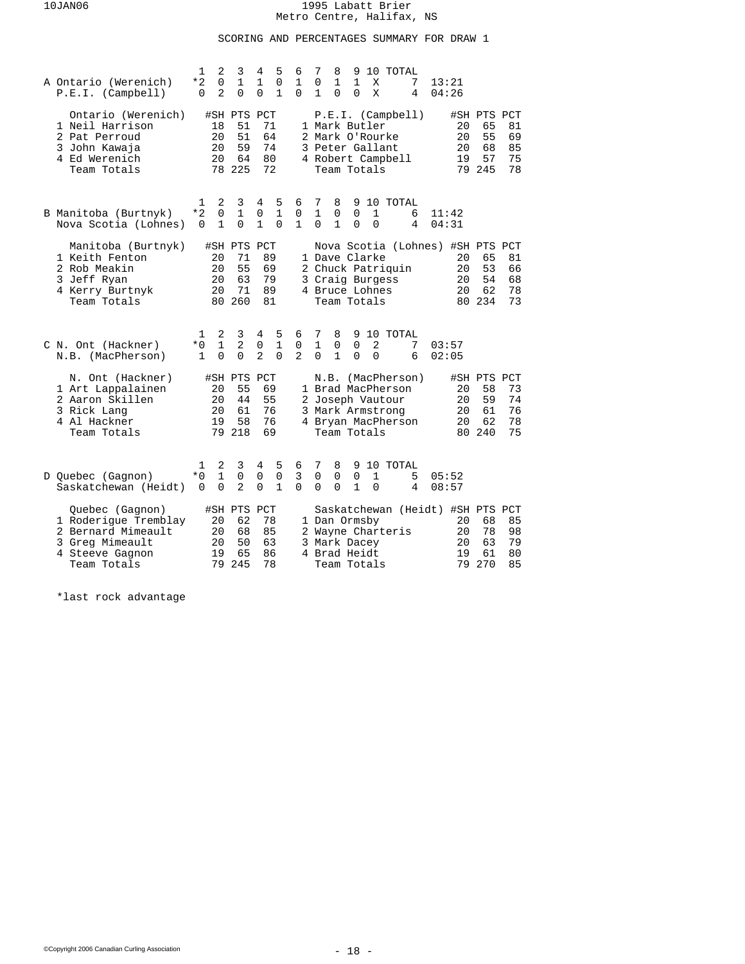# SCORING AND PERCENTAGES SUMMARY FOR DRAW 1

| A Ontario (Werenich)<br>P.E.I. (Camplell)                                                                          | 2<br>1<br>*2<br>$\Omega$<br>2<br>$\Omega$                  | 3<br>$\mathbf{1}$<br>$\Omega$                 | 5<br>4<br>$\mathbf{1}$<br>0<br>$\Omega$<br>1                        | 6<br>$\mathbf{1}$<br>$\Omega$    | 7<br>8<br>9<br>10 TOTAL<br>0<br>$\mathbf{1}$<br>$\mathbf{1}$<br>13:21<br>X<br>7<br>1<br>0<br>X<br>0<br>4<br>04:26                                                                                                             |
|--------------------------------------------------------------------------------------------------------------------|------------------------------------------------------------|-----------------------------------------------|---------------------------------------------------------------------|----------------------------------|-------------------------------------------------------------------------------------------------------------------------------------------------------------------------------------------------------------------------------|
| Ontario (Werenich)<br>1 Neil Harrison<br>2 Pat Perroud<br>3 John Kawaja<br>4 Ed Werenich<br>Team Totals            | 18<br>20<br>20<br>20                                       | #SH PTS PCT<br>51<br>51<br>59<br>64<br>78 225 | 71<br>64<br>74<br>80<br>72                                          |                                  | P.E.I. (Camplell)<br>#SH PTS PCT<br>1 Mark Butler<br>65<br>20<br>81<br>2 Mark O'Rourke<br>20<br>55<br>69<br>3 Peter Gallant<br>20<br>68<br>85<br>57<br>4 Robert Campbell<br>19<br>75<br>79 245<br>78<br>Team Totals           |
| B Manitoba (Burtnyk)<br>Nova Scotia (Lohnes)                                                                       | 2<br>1<br>*2<br>$\Omega$<br>$\mathbf{1}$<br>0              | 3<br>1<br>$\Omega$                            | 5<br>4<br>$\mathbf 0$<br>1<br>$\mathbf{1}$<br>$\Omega$              | 6<br>$\mathsf 0$<br>$\mathbf{1}$ | 7<br>10 TOTAL<br>8<br>9<br>$\mathbf{1}$<br>1<br>0<br>0<br>6<br>11:42<br>$\mathbf{1}$<br>$\Omega$<br>$\Omega$<br>04:31<br>$\Omega$<br>4                                                                                        |
| Manitoba (Burtnyk)<br>1 Keith Fenton<br>2 Rob Meakin<br>3 Jeff Ryan<br>4 Kerry Burtnyk<br>Team Totals              | 20<br>20<br>20<br>20                                       | #SH PTS PCT<br>71<br>55<br>63<br>71<br>80 260 | 89<br>69<br>79<br>89<br>81                                          |                                  | Nova Scotia (Lohnes) #SH PTS PCT<br>1 Dave Clarke<br>20<br>65<br>81<br>2 Chuck Patriquin<br>53<br>20<br>66<br>3 Craig Burgess<br>54<br>68<br>20<br>4 Bruce Lohnes<br>62<br>78<br>20<br>Team Totals<br>80 234<br>73            |
| C N. Ont (Hackner)<br>N.B. (MacPherson)                                                                            | 2<br>1<br>$\mathbf{1}$<br>$*0$<br>$\mathbf{1}$<br>$\Omega$ | 3<br>$\overline{2}$<br>$\Omega$               | 4<br>5<br>$\mathbf{1}$<br>$\mathbf 0$<br>$\overline{a}$<br>$\Omega$ | 6<br>0<br>$\overline{a}$         | 7<br>8<br>10 TOTAL<br>9<br>$\mathbf{1}$<br>$\mathbf 0$<br>$\mathbf 0$<br>2<br>7<br>03:57<br>$\Omega$<br>$\mathbf{1}$<br>$\Omega$<br>$\Omega$<br>6<br>02:05                                                                    |
| N. Ont (Hackner)<br>1 Art Lappalainen<br>2 Aaron Skillen<br>3 Rick Lang<br>4 Al Hackner<br>Team Totals             | 20<br>20<br>20<br>19                                       | #SH PTS PCT<br>55<br>44<br>61<br>58<br>79 218 | 69<br>55<br>76<br>76<br>69                                          |                                  | (MacPherson)<br>#SH PTS PCT<br>N.B.<br>1 Brad MacPherson<br>58<br>73<br>20<br>2 Joseph Vautour<br>59<br>74<br>20<br>3 Mark Armstrong<br>76<br>20<br>61<br>4 Bryan MacPherson<br>20<br>62<br>78<br>80 240<br>75<br>Team Totals |
| D Quebec (Gagnon)<br>Saskatchewan (Heidt)                                                                          | 2<br>1<br>$\mathbf{1}$<br>$*$ 0<br>$\Omega$<br>$\Omega$    | 3<br>$\Omega$<br>$\overline{a}$               | 5<br>4<br>$\mathsf 0$<br>0<br>$\Omega$<br>$\mathbf{1}$              | 6<br>3<br>$\Omega$               | 9 10 TOTAL<br>7<br>8<br>0<br>0<br>0<br>$\mathbf{1}$<br>5<br>05:52<br>$\Omega$<br>0<br>$\mathbf{1}$<br>$\Omega$<br>4<br>08:57                                                                                                  |
| Quebec (Gagnon)<br>1 Roderique Tremblay<br>2 Bernard Mimeault<br>3 Greg Mimeault<br>4 Steeve Gagnon<br>Team Totals | 20<br>20<br>20<br>19<br>79                                 | #SH PTS PCT<br>62<br>68<br>50<br>65<br>245    | 78<br>85<br>63<br>86<br>78                                          |                                  | Saskatchewan (Heidt) #SH PTS PCT<br>85<br>1 Dan Ormsby<br>20<br>68<br>2 Wayne Charteris<br>20<br>78<br>98<br>3 Mark Dacey<br>20<br>63<br>79<br>4 Brad Heidt<br>19<br>80<br>61<br>270<br>79<br>85<br>Team Totals               |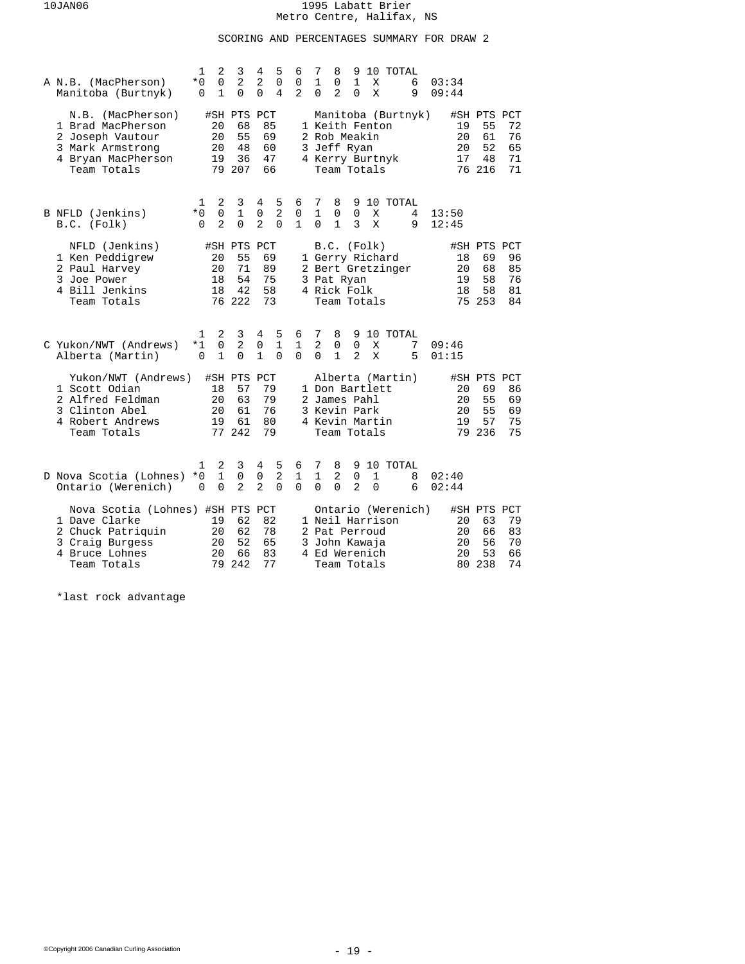# SCORING AND PERCENTAGES SUMMARY FOR DRAW 2

| A N.B. (MacPherson)<br>Manitoba (Burtnyk)                                                                                  | 1<br>2<br>$\Omega$<br>$*0$<br>$\Omega$<br>1               | 3<br>2<br>0                                   | 4<br>5<br>$\overline{a}$<br>$\Omega$<br>0<br>4                     | 6<br>0<br>2            | 7<br>8<br>10 TOTAL<br>9<br>$\mathbf{1}$<br>$\mathbf{1}$<br>0<br>X<br>6<br>03:34<br>2<br>0<br>0<br>Χ<br>9<br>09:44                                                                                                 |
|----------------------------------------------------------------------------------------------------------------------------|-----------------------------------------------------------|-----------------------------------------------|--------------------------------------------------------------------|------------------------|-------------------------------------------------------------------------------------------------------------------------------------------------------------------------------------------------------------------|
| N.B. (MacPherson)<br>1 Brad MacPherson<br>2 Joseph Vautour<br>3 Mark Armstrong<br>4 Bryan MacPherson<br>Team Totals        | 20<br>20<br>20<br>19                                      | #SH PTS PCT<br>68<br>55<br>48<br>36<br>79 207 | 85<br>69<br>60<br>47<br>66                                         |                        | Manitoba (Burtnyk)<br>#SH PTS PCT<br>1 Keith Fenton<br>55<br>19<br>72<br>2 Rob Meakin<br>20<br>61<br>76<br>52<br>3 Jeff Ryan<br>20<br>65<br>4 Kerry Burtnyk<br>17<br>48<br>71<br>76 216<br>71<br>Team Totals      |
| B NFLD (Jenkins)<br>B.C. (Folk)                                                                                            | 2<br>1<br>$*0$<br>$\Omega$<br>$\overline{a}$<br>$\Omega$  | 3<br>$\mathbf{1}$<br>$\Omega$                 | 5<br>4<br>$\overline{2}$<br>$\Omega$<br>$\Omega$<br>$\overline{a}$ | 6<br>0<br>$\mathbf{1}$ | 7<br>8<br>10 TOTAL<br>9<br>$\mathbf{1}$<br>$\mathbf 0$<br>$\Omega$<br>Χ<br>4<br>13:50<br>$\Omega$<br>$\mathbf{1}$<br>3<br>X<br>9<br>12:45                                                                         |
| NFLD (Jenkins)<br>1 Ken Peddigrew<br>2 Paul Harvey<br>3 Joe Power<br>4 Bill Jenkins<br>Team Totals                         | 20<br>20<br>18<br>18                                      | #SH PTS PCT<br>55<br>71<br>54<br>42<br>76 222 | 69<br>89<br>75<br>58<br>73                                         |                        | B.C. (Folk)<br>#SH PTS PCT<br>1 Gerry Richard<br>18<br>69<br>96<br>20<br>2 Bert Gretzinger<br>68<br>85<br>58<br>76<br>3 Pat Ryan<br>19<br>4 Rick Folk<br>18<br>58<br>81<br>75 253<br>84<br>Team Totals            |
| C Yukon/NWT (Andrews)<br>Alberta (Martin)                                                                                  | 2<br>1<br>$\mathbf 0$<br>$*1$<br>$\mathbf{1}$<br>$\Omega$ | 3<br>2<br>$\Omega$                            | 4<br>5<br>$\mathbf{1}$<br>$\mathsf 0$<br>$\mathbf{1}$<br>$\Omega$  | 6<br>1<br>$\Omega$     | 7<br>8<br>10 TOTAL<br>9<br>2<br>$\mathbf 0$<br>$\mathbf 0$<br>7<br>09:46<br>Χ<br>$\mathbf{1}$<br>$\mathfrak{D}$<br>$\Omega$<br>X<br>5<br>01:15                                                                    |
| Yukon/NWT (Andrews)<br>1 Scott Odian<br>2 Alfred Feldman<br>3 Clinton Abel<br>4 Robert Andrews<br>Team Totals              | 18<br>20<br>20<br>19                                      | #SH PTS<br>57<br>63<br>61<br>61<br>77 242     | PCT<br>79<br>79<br>76<br>80<br>79                                  |                        | Alberta (Martin)<br>#SH PTS PCT<br>1 Don Bartlett<br>20<br>69<br>86<br>55<br>2 James Pahl<br>20<br>69<br>3 Kevin Park<br>20<br>55<br>69<br>4 Kevin Martin<br>57<br>75<br>19<br>79 236<br>75<br>Team Totals        |
| D Nova Scotia (Lohnes)<br>Ontario (Werenich)                                                                               | 2<br>1<br>$\mathbf{1}$<br>$*0$<br>$\Omega$<br>$\Omega$    | 3<br>0<br>$\overline{a}$                      | 5<br>4<br>$\overline{2}$<br>0<br>$\overline{a}$<br>$\Omega$        | 6<br>1<br>$\Omega$     | 7<br>8<br>9 10 TOTAL<br>$\mathbf{1}$<br>2<br>$\mathbf 0$<br>1<br>8<br>02:40<br>0<br>$\overline{2}$<br>0<br>$\Omega$<br>6<br>02:44                                                                                 |
| Nova Scotia (Lohnes) #SH PTS PCT<br>1 Dave Clarke<br>2 Chuck Patriquin<br>3 Craig Burgess<br>4 Bruce Lohnes<br>Team Totals | 19<br>20<br>20<br>20<br>79                                | 62<br>62<br>52<br>66<br>242                   | 82<br>78<br>65<br>83<br>77                                         |                        | Ontario (Werenich)<br>#SH PTS PCT<br>1 Neil Harrison<br>63<br>79<br>20<br>83<br>20<br>66<br>2 Pat Perroud<br>56<br>20<br>70<br>3 John Kawaja<br>20<br>53<br>66<br>4 Ed Werenich<br>238<br>74<br>Team Totals<br>80 |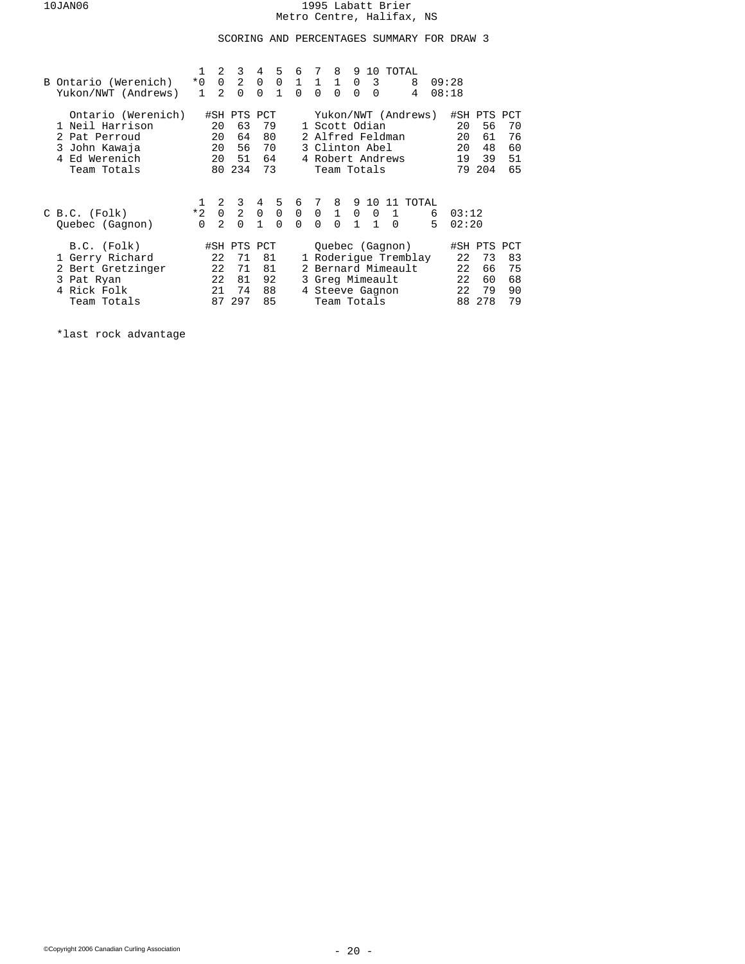## SCORING AND PERCENTAGES SUMMARY FOR DRAW 3

| B Ontario (Werenich)<br>Yukon/NWT (Andrews)                                                         | $*0$<br>$\mathbf{1}$             | 2<br>$\mathbf 0$<br>$\mathfrak{D}$   | 3<br>$\overline{a}$<br>$\Omega$            | $4^{\circ}$<br>0<br>$\Omega$            | 5<br>$\mathbf{1}$       | 6<br>$0 \t1 \t1 \t1$<br>$\Omega$   | 7<br>$\Omega$           | 8<br>$\Omega$                                                                          | 9<br>$\Omega$                         | 0 <sup>3</sup><br>$\Omega$  | 10 TOTAL<br>8<br>4                                            |        | 09:28<br>08:18             |                                            |                            |
|-----------------------------------------------------------------------------------------------------|----------------------------------|--------------------------------------|--------------------------------------------|-----------------------------------------|-------------------------|------------------------------------|-------------------------|----------------------------------------------------------------------------------------|---------------------------------------|-----------------------------|---------------------------------------------------------------|--------|----------------------------|--------------------------------------------|----------------------------|
| Ontario (Werenich)<br>Neil Harrison<br>Pat Perroud<br>3 John Kawaja<br>4 Ed Werenich<br>Team Totals |                                  | 20<br>20<br>20<br>20<br>80           | #SH PTS PCT<br>63<br>64<br>56<br>51<br>234 | 79<br>80<br>70<br>64<br>73              |                         |                                    |                         | 1 Scott Odian<br>2 Alfred Feldman<br>3 Clinton Abel<br>4 Robert Andrews<br>Team Totals |                                       |                             | Yukon/NWT (Andrews)                                           |        | 20<br>20<br>20<br>19<br>79 | #SH PTS PCT<br>56<br>61<br>48<br>39<br>204 | 70<br>76<br>60<br>51<br>65 |
| $C B.C.$ (Folk)<br>Ouebec (Gagnon)                                                                  | $\mathbf{1}$<br>$*2$<br>$\Omega$ | 2<br>$\overline{0}$<br>$\mathcal{L}$ | 3<br>$\mathbf{2}$<br>$\Omega$              | $4^{\circ}$<br>$\Omega$<br>$\mathbf{1}$ | $\mathbf 0$<br>$\Omega$ | 5 6 7 8<br>$\mathbf 0$<br>$\Omega$ | $\mathbf 0$<br>$\Omega$ | $\overline{1}$<br>$\Omega$                                                             | 9 10<br>$\mathbf 0$<br>$\overline{1}$ | $\mathbf 0$<br>$\mathbf{1}$ | 11 TOTAL<br>$\mathbf{1}$<br>$\overline{0}$                    | 6<br>5 | 03:12<br>02:20             |                                            |                            |
| B.C. (Folk)<br>1 Gerry Richard<br>2 Bert Gretzinger<br>3 Pat Ryan<br>4 Rick Folk<br>Team Totals     |                                  | 22<br>22<br>22<br>21<br>87           | #SH PTS PCT<br>71<br>71<br>81<br>74<br>297 | 81<br>81<br>92<br>88<br>85              |                         |                                    |                         | 3 Greg Mimeault<br>4 Steeve Gagnon<br>Team Totals                                      |                                       |                             | Ouebec (Gagnon)<br>1 Roderique Tremblay<br>2 Bernard Mimeault |        | 22<br>22<br>22<br>22<br>88 | #SH PTS PCT<br>73<br>66<br>60<br>79<br>278 | 83<br>75<br>68<br>90<br>79 |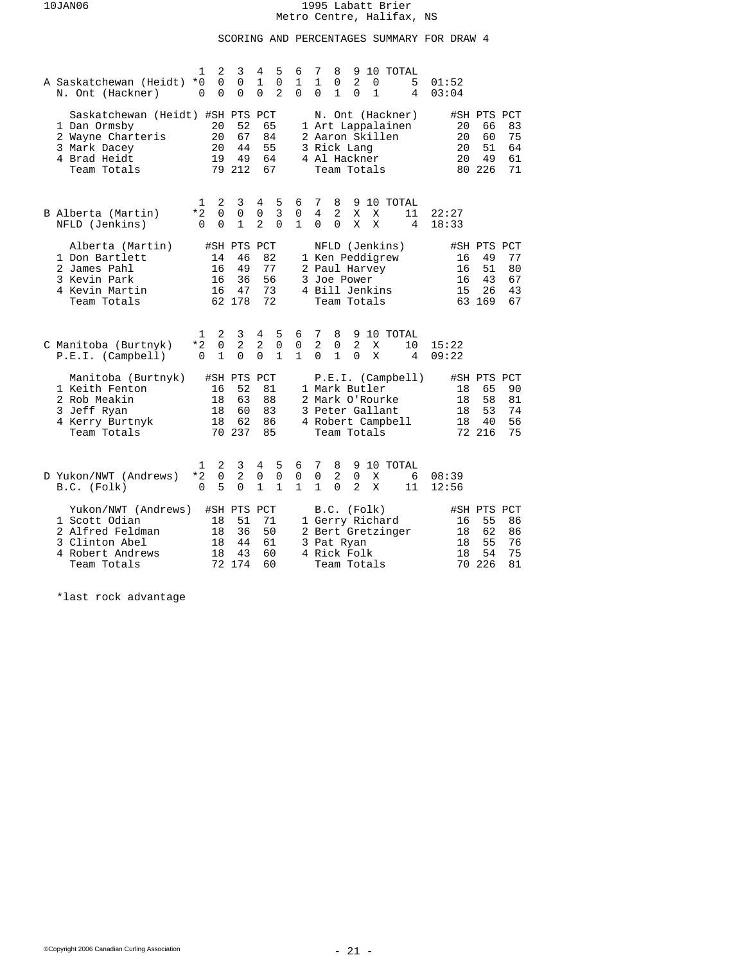# SCORING AND PERCENTAGES SUMMARY FOR DRAW 4

| A Saskatchewan (Heidt)<br>N. Ont (Hackner)                                                                           | 2<br>1<br>0<br>$*0$<br>$\Omega$<br>$\Omega$               | 3<br>0<br>0                                   | 5<br>4<br>$\mathbf{1}$<br>0<br>$\overline{2}$<br>0                  | 10 TOTAL<br>6<br>7<br>8<br>9<br>2<br>1<br>$\mathbf{1}$<br>0<br>01:52<br>0<br>5<br>$\Omega$<br>$\mathbf{1}$<br>$\Omega$<br>1<br>$\Omega$<br>4<br>03:04                                 |                            |
|----------------------------------------------------------------------------------------------------------------------|-----------------------------------------------------------|-----------------------------------------------|---------------------------------------------------------------------|---------------------------------------------------------------------------------------------------------------------------------------------------------------------------------------|----------------------------|
| Saskatchewan (Heidt) #SH PTS PCT<br>1 Dan Ormsby<br>2 Wayne Charteris<br>3 Mark Dacey<br>4 Brad Heidt<br>Team Totals | 20<br>20<br>20<br>19                                      | 52<br>67<br>44<br>49<br>79 212                | 65<br>84<br>55<br>64<br>67                                          | #SH PTS PCT<br>N. Ont (Hackner)<br>1 Art Lappalainen<br>20<br>66<br>2 Aaron Skillen<br>20<br>60<br>51<br>3 Rick Lang<br>20<br>20<br>4 Al Hackner<br>49<br>80 226<br>Team Totals       | 83<br>75<br>64<br>61<br>71 |
| B Alberta (Martin)<br>NFLD (Jenkins)                                                                                 | 2<br>1<br>*2<br>$\Omega$<br>$\Omega$<br>$\Omega$          | 3<br>0<br>$\mathbf{1}$                        | 5<br>4<br>3<br>0<br>$\overline{2}$<br>$\Omega$                      | 9 10 TOTAL<br>6<br>7<br>8<br>4<br>2<br>0<br>X<br>Χ<br>11<br>22:27<br>$\mathbf{1}$<br>$\Omega$<br>X<br>X<br>$\Omega$<br>4<br>18:33                                                     |                            |
| Alberta (Martin)<br>1 Don Bartlett<br>2 James Pahl<br>3 Kevin Park<br>4 Kevin Martin<br>Team Totals                  | 14<br>16<br>16<br>16                                      | #SH PTS PCT<br>46<br>49<br>36<br>47<br>62 178 | 82<br>77<br>56<br>73<br>72                                          | NFLD (Jenkins)<br>#SH PTS PCT<br>1 Ken Peddigrew<br>49<br>16<br>2 Paul Harvey<br>16<br>51<br>3 Joe Power<br>16<br>43<br>4 Bill Jenkins<br>15<br>26<br>63 169<br>Team Totals           | 77<br>80<br>67<br>43<br>67 |
| C Manitoba (Burtnyk)<br>P.E.I. (Camplell)                                                                            | 2<br>1<br>$\mathbf 0$<br>$*2$<br>$\mathbf{1}$<br>$\Omega$ | 3<br>$\overline{2}$<br>$\Omega$               | 4<br>5<br>$\overline{2}$<br>$\mathsf 0$<br>$\Omega$<br>$\mathbf{1}$ | 6<br>7<br>8<br>9<br>10 TOTAL<br>2<br>$\overline{2}$<br>$\mathsf 0$<br>$\mathsf 0$<br>15:22<br>X<br>10<br>$\mathbf{1}$<br>$\mathbf{1}$<br>$\Omega$<br>$\Omega$<br>X<br>4<br>09:22      |                            |
| Manitoba (Burtnyk)<br>1 Keith Fenton<br>2 Rob Meakin<br>3 Jeff Ryan<br>4 Kerry Burtnyk<br>Team Totals                | 16<br>18<br>18<br>18                                      | #SH PTS PCT<br>52<br>63<br>60<br>62<br>70 237 | 81<br>88<br>83<br>86<br>85                                          | P.E.I. (Camplell)<br>#SH PTS PCT<br>1 Mark Butler<br>65<br>18<br>58<br>2 Mark O'Rourke<br>18<br>3 Peter Gallant<br>53<br>18<br>4 Robert Campbell<br>40<br>18<br>72 216<br>Team Totals | 90<br>81<br>74<br>56<br>75 |
| D Yukon/NWT (Andrews)<br>B.C. (Folk)                                                                                 | 2<br>1<br>*2<br>0<br>5<br>$\Omega$                        | 3<br>2<br>0                                   | 5<br>4<br>$\mathbf 0$<br>0<br>1<br>1                                | 7<br>8<br>9 10 TOTAL<br>6<br>$\overline{a}$<br>$\mathbf 0$<br>0<br>0<br>X<br>08:39<br>6<br>$\mathbf{1}$<br>$\mathbf{1}$<br>$\Omega$<br>2<br>X<br>11<br>12:56                          |                            |
| Yukon/NWT (Andrews)<br>1 Scott Odian<br>2 Alfred Feldman<br>3 Clinton Abel<br>4 Robert Andrews<br>Team Totals        | 18<br>18<br>18<br>18<br>72                                | #SH PTS PCT<br>51<br>36<br>44<br>43<br>174    | 71<br>50<br>61<br>60<br>60                                          | B.C. (Folk)<br>#SH PTS PCT<br>1 Gerry Richard<br>16<br>55<br>2 Bert Gretzinger<br>18<br>62<br>55<br>3 Pat Ryan<br>18<br>54<br>4 Rick Folk<br>18<br>70 226<br>Team Totals              | 86<br>86<br>76<br>75<br>81 |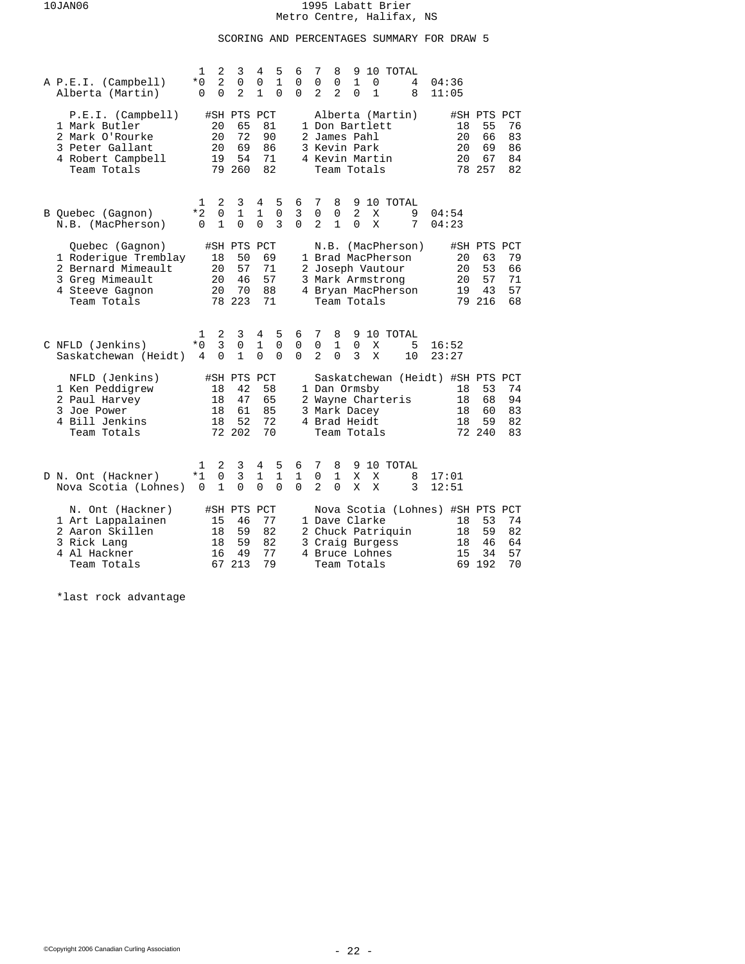## SCORING AND PERCENTAGES SUMMARY FOR DRAW 5

| A P.E.I. (Campbell)<br>Alberta (Martin)                                                                            | 1<br>* 0<br>$\Omega$  | 2<br>$\overline{a}$<br>$\Omega$     | 3<br>0<br>$\overline{a}$                      | 4<br>0<br>$\mathbf{1}$            | 5<br>$\mathbf{1}$<br>$\Omega$ | 6<br>0<br>$\Omega$            | 7<br>0<br>$\overline{a}$           | 8<br>0<br>$\overline{2}$                                                        | 9<br>$\mathbf{1}$<br>$\Omega$ | 0<br>$\mathbf{1}$ | 10 TOTAL<br>4<br>8                                                                              | 04:36<br>11:05       |                                               |                            |
|--------------------------------------------------------------------------------------------------------------------|-----------------------|-------------------------------------|-----------------------------------------------|-----------------------------------|-------------------------------|-------------------------------|------------------------------------|---------------------------------------------------------------------------------|-------------------------------|-------------------|-------------------------------------------------------------------------------------------------|----------------------|-----------------------------------------------|----------------------------|
| P.E.I. (Camplell)<br>1 Mark Butler<br>2 Mark O'Rourke<br>3 Peter Gallant<br>4 Robert Campbell<br>Team Totals       |                       | 20<br>20<br>20<br>19                | #SH PTS PCT<br>65<br>72<br>69<br>54<br>79 260 |                                   | 81<br>90<br>86<br>71<br>82    |                               |                                    | 1 Don Bartlett<br>2 James Pahl<br>3 Kevin Park<br>4 Kevin Martin<br>Team Totals |                               |                   | Alberta (Martin)                                                                                | 18<br>20<br>20<br>20 | #SH PTS PCT<br>55<br>66<br>69<br>67<br>78 257 | 76<br>83<br>86<br>84<br>82 |
| B Quebec (Gagnon)<br>N.B. (MacPherson)                                                                             | 1<br>*2<br>$\Omega$   | 2<br>0<br>$\mathbf{1}$              | 3<br>1<br>$\Omega$                            | 4<br>1<br>$\Omega$                | 5<br>$\mathbf 0$<br>3         | 6<br>3<br>$\Omega$            | 7<br>0<br>$\overline{2}$           | 8<br>0<br>$\mathbf{1}$                                                          | $\overline{2}$<br>$\Omega$    | Χ<br>X            | 9 10 TOTAL<br>9<br>7                                                                            | 04:54<br>04:23       |                                               |                            |
| Quebec (Gagnon)<br>1 Roderique Tremblay<br>2 Bernard Mimeault<br>3 Greg Mimeault<br>4 Steeve Gagnon<br>Team Totals |                       | 18<br>20<br>20<br>20                | #SH PTS PCT<br>50<br>57<br>46<br>70<br>78 223 | 69<br>71<br>57<br>88<br>71        |                               |                               | N.B.                               | Team Totals                                                                     |                               |                   | (MacPherson)<br>1 Brad MacPherson<br>2 Joseph Vautour<br>3 Mark Armstrong<br>4 Bryan MacPherson | 20<br>20<br>20<br>19 | #SH PTS PCT<br>63<br>53<br>57<br>43<br>79 216 | 79<br>66<br>71<br>57<br>68 |
| C NFLD (Jenkins)<br>Saskatchewan (Heidt)                                                                           | 1<br>$*0$<br>4        | 2<br>3<br>$\Omega$                  | 3<br>$\mathsf 0$<br>$\mathbf{1}$              | 4<br>1<br>$\Omega$                | 5<br>0<br>$\Omega$            | 6<br>$\mathsf 0$<br>$\Omega$  | 7<br>$\mathbf 0$<br>$\mathfrak{D}$ | 8<br>$\mathbf{1}$<br>$\Omega$                                                   | $\mathbf 0$<br>3              | X<br>X            | 9 10 TOTAL<br>5<br>10                                                                           | 16:52<br>23:27       |                                               |                            |
| NFLD (Jenkins)<br>1 Ken Peddigrew<br>2 Paul Harvey<br>3 Joe Power<br>4 Bill Jenkins<br>Team Totals                 |                       | 18<br>18<br>18<br>18                | #SH PTS PCT<br>42<br>47<br>61<br>52<br>72 202 | 58<br>65<br>85<br>72<br>70        |                               |                               |                                    | 1 Dan Ormsby<br>3 Mark Dacey<br>4 Brad Heidt<br>Team Totals                     |                               |                   | Saskatchewan (Heidt) #SH PTS PCT<br>2 Wayne Charteris                                           | 18<br>18<br>18<br>18 | 53<br>68<br>60<br>59<br>72 240                | 74<br>94<br>83<br>82<br>83 |
| D N. Ont (Hackner)<br>Nova Scotia (Lohnes)                                                                         | 1<br>$*1$<br>$\Omega$ | 2<br>$\overline{0}$<br>$\mathbf{1}$ | 3<br>3<br>$\Omega$                            | 4<br>1<br>$\Omega$                | 5<br>$\mathbf{1}$<br>$\Omega$ | 6<br>$\mathbf{1}$<br>$\Omega$ | 7<br>$\mathbf 0$<br>$\overline{a}$ | 8<br>$\mathbf{1}$<br>$\Omega$                                                   | 9<br>X<br>X                   | X<br>X            | 10 TOTAL<br>8<br>3                                                                              | 17:01<br>12:51       |                                               |                            |
| N. Ont (Hackner)<br>1 Art Lappalainen<br>2 Aaron Skillen<br>3 Rick Lang<br>4 Al Hackner<br>Team Totals             |                       | 15<br>18<br>18<br>16<br>67          | #SH PTS<br>46<br>59<br>59<br>49<br>213        | PCT<br>77<br>82<br>82<br>77<br>79 |                               |                               |                                    | 1 Dave Clarke<br>3 Craig Burgess<br>4 Bruce Lohnes<br>Team Totals               |                               |                   | Nova Scotia (Lohnes) #SH PTS PCT<br>2 Chuck Patriquin                                           | 18<br>18<br>18<br>15 | 53<br>59<br>46<br>34<br>69 192                | 74<br>82<br>64<br>57<br>70 |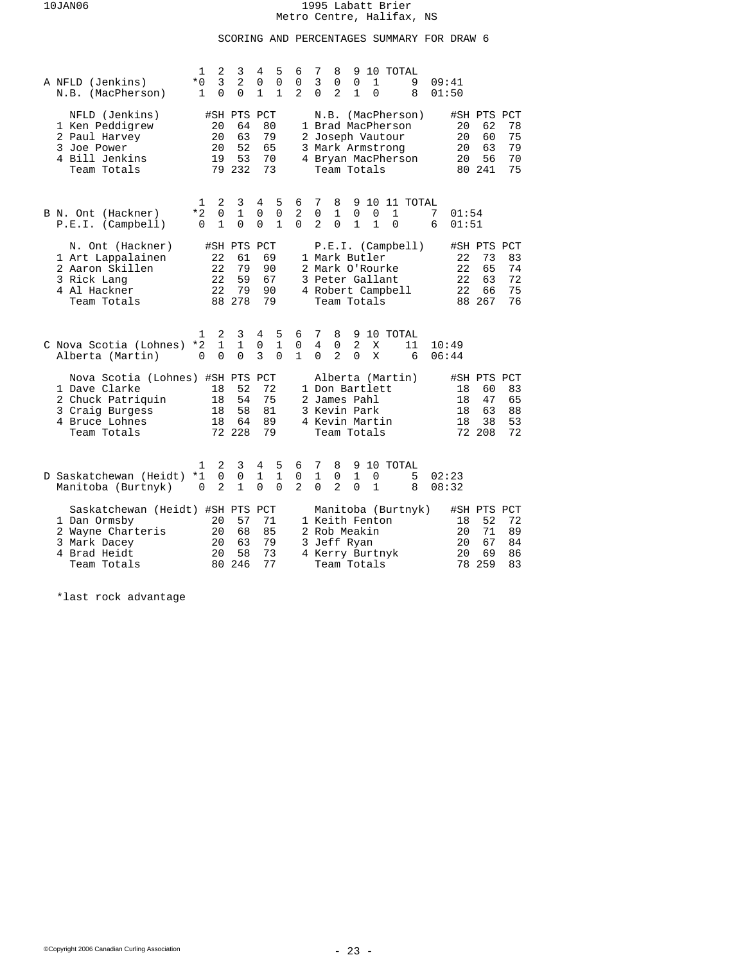## SCORING AND PERCENTAGES SUMMARY FOR DRAW 6

|  | A NFLD (Jenkins)<br>N.B. (MacPherson)                                                                                      | 1<br>$*0$<br>$\mathbf 1$ | 2<br>3<br>0                   | 3<br>2<br>0                                   | 4<br>0<br>$\mathbf{1}$        | 5<br>$\mathbf 0$<br>1            | 6<br>0<br>$\mathbf{2}$            | 7<br>3<br>$\Omega$              | 8<br>0<br>2              | 9<br>0<br>1                                                                     | $\mathbf 1$<br>0  | 10 TOTAL                                                                        | 9<br>8             |        | 09:41<br>01:50             |                                               |                            |
|--|----------------------------------------------------------------------------------------------------------------------------|--------------------------|-------------------------------|-----------------------------------------------|-------------------------------|----------------------------------|-----------------------------------|---------------------------------|--------------------------|---------------------------------------------------------------------------------|-------------------|---------------------------------------------------------------------------------|--------------------|--------|----------------------------|-----------------------------------------------|----------------------------|
|  | NFLD (Jenkins)<br>1 Ken Peddigrew<br>2 Paul Harvey<br>3 Joe Power<br>4 Bill Jenkins<br>Team Totals                         |                          | 20<br>20<br>20<br>19          | #SH PTS PCT<br>64<br>63<br>52<br>53<br>79 232 | 80<br>79<br>65<br>70<br>73    |                                  |                                   |                                 |                          | Team Totals                                                                     |                   | 1 Brad MacPherson<br>2 Joseph Vautour<br>3 Mark Armstrong<br>4 Bryan MacPherson | N.B. (MacPherson)  |        | 20<br>20<br>20<br>20       | #SH PTS PCT<br>62<br>60<br>63<br>56<br>80 241 | 78<br>75<br>79<br>70<br>75 |
|  | B N. Ont (Hackner)<br>P.E.I. (Camplell)                                                                                    | 1<br>*2<br>$\Omega$      | 2<br>0<br>$\mathbf{1}$        | 3<br>1<br>$\Omega$                            | 4<br>0<br>$\Omega$            | 5<br>$\mathbf 0$<br>$\mathbf{1}$ | 6<br>2<br>$\Omega$                | 7<br>0<br>2                     | 8<br>1<br>$\Omega$       | 0<br>$\mathbf{1}$                                                               | 0<br>$\mathbf{1}$ | 1<br>$\Omega$                                                                   | 9 10 11 TOTAL      | 7<br>6 | 01:54<br>01:51             |                                               |                            |
|  | N. Ont (Hackner)<br>1 Art Lappalainen<br>2 Aaron Skillen<br>3 Rick Lang<br>4 Al Hackner<br>Team Totals                     |                          | 22<br>22<br>22<br>22          | #SH PTS PCT<br>61<br>79<br>59<br>79<br>88 278 | 69<br>90<br>67<br>90<br>79    |                                  |                                   |                                 |                          | 1 Mark Butler<br>2 Mark O'Rourke<br>3 Peter Gallant<br>Team Totals              |                   | 4 Robert Campbell                                                               | P.E.I. (Camplell)  |        | 22<br>22<br>22<br>22       | #SH PTS PCT<br>73<br>65<br>63<br>66<br>88 267 | 83<br>74<br>72<br>75<br>76 |
|  | C Nova Scotia (Lohnes)<br>Alberta (Martin)                                                                                 | 1<br>*2<br>$\Omega$      | 2<br>$\mathbf{1}$<br>$\Omega$ | 3<br>$\mathbf{1}$<br>$\Omega$                 | 4<br>0<br>3                   | 5<br>$\mathbf{1}$<br>$\Omega$    | 6<br>$\mathsf{O}$<br>$\mathbf{1}$ | 7<br>$\overline{4}$<br>$\Omega$ | 8<br>0<br>$\overline{a}$ | 9<br>2<br>$\Omega$                                                              | X<br>X            | 10 TOTAL                                                                        | 11<br>6            |        | 10:49<br>06:44             |                                               |                            |
|  | Nova Scotia (Lohnes) #SH PTS PCT<br>1 Dave Clarke<br>2 Chuck Patriquin<br>3 Craig Burgess<br>4 Bruce Lohnes<br>Team Totals |                          | 18<br>18<br>18<br>18          | 52<br>54<br>58<br>64<br>72 228                | 72<br>75<br>81<br>89<br>79    |                                  |                                   |                                 |                          | 1 Don Bartlett<br>2 James Pahl<br>3 Kevin Park<br>4 Kevin Martin<br>Team Totals |                   | Alberta (Martin)                                                                |                    |        | 18<br>18<br>18<br>18       | #SH PTS PCT<br>60<br>47<br>63<br>38<br>72 208 | 83<br>65<br>88<br>53<br>72 |
|  | D Saskatchewan (Heidt)<br>Manitoba (Burtnyk)                                                                               | 1<br>$*1$<br>0           | 2<br>0<br>$\overline{a}$      | 3<br>0<br>$\mathbf{1}$                        | 4<br>$\mathbf{1}$<br>$\Omega$ | 5<br>$\mathbf{1}$<br>$\Omega$    | 6<br>0<br>$\overline{a}$          | 7<br>1<br>$\Omega$              | 8<br>0<br>$\overline{2}$ | 9<br>$\mathbf{1}$<br>0                                                          | 0<br>$\mathbf{1}$ | 10 TOTAL                                                                        | 5<br>8             |        | 02:23<br>08:32             |                                               |                            |
|  | Saskatchewan (Heidt) #SH PTS PCT<br>1 Dan Ormsby<br>2 Wayne Charteris<br>3 Mark Dacey<br>4 Brad Heidt<br>Team Totals       |                          | 20<br>20<br>20<br>20<br>80    | 57<br>68<br>63<br>58<br>246                   | 71<br>85<br>79<br>73<br>77    |                                  |                                   |                                 |                          | 1 Keith Fenton<br>2 Rob Meakin<br>3 Jeff Ryan<br>4 Kerry Burtnyk<br>Team Totals |                   |                                                                                 | Manitoba (Burtnyk) |        | 18<br>20<br>20<br>20<br>78 | #SH PTS PCT<br>52<br>71<br>67<br>69<br>259    | 72<br>89<br>84<br>86<br>83 |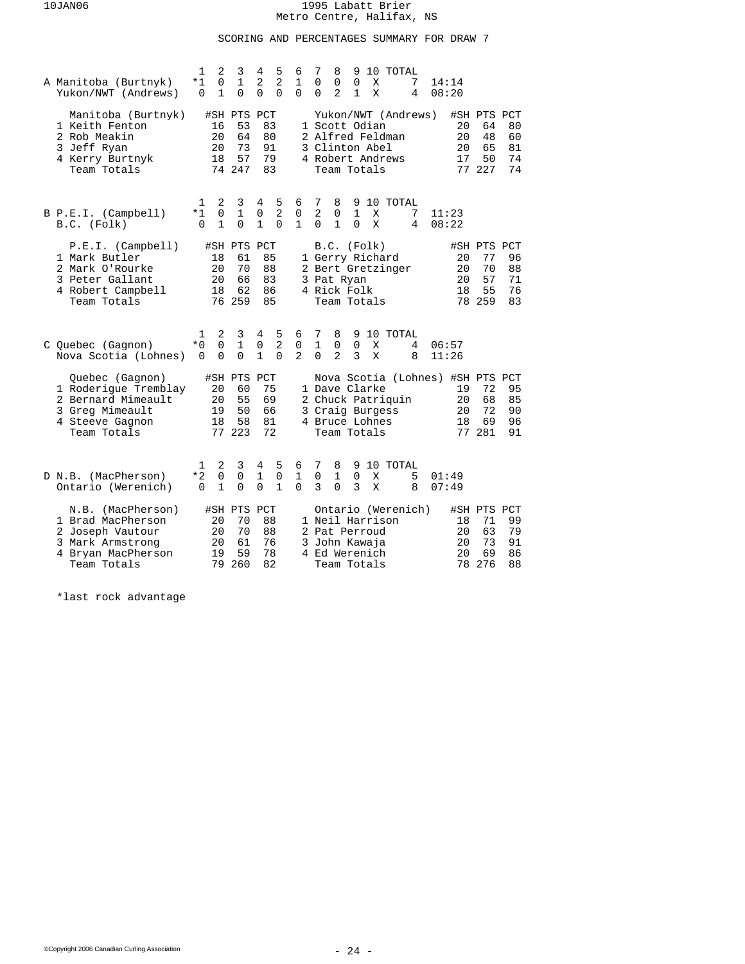## SCORING AND PERCENTAGES SUMMARY FOR DRAW 7

| A Manitoba (Burtnyk)<br>Yukon/NWT (Andrews)                                                                            | 1<br>*1<br>$\Omega$        | 2<br>3<br>0<br>$\mathbf{1}$<br>$\mathbf 1$<br>0                 | 5<br>4<br>$\overline{a}$<br>2<br>0<br>$\Omega$                      | 6<br>$\mathbf{1}$<br>$\Omega$       | 7<br>10 TOTAL<br>8<br>9<br>0<br>0<br>$\Omega$<br>14:14<br>X<br>7<br>2<br>1<br>X<br>0<br>4<br>08:20                                                                                                                   |
|------------------------------------------------------------------------------------------------------------------------|----------------------------|-----------------------------------------------------------------|---------------------------------------------------------------------|-------------------------------------|----------------------------------------------------------------------------------------------------------------------------------------------------------------------------------------------------------------------|
| Manitoba (Burtnyk)<br>1 Keith Fenton<br>2 Rob Meakin<br>3 Jeff Ryan<br>4 Kerry Burtnyk<br>Team Totals                  | 16<br>20<br>20<br>18       | #SH PTS PCT<br>53<br>64<br>73<br>57<br>74 247                   | 83<br>80<br>91<br>79<br>83                                          |                                     | Yukon/NWT (Andrews)<br>#SH PTS PCT<br>1 Scott Odian<br>20<br>64<br>80<br>2 Alfred Feldman<br>20<br>48<br>60<br>3 Clinton Abel<br>65<br>81<br>20<br>50<br>74<br>4 Robert Andrews<br>17<br>77 227<br>74<br>Team Totals |
| B P.E.I. (Campbell)<br>B.C. (Folk)                                                                                     | 1<br>*1<br>$\Omega$        | 2<br>3<br>$\mathbf 0$<br>1<br>$\mathbf{1}$<br>0                 | 5<br>4<br>$\overline{2}$<br>0<br>$\mathbf{1}$<br>$\Omega$           | 6<br>0<br>$\mathbf{1}$              | 7<br>8<br>9 10 TOTAL<br>$\overline{2}$<br>$\mathbf{1}$<br>7<br>0<br>X<br>11:23<br>1<br>X<br>0<br>$\Omega$<br>4<br>08:22                                                                                              |
| P.E.I. (Camplell)<br>1 Mark Butler<br>2 Mark O'Rourke<br>3 Peter Gallant<br>4 Robert Campbell<br>Team Totals           | 18<br>20<br>20<br>18       | #SH PTS PCT<br>61<br>70<br>66<br>62<br>76 259                   | 85<br>88<br>83<br>86<br>85                                          |                                     | B.C. (Folk)<br>#SH PTS PCT<br>1 Gerry Richard<br>20<br>77<br>96<br>70<br>2 Bert Gretzinger<br>20<br>88<br>20<br>57<br>3 Pat Ryan<br>71<br>55<br>4 Rick Folk<br>18<br>76<br>78 259<br>83<br>Team Totals               |
| C Quebec (Gagnon)<br>Nova Scotia (Lohnes)                                                                              | 1<br>$*0$<br>$\Omega$      | 2<br>3<br>$\overline{0}$<br>$\mathbf 1$<br>$\Omega$<br>$\Omega$ | 4<br>5<br>$\overline{2}$<br>$\mathsf 0$<br>$\mathbf{1}$<br>$\Omega$ | 6<br>$\mathsf{O}$<br>$\overline{a}$ | 7<br>10 TOTAL<br>8<br>9<br>$\mathbf{1}$<br>$\mathsf{O}$<br>$\mathbf 0$<br>06:57<br>X<br>4<br>$\overline{a}$<br>ζ<br>$\Omega$<br>X<br>8<br>11:26                                                                      |
| Quebec (Gagnon)<br>1 Roderique Tremblay<br>2 Bernard Mimeault<br>3 Greg Mimeault<br>4 Steeve Gagnon<br>Team Totals     | 20<br>20<br>19<br>18       | #SH PTS<br>60<br>55<br>50<br>58<br>77 223                       | PCT<br>75<br>69<br>66<br>81<br>72                                   |                                     | Nova Scotia (Lohnes) #SH PTS PCT<br>1 Dave Clarke<br>72<br>95<br>19<br>2 Chuck Patriquin<br>68<br>85<br>20<br>3 Craig Burgess<br>20<br>72<br>90<br>4 Bruce Lohnes<br>18<br>69<br>96<br>77 281<br>91<br>Team Totals   |
| D N.B. (MacPherson)<br>Ontario (Werenich)                                                                              | 1<br>$*2$<br>0             | 3<br>2<br>0<br>0<br>$\mathbf{1}$<br>$\Omega$                    | 5<br>4<br>1<br>$\mathbf 0$<br>$\mathbf{1}$<br>$\Omega$              | 6<br>$\mathbf{1}$<br>$\Omega$       | 7<br>8<br>9 10 TOTAL<br>0<br>1<br>0<br>X<br>5<br>01:49<br>3<br>$\Omega$<br>3<br>X<br>8<br>07:49                                                                                                                      |
| (MacPherson)<br>N.B.<br>1 Brad MacPherson<br>2 Joseph Vautour<br>3 Mark Armstrong<br>4 Bryan MacPherson<br>Team Totals | 20<br>20<br>20<br>19<br>79 | #SH PTS PCT<br>70<br>70<br>61<br>59<br>260                      | 88<br>88<br>76<br>78<br>82                                          |                                     | Ontario (Werenich)<br>#SH PTS PCT<br>1 Neil Harrison<br>99<br>18<br>71<br>63<br>79<br>2 Pat Perroud<br>20<br>20<br>73<br>91<br>3 John Kawaja<br>20<br>69<br>86<br>4 Ed Werenich<br>276<br>88<br>Team Totals<br>78    |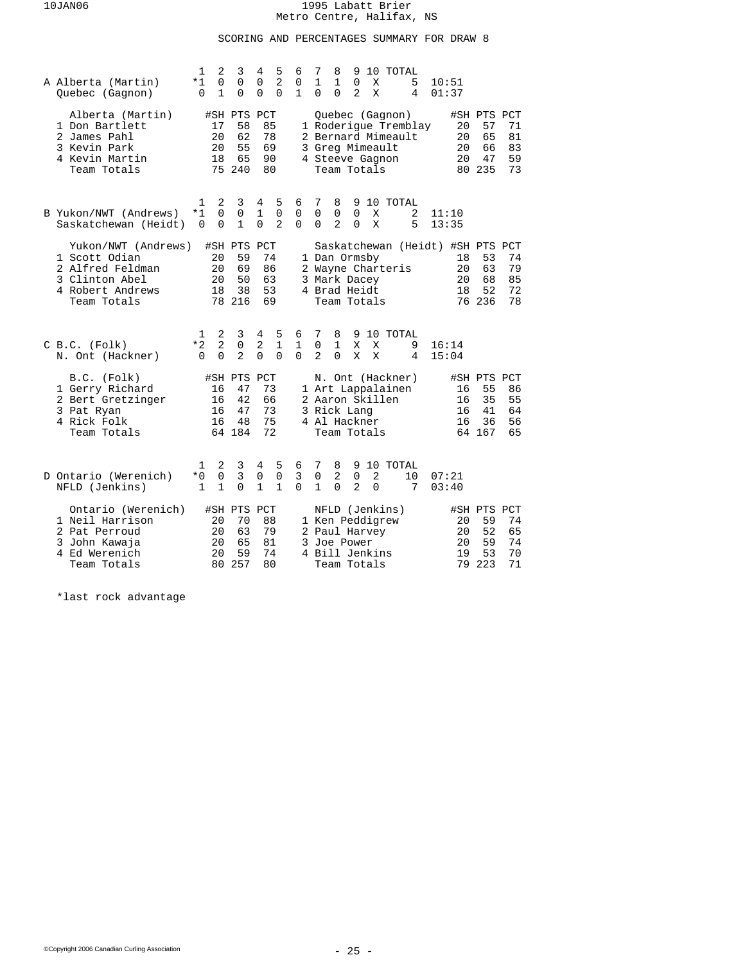## SCORING AND PERCENTAGES SUMMARY FOR DRAW 8

| A Alberta (Martin)<br>Quebec (Gagnon)                                                                         | 1<br>$*1$<br>0           | 2<br>0<br>1                     | 3<br>0<br>$\Omega$                            | 4<br>0<br>$\Omega$                | 5<br>$\overline{a}$<br>$\Omega$  | 6<br>0<br>$\mathbf{1}$        | 7<br>1<br>0              | 8<br>$\mathbf{1}$<br>$\Omega$                                                    | 9<br>0<br>2                        | X<br>X        | 10 TOTAL                              | 5<br>4               | 10:51<br>01:37                   |                            |                                               |                            |
|---------------------------------------------------------------------------------------------------------------|--------------------------|---------------------------------|-----------------------------------------------|-----------------------------------|----------------------------------|-------------------------------|--------------------------|----------------------------------------------------------------------------------|------------------------------------|---------------|---------------------------------------|----------------------|----------------------------------|----------------------------|-----------------------------------------------|----------------------------|
| Alberta (Martin)<br>1 Don Bartlett<br>2 James Pahl<br>3 Kevin Park<br>4 Kevin Martin<br>Team Totals           |                          | 17<br>20<br>20<br>18<br>75      | #SH PTS PCT<br>58<br>62<br>55<br>65<br>240    |                                   | 85<br>78<br>69<br>90<br>80       |                               |                          | 3 Greg Mimeault<br>4 Steeve Gagnon<br>Team Totals                                |                                    |               | Quebec (Gagnon)<br>2 Bernard Mimeault | 1 Roderique Tremblay |                                  | 20<br>20<br>20<br>20       | #SH PTS PCT<br>57<br>65<br>66<br>47<br>80 235 | 71<br>81<br>83<br>59<br>73 |
| B Yukon/NWT (Andrews)<br>Saskatchewan (Heidt)                                                                 | 1<br>*1<br>$\Omega$      | 2<br>$\Omega$<br>$\Omega$       | 3<br>0<br>$\mathbf{1}$                        | 4<br>1<br>$\Omega$                | 5<br>0<br>$\overline{a}$         | 6<br>0<br>$\Omega$            | 7<br>0<br>$\Omega$       | 8<br>0<br>$\overline{a}$                                                         | 9<br>0<br>$\Omega$                 | X<br>X        | 10 TOTAL                              | 2<br>5               | 11:10<br>13:35                   |                            |                                               |                            |
| Yukon/NWT (Andrews)<br>1 Scott Odian<br>2 Alfred Feldman<br>3 Clinton Abel<br>4 Robert Andrews<br>Team Totals |                          | 20<br>20<br>20<br>18            | #SH PTS PCT<br>59<br>69<br>50<br>38<br>78 216 | 74<br>86<br>63<br>53<br>69        |                                  |                               |                          | 1 Dan Ormsby<br>3 Mark Dacey<br>4 Brad Heidt<br>Team Totals                      |                                    |               | 2 Wayne Charteris                     |                      | Saskatchewan (Heidt) #SH PTS PCT | 18<br>20<br>20<br>18       | 53<br>63<br>68<br>52<br>76 236                | 74<br>79<br>85<br>72<br>78 |
| $C$ B.C. $(Folk)$<br>N. Ont (Hackner)                                                                         | 1<br>$*2$<br>$\Omega$    | 2<br>$\overline{2}$<br>$\Omega$ | 3<br>0<br>$\overline{2}$                      | 4<br>$\overline{a}$<br>$\Omega$   | 5<br>$\mathbf{1}$<br>$\Omega$    | 6<br>$\mathbf{1}$<br>$\Omega$ | 7<br>0<br>$\overline{a}$ | 8<br>1<br>$\Omega$                                                               | X<br>X                             | X<br>X        | 9 10 TOTAL                            | 9<br>4               | 16:14<br>15:04                   |                            |                                               |                            |
| B.C. (Folk)<br>1 Gerry Richard<br>2 Bert Gretzinger<br>3 Pat Ryan<br>4 Rick Folk<br>Team Totals               |                          | 16<br>16<br>16<br>16            | #SH PTS<br>47<br>42<br>47<br>48<br>64 184     | PCT<br>73<br>66<br>73<br>75<br>72 |                                  |                               |                          | 2 Aaron Skillen<br>3 Rick Lang<br>4 Al Hackner<br>Team Totals                    |                                    |               | N. Ont (Hackner)<br>1 Art Lappalainen |                      |                                  | 16<br>16<br>16<br>16       | #SH PTS PCT<br>55<br>35<br>41<br>36<br>64 167 | 86<br>55<br>64<br>56<br>65 |
| D Ontario (Werenich)<br>NFLD (Jenkins)                                                                        | 1<br>$*0$<br>$\mathbf 1$ | 2<br>0<br>$\mathbf{1}$          | 3<br>3<br>$\Omega$                            | 4<br>0<br>$\mathbf{1}$            | 5<br>$\mathsf 0$<br>$\mathbf{1}$ | 6<br>3<br>$\Omega$            | 7<br>0<br>$\mathbf{1}$   | 8<br>$\overline{2}$<br>$\Omega$                                                  | 9<br>$\mathsf 0$<br>$\overline{2}$ | 2<br>$\Omega$ | 10 TOTAL                              | 10<br>7              | 07:21<br>03:40                   |                            |                                               |                            |
| Ontario (Werenich)<br>1 Neil Harrison<br>2 Pat Perroud<br>3 John Kawaja<br>4 Ed Werenich<br>Team Totals       |                          | 20<br>20<br>20<br>20<br>80      | #SH PTS PCT<br>70<br>63<br>65<br>59<br>257    | 88<br>79<br>81<br>74<br>80        |                                  |                               |                          | 1 Ken Peddigrew<br>2 Paul Harvey<br>3 Joe Power<br>4 Bill Jenkins<br>Team Totals |                                    |               | NFLD (Jenkins)                        |                      |                                  | 20<br>20<br>20<br>19<br>79 | #SH PTS PCT<br>59<br>52<br>59<br>53<br>223    | 74<br>65<br>74<br>70<br>71 |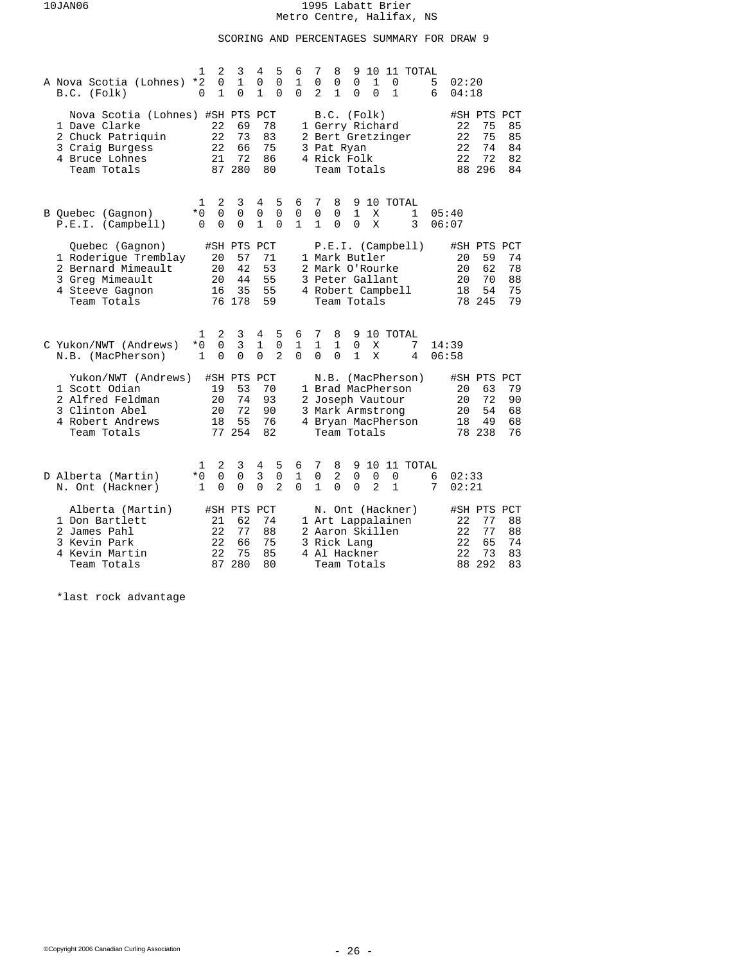## SCORING AND PERCENTAGES SUMMARY FOR DRAW 9

| A Nova Scotia (Lohnes)<br>B.C. (Folk)                                                                                      | 2<br>1<br>$\Omega$<br>$*2$<br>$\mathbf{1}$<br>0              | 3<br>$\mathbf{1}$<br>$\Omega$   | 5<br>4<br>$\Omega$<br>0<br>$\mathbf{1}$<br>0              | 7<br>6<br>8<br>9<br>10 11 TOTAL<br>1<br>0<br>0<br>5<br>0<br>1<br>$\mathbf 0$<br>02:20<br>$\Omega$<br>2<br>$\mathbf{1}$<br>$\mathbf{1}$<br>$\Omega$<br>$\Omega$<br>6<br>04:18                                                    |  |
|----------------------------------------------------------------------------------------------------------------------------|--------------------------------------------------------------|---------------------------------|-----------------------------------------------------------|---------------------------------------------------------------------------------------------------------------------------------------------------------------------------------------------------------------------------------|--|
| Nova Scotia (Lohnes) #SH PTS PCT<br>1 Dave Clarke<br>2 Chuck Patriquin<br>3 Craig Burgess<br>4 Bruce Lohnes<br>Team Totals | 22<br>22<br>22<br>21                                         | 69<br>73<br>66<br>72<br>87 280  | 78<br>83<br>75<br>86<br>80                                | B.C. (Folk)<br>#SH PTS PCT<br>75<br>1 Gerry Richard<br>22<br>85<br>22<br>75<br>2 Bert Gretzinger<br>85<br>74<br>22<br>84<br>3 Pat Ryan<br>72<br>22<br>4 Rick Folk<br>82<br>88 296<br>84<br>Team Totals                          |  |
| B Quebec (Gagnon)<br>P.E.I. (Camplell)                                                                                     | 2<br>1<br>$\mathbf 0$<br>*0<br>$\Omega$<br>$\Omega$          | 3<br>0<br>$\Omega$              | 5<br>4<br>0<br>0<br>$\mathbf{1}$<br>$\Omega$              | 6<br>7<br>8<br>9<br>10 TOTAL<br>$\mathsf 0$<br>0<br>$\mathbf{1}$<br>0<br>X<br>$\mathbf 1$<br>05:40<br>$\mathbf{1}$<br>$\mathbf{1}$<br>$\Omega$<br>$\Omega$<br>X<br>3<br>06:07                                                   |  |
| Quebec (Gagnon)<br>1 Roderique Tremblay<br>2 Bernard Mimeault<br>3 Greg Mimeault<br>4 Steeve Gagnon<br>Team Totals         | #SH PTS PCT<br>20<br>20<br>20<br>16                          | 57<br>42<br>44<br>35<br>76 178  | 71<br>53<br>55<br>55<br>59                                | P.E.I. (Camplell)<br>#SH PTS PCT<br>1 Mark Butler<br>59<br>74<br>20<br>62<br>78<br>2 Mark O'Rourke<br>20<br>3 Peter Gallant<br>20<br>70<br>88<br>54<br>75<br>4 Robert Campbell<br>18<br>79<br>Team Totals<br>78 245             |  |
| C Yukon/NWT (Andrews)<br>N.B. (MacPherson)                                                                                 | 2<br>1<br>$\overline{0}$<br>$*0$<br>$\mathbf{1}$<br>$\Omega$ | 3<br>$\overline{3}$<br>$\Omega$ | 4<br>5<br>$\mathbf{1}$<br>0<br>$\overline{2}$<br>$\Omega$ | 7<br>8<br>10 TOTAL<br>6<br>9<br>1<br>$\mathbf{1}$<br>$\mathbf{1}$<br>$\Omega$<br>X<br>7<br>14:39<br>$\Omega$<br>$\mathbf{1}$<br>$\Omega$<br>$\Omega$<br>X<br>4<br>06:58                                                         |  |
| Yukon/NWT (Andrews)<br>1 Scott Odian<br>2 Alfred Feldman<br>3 Clinton Abel<br>4 Robert Andrews<br>Team Totals              | #SH PTS<br>19<br>20<br>20<br>18                              | 53<br>74<br>72<br>55<br>77 254  | PCT<br>70<br>93<br>90<br>76<br>82                         | N.B. (MacPherson)<br>#SH PTS PCT<br>79<br>1 Brad MacPherson<br>20<br>63<br>2 Joseph Vautour<br>$20 \,$<br>72<br>90<br>3 Mark Armstrong<br>20<br>54<br>68<br>4 Bryan MacPherson<br>49<br>68<br>18<br>78 238<br>76<br>Team Totals |  |
| D Alberta (Martin)<br>N. Ont (Hackner)                                                                                     | 2<br>1<br>$\mathbf 0$<br>$*0$<br>$\Omega$<br>$\mathbf{1}$    | 3<br>$\mathbf 0$<br>$\Omega$    | 5<br>4<br>3<br>0<br>$\Omega$<br>$\overline{2}$            | 7<br>8<br>10<br>11 TOTAL<br>6<br>9<br>$\mathbf{1}$<br>0<br>2<br>0<br>$\mathbf 0$<br>$\mathbf 0$<br>02:33<br>6<br>$\Omega$<br>1<br>$\Omega$<br>$\Omega$<br>$\overline{2}$<br>$\mathbf{1}$<br>7<br>02:21                          |  |
| Alberta (Martin)<br>1 Don Bartlett<br>2 James Pahl<br>3 Kevin Park<br>4 Kevin Martin<br>Team Totals                        | #SH PTS PCT<br>21<br>22<br>22<br>22<br>87                    | 62<br>77<br>66<br>75<br>280     | 74<br>88<br>75<br>85<br>80                                | N. Ont (Hackner)<br>#SH PTS PCT<br>1 Art Lappalainen<br>77<br>88<br>22<br>2 Aaron Skillen<br>22<br>77<br>88<br>65<br>22<br>74<br>3 Rick Lang<br>22<br>73<br>4 Al Hackner<br>83<br>88 292<br>83<br>Team Totals                   |  |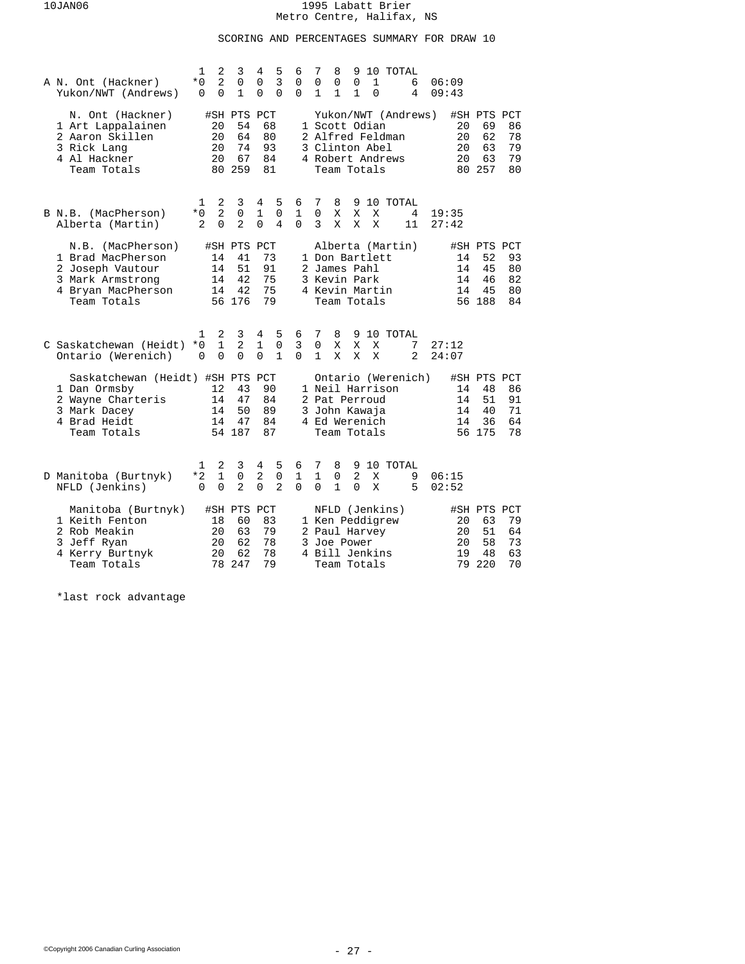## SCORING AND PERCENTAGES SUMMARY FOR DRAW 10

| A N. Ont (Hackner)<br>Yukon/NWT (Andrews)                                                                            | 1<br>* O<br>$\Omega$  | 2<br>2<br>$\mathbf 0$         | 3<br>0<br>$\mathbf{1}$                        | 4<br>0<br>0                   | 5<br>$\overline{3}$<br>0           | 6<br>0<br>$\Omega$ | 7<br>8<br>0<br>0<br>$\mathbf{1}$<br>1                                                                         | 9<br>0<br>1   | $\mathbf 1$<br>$\Omega$ | 10 TOTAL   | 6<br>4              | 06:09<br>09:43 |                      |                                               |                            |
|----------------------------------------------------------------------------------------------------------------------|-----------------------|-------------------------------|-----------------------------------------------|-------------------------------|------------------------------------|--------------------|---------------------------------------------------------------------------------------------------------------|---------------|-------------------------|------------|---------------------|----------------|----------------------|-----------------------------------------------|----------------------------|
| N. Ont (Hackner)<br>1 Art Lappalainen<br>2 Aaron Skillen<br>3 Rick Lang<br>4 Al Hackner<br>Team Totals               |                       | 20<br>20<br>20<br>20          | #SH PTS PCT<br>54<br>64<br>74<br>67<br>80 259 | 68<br>80<br>93<br>84<br>81    |                                    |                    | Yukon/NWT (Andrews)<br>1 Scott Odian<br>2 Alfred Feldman<br>3 Clinton Abel<br>4 Robert Andrews<br>Team Totals |               |                         |            |                     |                | 20<br>20<br>20<br>20 | #SH PTS PCT<br>69<br>62<br>63<br>63<br>80 257 | 86<br>78<br>79<br>79<br>80 |
| B N.B. (MacPherson)<br>Alberta (Martin)                                                                              | 1<br>$*0$<br>2        | 2<br>2<br>0                   | 3<br>0<br>$\overline{2}$                      | 4<br>1<br>$\Omega$            | 5<br>0<br>4                        | 6<br>1<br>$\Omega$ | 7<br>8<br>$\mathbf 0$<br>Χ<br>3<br>X                                                                          | X<br>X        | X<br>X                  | 9 10 TOTAL | 4<br>11             | 19:35<br>27:42 |                      |                                               |                            |
| N.B. (MacPherson)<br>1 Brad MacPherson<br>2 Joseph Vautour<br>3 Mark Armstrong<br>4 Bryan MacPherson<br>Team Totals  |                       | 14<br>14<br>14<br>14          | #SH PTS PCT<br>41<br>51<br>42<br>42<br>56 176 | 73<br>91<br>75<br>75<br>79    |                                    |                    | Alberta (Martin)<br>1 Don Bartlett<br>2 James Pahl<br>3 Kevin Park<br>4 Kevin Martin<br>Team Totals           |               |                         |            |                     |                | 14<br>14<br>14<br>14 | #SH PTS PCT<br>52<br>45<br>46<br>45<br>56 188 | 93<br>80<br>82<br>80<br>84 |
| C Saskatchewan (Heidt)<br>Ontario (Werenich)                                                                         | 1<br>* 0<br>$\Omega$  | 2<br>$\mathbf{1}$<br>$\Omega$ | 3<br>2<br>$\Omega$                            | 4<br>$\mathbf{1}$<br>$\Omega$ | 5<br>$\mathbf 0$<br>$\mathbf{1}$   | 6<br>3<br>$\Omega$ | 7<br>8<br>$\mathbf 0$<br>Χ<br>$\mathbf{1}$<br>X                                                               | X<br>X        | X<br>X                  | 9 10 TOTAL | 7<br>$\overline{a}$ | 27:12<br>24:07 |                      |                                               |                            |
| Saskatchewan (Heidt) #SH PTS PCT<br>1 Dan Ormsby<br>2 Wayne Charteris<br>3 Mark Dacey<br>4 Brad Heidt<br>Team Totals |                       | 12<br>14<br>14<br>14          | 43<br>47<br>50<br>47<br>54 187                | 90<br>84<br>89<br>84<br>87    |                                    |                    | Ontario (Werenich)<br>1 Neil Harrison<br>2 Pat Perroud<br>3 John Kawaja<br>4 Ed Werenich<br>Team Totals       |               |                         |            |                     |                | 14<br>14<br>14<br>14 | #SH PTS PCT<br>48<br>51<br>40<br>36<br>56 175 | 86<br>91<br>71<br>64<br>78 |
| D Manitoba (Burtnyk)<br>NFLD (Jenkins)                                                                               | 1<br>$*2$<br>$\Omega$ | 2<br>1<br>$\Omega$            | 3<br>0<br>$\overline{2}$                      | 4<br>2<br>$\Omega$            | 5<br>$\mathsf 0$<br>$\overline{2}$ | 6<br>1<br>$\Omega$ | 7<br>8<br>$\mathbf{1}$<br>0<br>$\mathbf{1}$<br>$\Omega$                                                       | 2<br>$\Omega$ | X<br>X                  | 9 10 TOTAL | 9<br>5              | 06:15<br>02:52 |                      |                                               |                            |
| Manitoba (Burtnyk)<br>1 Keith Fenton<br>2 Rob Meakin<br>3 Jeff Ryan<br>4 Kerry Burtnyk<br>Team Totals                |                       | 18<br>20<br>20<br>20<br>78    | #SH PTS PCT<br>60<br>63<br>62<br>62<br>247    | 83<br>79<br>78<br>78<br>79    |                                    |                    | NFLD (Jenkins)<br>1 Ken Peddigrew<br>2 Paul Harvey<br>3 Joe Power<br>4 Bill Jenkins<br>Team Totals            |               |                         |            |                     |                | 20<br>20<br>20<br>19 | #SH PTS PCT<br>63<br>51<br>58<br>48<br>79 220 | 79<br>64<br>73<br>63<br>70 |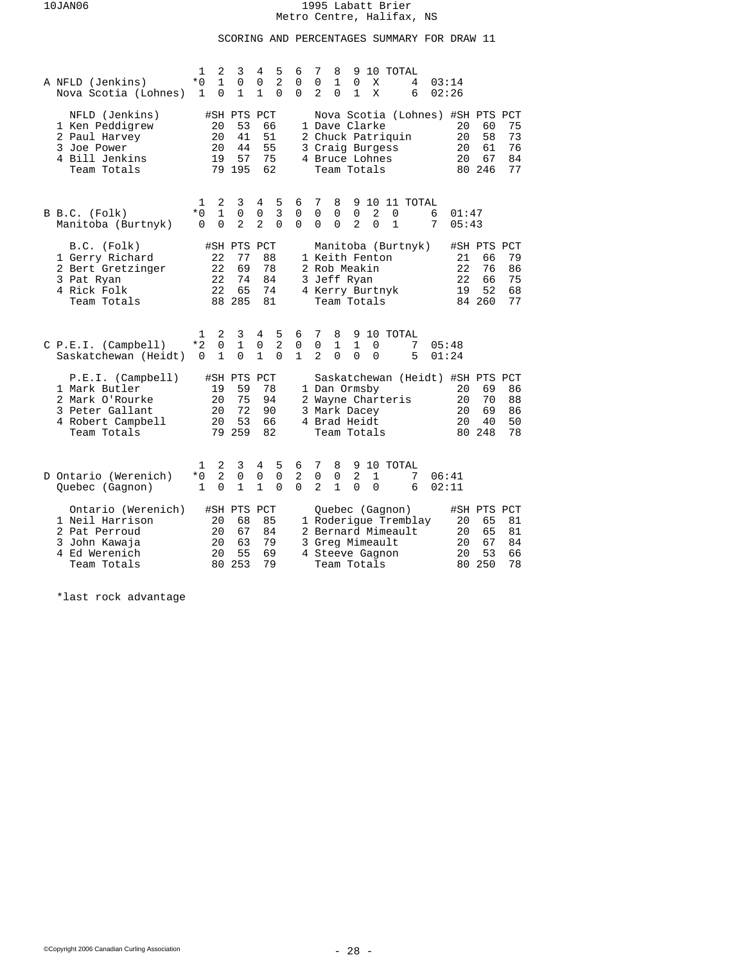## SCORING AND PERCENTAGES SUMMARY FOR DRAW 11

| A NFLD (Jenkins)<br>Nova Scotia (Lohnes)                                                                     | 1<br>$*0$<br>1 | 2<br>$\mathbf{1}$<br>0          | 3<br>0<br>$\mathbf{1}$                        | 4<br>0<br>1                | 5<br>$\overline{2}$<br>0        | 6<br>0<br>$\Omega$              | 7<br>0<br>$\overline{2}$           | 8<br>1<br>$\Omega$              | 9<br>0<br>1                                  | X<br>X                                                            | 10 TOTAL                              | 4<br>6               |        | 03:14<br>02:26                                           |                                               |                            |
|--------------------------------------------------------------------------------------------------------------|----------------|---------------------------------|-----------------------------------------------|----------------------------|---------------------------------|---------------------------------|------------------------------------|---------------------------------|----------------------------------------------|-------------------------------------------------------------------|---------------------------------------|----------------------|--------|----------------------------------------------------------|-----------------------------------------------|----------------------------|
| NFLD (Jenkins)<br>1 Ken Peddigrew<br>2 Paul Harvey<br>3 Joe Power<br>4 Bill Jenkins<br>Team Totals           |                | 20<br>20<br>20<br>19            | #SH PTS PCT<br>53<br>41<br>44<br>57<br>79 195 |                            | 66<br>51<br>55<br>75<br>62      |                                 |                                    |                                 |                                              | 1 Dave Clarke<br>3 Craig Burgess<br>4 Bruce Lohnes<br>Team Totals | 2 Chuck Patriquin                     |                      |        | Nova Scotia (Lohnes) #SH PTS PCT<br>20<br>20<br>20<br>20 | 60<br>58<br>61<br>67<br>80 246                | 75<br>73<br>76<br>84<br>77 |
| B B.C. (Folk)<br>Manitoba (Burtnyk)                                                                          | 1<br>$*0$<br>0 | 2<br>$\mathbf{1}$<br>0          | 3<br>$\Omega$<br>2                            | 4<br>0<br>$\overline{a}$   | 5<br>3<br>$\Omega$              | 6<br>0<br>0                     | 7<br>$\mathbf 0$<br>0              | 8<br>$\mathbf 0$<br>$\mathbf 0$ | 9<br>$\mathbf 0$<br>$\overline{2}$           | 2<br>$\Omega$                                                     | $\Omega$<br>$\mathbf{1}$              | 10 11 TOTAL          | 6<br>7 | 01:47<br>05:43                                           |                                               |                            |
| B.C. (Folk)<br>1 Gerry Richard<br>2 Bert Gretzinger<br>3 Pat Ryan<br>4 Rick Folk<br>Team Totals              |                | 22<br>22<br>22<br>22            | #SH PTS PCT<br>77<br>69<br>74<br>65<br>88 285 | 88<br>78<br>74<br>81       | 84                              |                                 |                                    |                                 | 2 Rob Meakin<br>3 Jeff Ryan                  | 1 Keith Fenton<br>4 Kerry Burtnyk<br>Team Totals                  |                                       | Manitoba (Burtnyk)   |        | 21<br>22<br>22<br>19                                     | #SH PTS PCT<br>66<br>76<br>66<br>52<br>84 260 | 79<br>86<br>75<br>68<br>77 |
| $C$ P.E.I. (Campbell)<br>Saskatchewan (Heidt)                                                                | 1<br>$*2$<br>0 | 2<br>$\mathbf 0$<br>1           | 3<br>$\mathbf{1}$<br>$\Omega$                 | 4<br>0<br>$\mathbf{1}$     | 5<br>$\overline{2}$<br>$\Omega$ | 6<br>0<br>$\mathbf{1}$          | 7<br>$\mathbf 0$<br>2              | 8<br>$\mathbf{1}$<br>$\Omega$   | 9<br>$\mathbf{1}$<br>$\Omega$                | 0<br>0                                                            | 10 TOTAL                              | 7<br>5               |        | 05:48<br>01:24                                           |                                               |                            |
| P.E.I. (Camplell)<br>1 Mark Butler<br>2 Mark O'Rourke<br>3 Peter Gallant<br>4 Robert Campbell<br>Team Totals |                | 19<br>20<br>20<br>20            | #SH PTS PCT<br>59<br>75<br>72<br>53<br>79 259 | 78<br>94<br>90<br>66<br>82 |                                 |                                 |                                    |                                 | 1 Dan Ormsby<br>3 Mark Dacey<br>4 Brad Heidt | Team Totals                                                       | 2 Wayne Charteris                     |                      |        | Saskatchewan (Heidt) #SH PTS PCT<br>20<br>20<br>20<br>20 | 69<br>70<br>69<br>40<br>80 248                | 86<br>88<br>86<br>50<br>78 |
| D Ontario (Werenich)<br>Quebec (Gagnon)                                                                      | 1<br>$*0$<br>1 | 2<br>$\overline{a}$<br>$\Omega$ | 3<br>0<br>$\mathbf{1}$                        | 4<br>0<br>$\mathbf{1}$     | 5<br>0<br>$\Omega$              | 6<br>$\overline{2}$<br>$\Omega$ | 7<br>$\mathbf 0$<br>$\mathfrak{D}$ | 8<br>0<br>$\mathbf{1}$          | 9<br>$\overline{2}$<br>$\Omega$              | $\mathbf{1}$<br>$\Omega$                                          | 10 TOTAL                              | 7<br>6               |        | 06:41<br>02:11                                           |                                               |                            |
| Ontario (Werenich)<br>1 Neil Harrison<br>2 Pat Perroud<br>3 John Kawaja<br>4 Ed Werenich<br>Team Totals      |                | 20<br>20<br>20<br>20<br>80      | #SH PTS PCT<br>68<br>67<br>63<br>55<br>253    | 85<br>84<br>79<br>69<br>79 |                                 |                                 |                                    |                                 |                                              | 3 Greg Mimeault<br>4 Steeve Gagnon<br>Team Totals                 | Quebec (Gagnon)<br>2 Bernard Mimeault | 1 Roderique Tremblay |        | 20<br>20<br>20<br>20<br>80                               | #SH PTS PCT<br>65<br>65<br>67<br>53<br>250    | 81<br>81<br>84<br>66<br>78 |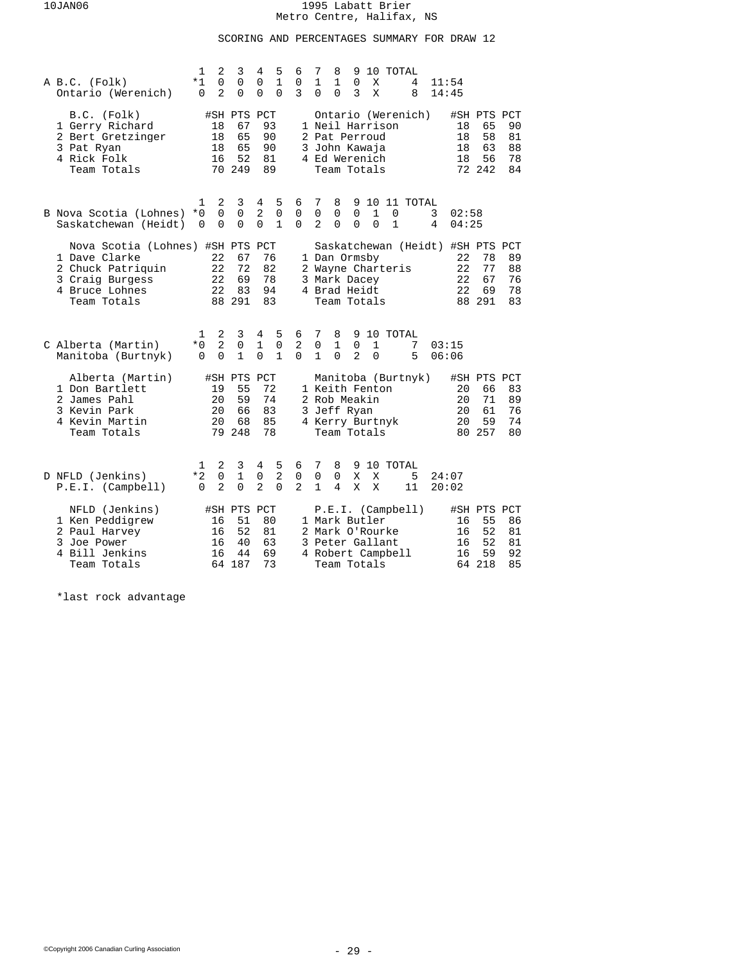# SCORING AND PERCENTAGES SUMMARY FOR DRAW 12

| A B.C. (Folk)<br>Ontario (Werenich)                                                                                        | 1<br>*1<br>$\Omega$   | 2<br>$\mathbf 0$<br>2           | 3<br>$\mathbf 0$<br>0                         | 4<br>0<br>0                   | 5<br>$\mathbf{1}$<br>0           | 6<br>0<br>3                     | 7<br>$\mathbf{1}$<br>0             | 8<br>1<br>0                                                                                                          | 9<br>$\Omega$<br>3       | Χ<br>X                   | 10 TOTAL                 | 4<br>8        |        | 11:54<br>14:45       |                                               |                            |
|----------------------------------------------------------------------------------------------------------------------------|-----------------------|---------------------------------|-----------------------------------------------|-------------------------------|----------------------------------|---------------------------------|------------------------------------|----------------------------------------------------------------------------------------------------------------------|--------------------------|--------------------------|--------------------------|---------------|--------|----------------------|-----------------------------------------------|----------------------------|
| B.C. (Folk)<br>1 Gerry Richard<br>2 Bert Gretzinger<br>3 Pat Ryan<br>4 Rick Folk<br>Team Totals                            |                       | 18<br>18<br>18<br>16<br>70      | #SH PTS PCT<br>67<br>65<br>65<br>52<br>249    |                               | 93<br>90<br>90<br>81<br>89       |                                 |                                    | Ontario (Werenich)<br>1 Neil Harrison<br>2 Pat Perroud<br>3 John Kawaja<br>4 Ed Werenich<br>Team Totals              |                          |                          |                          |               |        | 18<br>18<br>18<br>18 | #SH PTS PCT<br>65<br>58<br>63<br>56<br>72 242 | 90<br>81<br>88<br>78<br>84 |
| B Nova Scotia (Lohnes)<br>Saskatchewan (Heidt)                                                                             | 1<br>$*0$<br>$\Omega$ | 2<br>$\Omega$<br>$\Omega$       | 3<br>$\Omega$<br>$\Omega$                     | 4<br>$\mathbf{2}$<br>$\Omega$ | 5<br>$\mathbf 0$<br>$\mathbf{1}$ | 6<br>0<br>$\Omega$              | 7<br>$\mathbf 0$<br>$\overline{a}$ | 8<br>0<br>$\Omega$                                                                                                   | $\Omega$<br>$\Omega$     | $\mathbf{1}$<br>$\Omega$ | $\Omega$<br>$\mathbf{1}$ | 9 10 11 TOTAL | 3<br>4 | 02:58<br>04:25       |                                               |                            |
| Nova Scotia (Lohnes) #SH PTS PCT<br>1 Dave Clarke<br>2 Chuck Patriquin<br>3 Craig Burgess<br>4 Bruce Lohnes<br>Team Totals |                       | 22<br>22<br>22<br>22            | 67<br>72<br>69<br>83<br>88 291                |                               | 76<br>82<br>78<br>94<br>83       |                                 |                                    | Saskatchewan (Heidt) #SH PTS PCT<br>1 Dan Ormsby<br>2 Wayne Charteris<br>3 Mark Dacey<br>4 Brad Heidt<br>Team Totals |                          |                          |                          |               |        | 22<br>22<br>22<br>22 | 78<br>77<br>67<br>69<br>88 291                | 89<br>88<br>76<br>78<br>83 |
| C Alberta (Martin)<br>Manitoba (Burtnyk)                                                                                   | 1<br>$*0$<br>$\Omega$ | 2<br>$\overline{2}$<br>$\Omega$ | 3<br>$\mathbf 0$<br>$\mathbf{1}$              | 4<br>$\mathbf{1}$<br>$\Omega$ | 5<br>$\mathsf 0$<br>$\mathbf{1}$ | 6<br>$\overline{a}$<br>$\Omega$ | 7<br>$\mathsf 0$<br>$\mathbf{1}$   | 8<br>$\mathbf{1}$<br>$\Omega$                                                                                        | 9<br>0<br>$\overline{a}$ | 1<br>$\Omega$            | 10 TOTAL                 | 7<br>5        |        | 03:15<br>06:06       |                                               |                            |
| Alberta (Martin)<br>1 Don Bartlett<br>2 James Pahl<br>3 Kevin Park<br>4 Kevin Martin<br>Team Totals                        |                       | 19<br>20<br>20<br>20            | #SH PTS PCT<br>55<br>59<br>66<br>68<br>79 248 | 78                            | 72<br>74<br>83<br>85             |                                 |                                    | Manitoba (Burtnyk)<br>1 Keith Fenton<br>2 Rob Meakin<br>3 Jeff Ryan<br>4 Kerry Burtnyk<br>Team Totals                |                          |                          |                          |               |        | 20<br>20<br>20<br>20 | #SH PTS PCT<br>66<br>71<br>61<br>59<br>80 257 | 83<br>89<br>76<br>74<br>80 |
| D NFLD (Jenkins)<br>P.E.I. (Camplell)                                                                                      | 1<br>$*2$<br>$\Omega$ | 2<br>0<br>$\overline{2}$        | 3<br>1<br>$\Omega$                            | 4<br>0<br>$\overline{2}$      | 5<br>$\overline{2}$<br>$\Omega$  | 6<br>0<br>$\overline{2}$        | 7<br>$\mathbf 0$<br>$\mathbf{1}$   | 8<br>0<br>4                                                                                                          | X<br>X                   | X<br>X                   | 9 10 TOTAL               | 5<br>11       |        | 24:07<br>20:02       |                                               |                            |
| NFLD (Jenkins)<br>1 Ken Peddigrew<br>2 Paul Harvey<br>3 Joe Power<br>4 Bill Jenkins<br>Team Totals                         |                       | 16<br>16<br>16<br>16            | #SH PTS PCT<br>51<br>52<br>40<br>44<br>64 187 | 69                            | 80<br>81<br>63<br>73             |                                 |                                    | P.E.I. (Camplell)<br>1 Mark Butler<br>2 Mark O'Rourke<br>3 Peter Gallant<br>4 Robert Campbell<br>Team Totals         |                          |                          |                          |               |        | 16<br>16<br>16<br>16 | #SH PTS PCT<br>55<br>52<br>52<br>59<br>64 218 | 86<br>81<br>81<br>92<br>85 |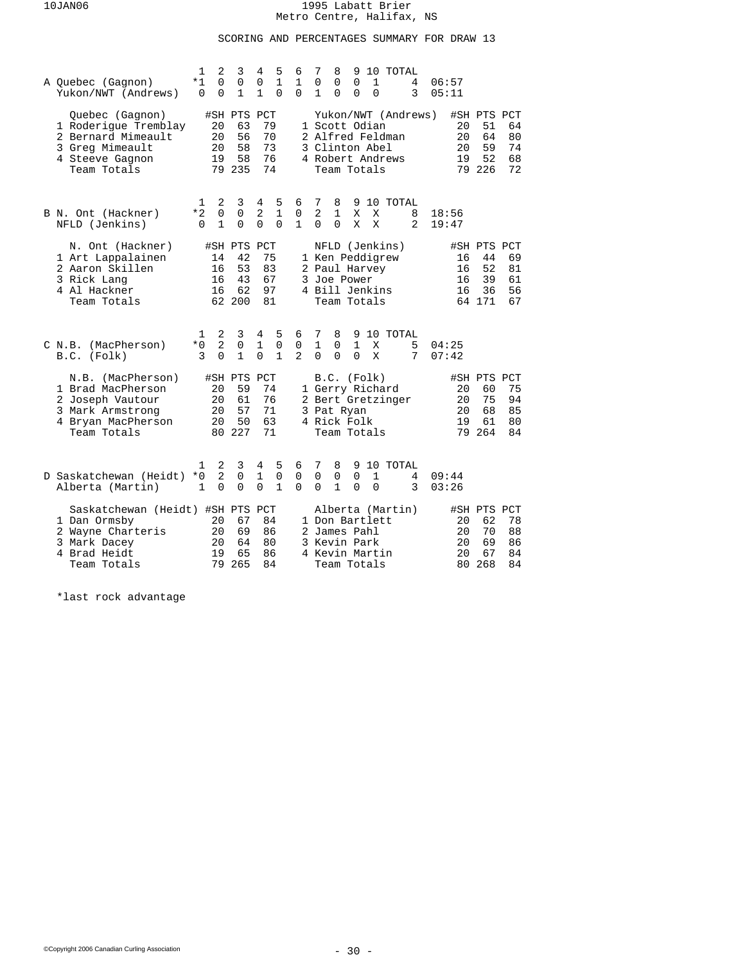## SCORING AND PERCENTAGES SUMMARY FOR DRAW 13

| A Quebec (Gagnon)<br>Yukon/NWT (Andrews)                                                                             | 2<br>1<br>*1<br>$\Omega$<br>$\Omega$<br>$\mathbf 0$  | 3<br>0<br>$\mathbf{1}$                        | 5<br>4<br>0<br>$\mathbf{1}$<br>$\mathbf{1}$<br>$\Omega$           | 6<br>1<br>$\Omega$                 | 7<br>8<br>10 TOTAL<br>9<br>$\Omega$<br>$\mathbf 1$<br>06:57<br>0<br>0<br>4<br>$\Omega$<br>$\Omega$<br>$\Omega$<br>3<br>1<br>05:11                                                      |                            |
|----------------------------------------------------------------------------------------------------------------------|------------------------------------------------------|-----------------------------------------------|-------------------------------------------------------------------|------------------------------------|----------------------------------------------------------------------------------------------------------------------------------------------------------------------------------------|----------------------------|
| Quebec (Gagnon)<br>1 Roderique Tremblay<br>2 Bernard Mimeault<br>3 Greg Mimeault<br>4 Steeve Gagnon<br>Team Totals   | 20<br>20<br>20<br>19                                 | #SH PTS PCT<br>63<br>56<br>58<br>58<br>79 235 | 79<br>70<br>73<br>76<br>74                                        |                                    | Yukon/NWT (Andrews)<br>#SH PTS PCT<br>1 Scott Odian<br>51<br>20<br>2 Alfred Feldman<br>20<br>64<br>59<br>3 Clinton Abel<br>20<br>52<br>4 Robert Andrews<br>19<br>79 226<br>Team Totals | 64<br>80<br>74<br>68<br>72 |
| B N. Ont (Hackner)<br>NFLD (Jenkins)                                                                                 | 2<br>1<br>*2<br>$\Omega$<br>$\mathbf{1}$<br>$\Omega$ | 3<br>0<br>$\Omega$                            | 5<br>4<br>2<br>$\mathbf{1}$<br>$\Omega$<br>$\Omega$               | 6<br>$\mathbf 0$<br>$\mathbf{1}$   | 7<br>8<br>10 TOTAL<br>9<br>$\overline{2}$<br>$\mathbf{1}$<br>Χ<br>X<br>8<br>18:56<br>$\Omega$<br>$\Omega$<br>X<br>X<br>2<br>19:47                                                      |                            |
| N. Ont (Hackner)<br>1 Art Lappalainen<br>2 Aaron Skillen<br>3 Rick Lang<br>4 Al Hackner<br>Team Totals               | 14<br>16<br>16<br>16                                 | #SH PTS PCT<br>42<br>53<br>43<br>62<br>62 200 | 75<br>83<br>67<br>97<br>81                                        |                                    | NFLD (Jenkins)<br>#SH PTS PCT<br>1 Ken Peddigrew<br>44<br>16<br>52<br>2 Paul Harvey<br>16<br>39<br>3 Joe Power<br>16<br>4 Bill Jenkins<br>16<br>36<br>64 171<br>Team Totals            | 69<br>81<br>61<br>56<br>67 |
| C N.B. (MacPherson)<br>B.C. (Folk)                                                                                   | 2<br>1<br>$\overline{a}$<br>$*0$<br>3<br>$\Omega$    | 3<br>$\mathbf 0$<br>$\mathbf{1}$              | 4<br>5<br>$\mathbf{1}$<br>$\mathbf 0$<br>$\Omega$<br>$\mathbf{1}$ | 6<br>$\mathbf 0$<br>$\mathfrak{D}$ | 10 TOTAL<br>7<br>8<br>9<br>$\mathbf{1}$<br>$\mathbf{1}$<br>$\mathbf 0$<br>04:25<br>Χ<br>5<br>$\Omega$<br>$\Omega$<br>$\Omega$<br>X<br>7<br>07:42                                       |                            |
| N.B. (MacPherson)<br>1 Brad MacPherson<br>2 Joseph Vautour<br>3 Mark Armstrong<br>4 Bryan MacPherson<br>Team Totals  | 20<br>20<br>20<br>20                                 | #SH PTS<br>59<br>61<br>57<br>50<br>80 227     | PCT<br>74<br>76<br>71<br>63<br>71                                 |                                    | B.C. (Folk)<br>#SH PTS PCT<br>1 Gerry Richard<br>60<br>20<br>20<br>75<br>2 Bert Gretzinger<br>20<br>68<br>3 Pat Ryan<br>4 Rick Folk<br>19<br>61<br>79<br>264<br>Team Totals            | 75<br>94<br>85<br>80<br>84 |
| D Saskatchewan (Heidt)<br>Alberta (Martin)                                                                           | 2<br>1<br>2<br>$*0$<br>$\mathbf{1}$<br>$\Omega$      | 3<br>$\Omega$<br>$\Omega$                     | 4<br>5<br>1<br>0<br>$\Omega$<br>$\mathbf{1}$                      | 6<br>0<br>$\Omega$                 | 8<br>9 10 TOTAL<br>7<br>0<br>0<br>0<br>1<br>09:44<br>4<br>1<br>$\Omega$<br>$\Omega$<br>0<br>3<br>03:26                                                                                 |                            |
| Saskatchewan (Heidt) #SH PTS PCT<br>1 Dan Ormsby<br>2 Wayne Charteris<br>3 Mark Dacey<br>4 Brad Heidt<br>Team Totals | 20<br>20<br>20<br>19<br>79                           | 67<br>69<br>64<br>65<br>265                   | 84<br>86<br>80<br>86<br>84                                        |                                    | Alberta (Martin)<br>#SH PTS PCT<br>62<br>1 Don Bartlett<br>20<br>20<br>70<br>2 James Pahl<br>3 Kevin Park<br>20<br>69<br>20<br>4 Kevin Martin<br>67<br>268<br>Team Totals<br>80        | 78<br>88<br>86<br>84<br>84 |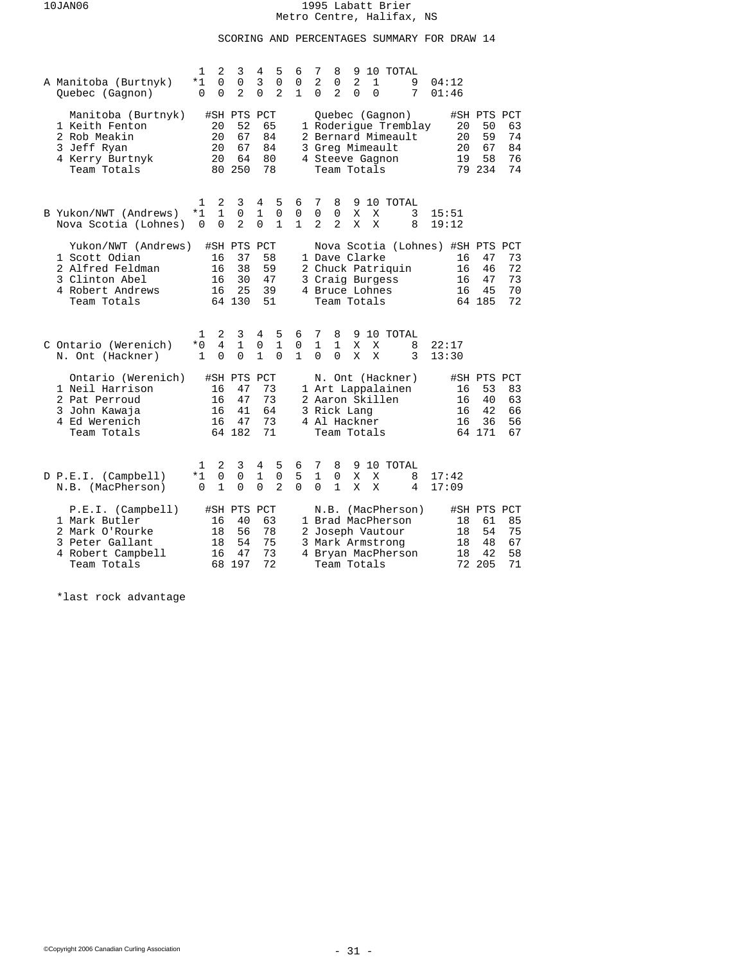## SCORING AND PERCENTAGES SUMMARY FOR DRAW 14

| A Manitoba (Burtnyk)<br>Quebec (Gagnon)                                                                       | 2<br>1<br>$\Omega$<br>*1<br>$\Omega$<br>$\Omega$           | 3<br>$\mathbf 0$<br>$\overline{a}$            | 4<br>5<br>3<br>$\mathbf 0$<br>$\overline{2}$<br>$\Omega$          | 6<br>0<br>$\mathbf{1}$ | 7<br>10 TOTAL<br>8<br>9<br>$\overline{2}$<br>$\overline{2}$<br>$\mathbf 1$<br>9<br>0<br>04:12<br>$\Omega$<br>$\overline{a}$<br>$\Omega$<br>$\Omega$<br>7<br>01:46                                                             |
|---------------------------------------------------------------------------------------------------------------|------------------------------------------------------------|-----------------------------------------------|-------------------------------------------------------------------|------------------------|-------------------------------------------------------------------------------------------------------------------------------------------------------------------------------------------------------------------------------|
| Manitoba (Burtnyk)<br>1 Keith Fenton<br>2 Rob Meakin<br>3 Jeff Ryan<br>4 Kerry Burtnyk<br>Team Totals         | 20<br>20<br>20<br>20                                       | #SH PTS PCT<br>52<br>67<br>67<br>64<br>80 250 | 65<br>84<br>84<br>80<br>78                                        |                        | Quebec (Gagnon)<br>#SH PTS PCT<br>1 Roderique Tremblay<br>20<br>50<br>63<br>2 Bernard Mimeault<br>20<br>59<br>74<br>67<br>84<br>3 Greg Mimeault<br>20<br>58<br>76<br>4 Steeve Gagnon<br>19<br>79 234<br>Team Totals<br>74     |
| B Yukon/NWT (Andrews)<br>Nova Scotia (Lohnes)                                                                 | $\mathbf 1$<br>2<br>1<br>*1<br>$\Omega$<br>0               | 3<br>0<br>$\overline{a}$                      | 4<br>5<br>$\mathbf{1}$<br>0<br>$\Omega$<br>$\mathbf{1}$           | 6<br>0<br>$\mathbf{1}$ | $7\phantom{.0}$<br>8<br>9<br>10 TOTAL<br>$\mathbf 0$<br>0<br>X<br>3<br>Χ<br>15:51<br>$\overline{2}$<br>2<br>X<br>X<br>8<br>19:12                                                                                              |
| Yukon/NWT (Andrews)<br>1 Scott Odian<br>2 Alfred Feldman<br>3 Clinton Abel<br>4 Robert Andrews<br>Team Totals | 16<br>16<br>16<br>16                                       | #SH PTS PCT<br>37<br>38<br>30<br>25<br>64 130 | 58<br>59<br>47<br>39<br>51                                        |                        | Nova Scotia (Lohnes) #SH PTS PCT<br>1 Dave Clarke<br>47<br>73<br>16<br>2 Chuck Patriquin<br>72<br>16<br>46<br>73<br>3 Craig Burgess<br>16<br>47<br>4 Bruce Lohnes<br>16<br>45<br>70<br>64 185<br>72<br>Team Totals            |
| C Ontario (Werenich)<br>N. Ont (Hackner)                                                                      | 2<br>1<br>$\overline{4}$<br>$*0$<br>$\Omega$<br>1          | 3<br>$\mathbf{1}$<br>$\Omega$                 | 4<br>5<br>$\mathbf{1}$<br>$\mathsf 0$<br>$\mathbf{1}$<br>$\Omega$ | 6<br>0<br>$\mathbf{1}$ | 7<br>8<br>9 10 TOTAL<br>$\mathbf{1}$<br>$\mathbf{1}$<br>X<br>X<br>8<br>22:17<br>$\Omega$<br>$\Omega$<br>X<br>X<br>3<br>13:30                                                                                                  |
| Ontario (Werenich)<br>1 Neil Harrison<br>2 Pat Perroud<br>3 John Kawaja<br>4 Ed Werenich<br>Team Totals       | 16<br>16<br>16<br>16                                       | #SH PTS<br>47<br>47<br>41<br>47<br>64 182     | PCT<br>73<br>73<br>64<br>73<br>71                                 |                        | N. Ont (Hackner)<br>#SH PTS PCT<br>1 Art Lappalainen<br>53<br>83<br>16<br>2 Aaron Skillen<br>63<br>16<br>40<br>3 Rick Lang<br>16<br>42<br>66<br>4 Al Hackner<br>16<br>36<br>56<br>64 171<br>67<br>Team Totals                 |
| D P.E.I. (Campbell)<br>N.B. (MacPherson)                                                                      | 2<br>1<br>$\mathsf{O}$<br>$*1$<br>$\mathbf{1}$<br>$\Omega$ | 3<br>$\mathbf 0$<br>$\Omega$                  | 4<br>5<br>$\mathbf 0$<br>1<br>$\Omega$<br>$\overline{2}$          | 6<br>5<br>$\Omega$     | 9 10 TOTAL<br>7<br>8<br>$\mathbf{1}$<br>X<br>0<br>X<br>8<br>17:42<br>$\mathbf{1}$<br>$\Omega$<br>X<br>X<br>17:09<br>4                                                                                                         |
| P.E.I. (Camplell)<br>1 Mark Butler<br>2 Mark O'Rourke<br>3 Peter Gallant<br>4 Robert Campbell<br>Team Totals  | 16<br>18<br>18<br>16<br>68                                 | #SH PTS PCT<br>40<br>56<br>54<br>47<br>197    | 63<br>78<br>75<br>73<br>72                                        |                        | (MacPherson)<br>#SH PTS PCT<br>N.B.<br>1 Brad MacPherson<br>61<br>85<br>18<br>75<br>2 Joseph Vautour<br>54<br>18<br>67<br>3 Mark Armstrong<br>18<br>48<br>58<br>4 Bryan MacPherson<br>18<br>42<br>72 205<br>71<br>Team Totals |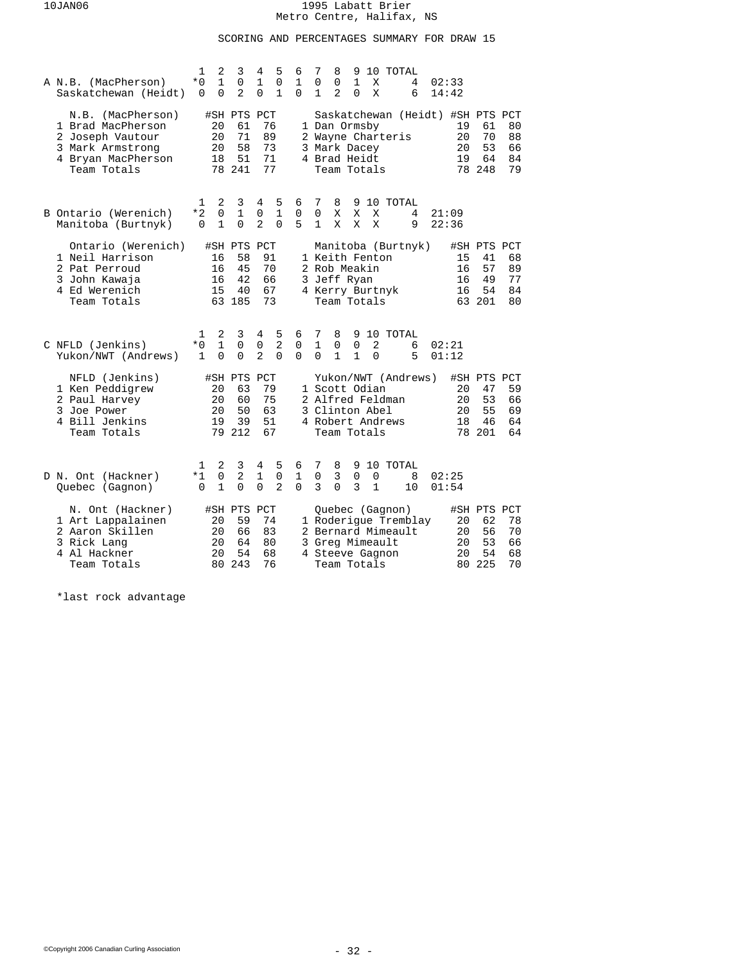## SCORING AND PERCENTAGES SUMMARY FOR DRAW 15

| A N.B. (MacPherson)<br>Saskatchewan (Heidt)                                                                         | $\mathbf{1}$<br>$*0$<br>0 | 2<br>$\mathbf{1}$<br>0        | 3<br>$\mathbf 0$<br>$\overline{a}$            | 4<br>$\mathbf{1}$<br>0             | 5<br>$\mathbf 0$<br>$\mathbf{1}$ | 6<br>$\mathbf{1}$<br>$\Omega$ | 7<br>0<br>1                   | 8<br>0<br>2                                                  | 9<br>$\mathbf{1}$<br>0           | X<br>X                     | 10 TOTAL                                                 | 4<br>6               | 02:33<br>14:42                                           |                                               |                            |
|---------------------------------------------------------------------------------------------------------------------|---------------------------|-------------------------------|-----------------------------------------------|------------------------------------|----------------------------------|-------------------------------|-------------------------------|--------------------------------------------------------------|----------------------------------|----------------------------|----------------------------------------------------------|----------------------|----------------------------------------------------------|-----------------------------------------------|----------------------------|
| N.B. (MacPherson)<br>1 Brad MacPherson<br>2 Joseph Vautour<br>3 Mark Armstrong<br>4 Bryan MacPherson<br>Team Totals |                           | 20<br>20<br>20<br>18<br>78    | #SH PTS PCT<br>61<br>71<br>58<br>51<br>241    | 73                                 | 76<br>89<br>71<br>77             |                               |                               | 1 Dan Ormsby<br>3 Mark Dacey<br>4 Brad Heidt<br>Team Totals  |                                  |                            | 2 Wayne Charteris                                        |                      | Saskatchewan (Heidt) #SH PTS PCT<br>19<br>20<br>20<br>19 | 61<br>70<br>53<br>64<br>78 248                | 80<br>88<br>66<br>84<br>79 |
| B Ontario (Werenich)<br>Manitoba (Burtnyk)                                                                          | 1<br>*2<br>0              | 2<br>$\Omega$<br>$\mathbf 1$  | 3<br>$\mathbf 1$<br>$\Omega$                  | 4<br>0<br>$\overline{2}$           | 5<br>1<br>$\Omega$               | 6<br>0<br>5                   | 7<br>$\mathbf 0$<br>1         | 8<br>Χ<br>X                                                  | Χ<br>X                           | Χ<br>X                     | 9 10 TOTAL                                               | 4<br>9               | 21:09<br>22:36                                           |                                               |                            |
| Ontario (Werenich)<br>1 Neil Harrison<br>2 Pat Perroud<br>3 John Kawaja<br>4 Ed Werenich<br>Team Totals             |                           | 16<br>16<br>16<br>15          | #SH PTS PCT<br>58<br>45<br>42<br>40<br>63 185 |                                    | 91<br>70<br>66<br>67<br>73       |                               |                               | 1 Keith Fenton<br>2 Rob Meakin<br>3 Jeff Ryan<br>Team Totals |                                  |                            | 4 Kerry Burtnyk                                          | Manitoba (Burtnyk)   | 15<br>16<br>16<br>16                                     | #SH PTS PCT<br>41<br>57<br>49<br>54<br>63 201 | 68<br>89<br>77<br>84<br>80 |
| C NFLD (Jenkins)<br>Yukon/NWT (Andrews)                                                                             | 1<br>$*0$<br>$\mathbf{1}$ | 2<br>$\mathbf{1}$<br>$\Omega$ | 3<br>0<br>$\Omega$                            | 4<br>$\mathbf 0$<br>$\overline{a}$ | 5<br>$\overline{2}$<br>$\Omega$  | 6<br>0<br>$\Omega$            | 7<br>$\mathbf{1}$<br>$\Omega$ | 8<br>0<br>$\mathbf{1}$                                       | 9<br>$\mathbf 0$<br>$\mathbf{1}$ | $\overline{2}$<br>$\Omega$ | 10 TOTAL                                                 | 6<br>5               | 02:21<br>01:12                                           |                                               |                            |
| NFLD (Jenkins)<br>1 Ken Peddigrew<br>2 Paul Harvey<br>3 Joe Power<br>4 Bill Jenkins<br>Team Totals                  |                           | 20<br>20<br>20<br>19          | #SH PTS<br>63<br>60<br>50<br>39<br>79 212     | PCT                                | 79<br>75<br>63<br>51<br>67       |                               |                               | 1 Scott Odian<br>3 Clinton Abel<br>Team Totals               |                                  |                            | 2 Alfred Feldman<br>4 Robert Andrews                     | Yukon/NWT (Andrews)  | 20<br>20<br>20<br>18                                     | #SH PTS PCT<br>47<br>53<br>55<br>46<br>78 201 | 59<br>66<br>69<br>64<br>64 |
| D N. Ont (Hackner)<br>Quebec (Gagnon)                                                                               | 1<br>$*1$<br>$\Omega$     | 2<br>0<br>$\mathbf 1$         | 3<br>2<br>$\Omega$                            | 4<br>1<br>$\Omega$                 | 5<br>0<br>$\overline{2}$         | 6<br>1<br>$\Omega$            | 7<br>0<br>3                   | 8<br>3<br>0                                                  | 0<br>3                           | 0<br>1                     | 9 10 TOTAL                                               | 8<br>10              | 02:25<br>01:54                                           |                                               |                            |
| N. Ont (Hackner)<br>1 Art Lappalainen<br>2 Aaron Skillen<br>3 Rick Lang<br>4 Al Hackner<br>Team Totals              |                           | 20<br>20<br>20<br>20<br>80    | #SH PTS<br>59<br>66<br>64<br>54<br>243        | PCT                                | 74<br>83<br>80<br>68<br>76       |                               |                               | 3 Greg Mimeault<br>Team Totals                               |                                  |                            | Quebec (Gagnon)<br>2 Bernard Mimeault<br>4 Steeve Gagnon | 1 Roderique Tremblay | 20<br>20<br>20<br>20<br>80                               | #SH PTS PCT<br>62<br>56<br>53<br>54<br>225    | 78<br>70<br>66<br>68<br>70 |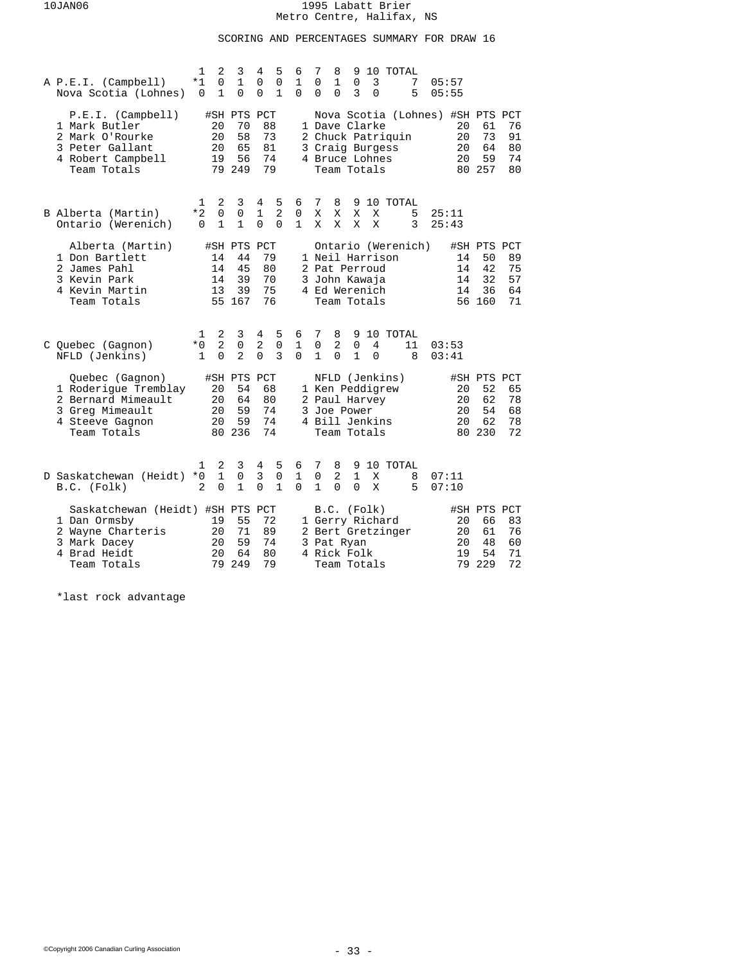## SCORING AND PERCENTAGES SUMMARY FOR DRAW 16

| A P.E.I. (Campbell)<br>Nova Scotia (Lohnes)                                                                          | 1<br>$*1$<br>0              | 2<br>$\Omega$<br>$\mathbf 1$    | 3<br>$\mathbf{1}$<br>0                        | 4<br>$\Omega$<br>0                | 5<br>$\mathbf 0$<br>1           | 6<br>$\mathbf{1}$<br>$\Omega$ | 7<br>0<br>0            | 8<br>$\mathbf{1}$<br>0 | 9<br>$\mathbf 0$<br>3                                                             | 3<br>$\Omega$ | 10 TOTAL           | 7<br>5  | 05:57<br>05:55                                           |                                               |                            |
|----------------------------------------------------------------------------------------------------------------------|-----------------------------|---------------------------------|-----------------------------------------------|-----------------------------------|---------------------------------|-------------------------------|------------------------|------------------------|-----------------------------------------------------------------------------------|---------------|--------------------|---------|----------------------------------------------------------|-----------------------------------------------|----------------------------|
| P.E.I. (Camplell)<br>1 Mark Butler<br>2 Mark O'Rourke<br>3 Peter Gallant<br>4 Robert Campbell<br>Team Totals         |                             | 20<br>20<br>20<br>19<br>79      | #SH PTS PCT<br>70<br>58<br>65<br>56<br>249    | 88<br>73<br>81<br>74<br>79        |                                 |                               |                        |                        | 1 Dave Clarke<br>3 Craig Burgess<br>4 Bruce Lohnes<br>Team Totals                 |               | 2 Chuck Patriquin  |         | Nova Scotia (Lohnes) #SH PTS PCT<br>20<br>20<br>20<br>20 | 61<br>73<br>64<br>59<br>80 257                | 76<br>91<br>80<br>74<br>80 |
| B Alberta (Martin)<br>Ontario (Werenich)                                                                             | 1<br>$*2$<br>$\Omega$       | 2<br>$\Omega$<br>$\mathbf{1}$   | 3<br>0<br>$\mathbf{1}$                        | 4<br>$\mathbf{1}$<br>$\Omega$     | 5<br>$\overline{2}$<br>$\Omega$ | 6<br>$\Omega$<br>$\mathbf{1}$ | 7<br>X<br>X            | 8<br>X<br>X            | 9<br>X<br>X                                                                       | X<br>X        | 10 TOTAL           | 5<br>3  | 25:11<br>25:43                                           |                                               |                            |
| Alberta (Martin)<br>1 Don Bartlett<br>2 James Pahl<br>3 Kevin Park<br>4 Kevin Martin<br>Team Totals                  |                             | 14<br>14<br>14<br>13            | #SH PTS PCT<br>44<br>45<br>39<br>39<br>55 167 | 79<br>80<br>70<br>75<br>76        |                                 |                               |                        |                        | 1 Neil Harrison<br>2 Pat Perroud<br>3 John Kawaja<br>4 Ed Werenich<br>Team Totals |               | Ontario (Werenich) |         | 14<br>14<br>14<br>14                                     | #SH PTS PCT<br>50<br>42<br>32<br>36<br>56 160 | 89<br>75<br>57<br>64<br>71 |
| C Quebec (Gagnon)<br>NFLD (Jenkins)                                                                                  | 1<br>$*0$<br>$\mathbf{1}$   | 2<br>$\overline{2}$<br>$\Omega$ | 3<br>0<br>$\mathfrak{D}$                      | 4<br>$\overline{2}$<br>$\Omega$   | 5<br>$\mathbf 0$<br>3           | 6<br>1<br>$\Omega$            | 7<br>0<br>$\mathbf{1}$ | 8<br>2<br>$\Omega$     | 9<br>$\mathbf 0$<br>$\mathbf{1}$                                                  | 4<br>$\Omega$ | 10 TOTAL           | 11<br>8 | 03:53<br>03:41                                           |                                               |                            |
| Quebec (Gagnon)<br>1 Roderique Tremblay<br>2 Bernard Mimeault<br>3 Greg Mimeault<br>4 Steeve Gagnon<br>Team Totals   |                             | 20<br>20<br>20<br>20            | #SH PTS<br>54<br>64<br>59<br>59<br>80 236     | PCT<br>68<br>80<br>74<br>74<br>74 |                                 |                               |                        |                        | 1 Ken Peddigrew<br>2 Paul Harvey<br>3 Joe Power<br>4 Bill Jenkins<br>Team Totals  |               | NFLD (Jenkins)     |         | 20<br>20<br>20<br>20                                     | #SH PTS PCT<br>52<br>62<br>54<br>62<br>80 230 | 65<br>78<br>68<br>78<br>72 |
| D Saskatchewan (Heidt)<br>B.C. (Folk)                                                                                | ı<br>$*0$<br>$\overline{2}$ | 2<br>$\mathbf{1}$<br>$\Omega$   | 3<br>0<br>$\mathbf{1}$                        | 4<br>3<br>$\Omega$                | 5<br>0<br>$\mathbf{1}$          | 6<br>1<br>$\Omega$            | 7<br>0<br>1            | 8<br>2<br>0            | $\mathbf{1}$<br>$\Omega$                                                          | X<br>X        | 9 10 TOTAL         | 8<br>5  | 07:11<br>07:10                                           |                                               |                            |
| Saskatchewan (Heidt) #SH PTS PCT<br>1 Dan Ormsby<br>2 Wayne Charteris<br>3 Mark Dacey<br>4 Brad Heidt<br>Team Totals |                             | 19<br>20<br>20<br>20<br>79      | 55<br>71<br>59<br>64<br>249                   | 72<br>89<br>74<br>80<br>79        |                                 |                               |                        |                        | B.C. (Folk)<br>1 Gerry Richard<br>3 Pat Ryan<br>4 Rick Folk<br>Team Totals        |               | 2 Bert Gretzinger  |         | 20<br>20<br>20<br>19<br>79                               | #SH PTS PCT<br>66<br>61<br>48<br>54<br>229    | 83<br>76<br>60<br>71<br>72 |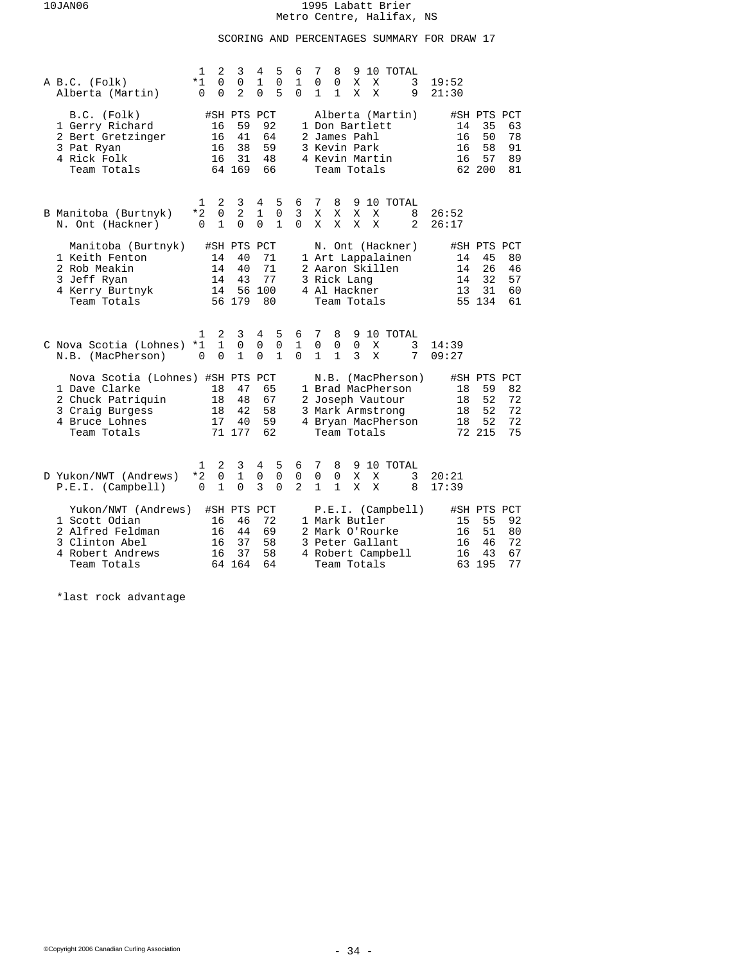# SCORING AND PERCENTAGES SUMMARY FOR DRAW 17

| A B.C. (Folk)<br>Alberta (Martin)                                                               |                                  | 1<br>*1<br>$\Omega$      | 2<br>$\Omega$<br>$\Omega$        | 3<br>$\mathbf 0$<br>$\overline{a}$            | 4<br>$\mathbf{1}$<br>$\Omega$  | 5<br>$\mathbf 0$<br>5            | 6<br>$\mathbf{1}$<br>$\Omega$ | 7<br>$\mathbf 0$<br>1                                            | 8<br>0<br>$\mathbf{1}$           | 9<br>X<br>X      | X<br>X | 10 TOTAL                                                                                             | 3<br>9 | 19:52<br>21:30 |                      |                                               |                            |
|-------------------------------------------------------------------------------------------------|----------------------------------|--------------------------|----------------------------------|-----------------------------------------------|--------------------------------|----------------------------------|-------------------------------|------------------------------------------------------------------|----------------------------------|------------------|--------|------------------------------------------------------------------------------------------------------|--------|----------------|----------------------|-----------------------------------------------|----------------------------|
| B.C. (Folk)<br>1 Gerry Richard<br>2 Bert Gretzinger<br>3 Pat Ryan<br>4 Rick Folk<br>Team Totals |                                  |                          | 16<br>16<br>16<br>16             | #SH PTS PCT<br>59<br>41<br>38<br>31<br>64 169 | 92<br>64<br>59<br>48<br>66     |                                  |                               | 1 Don Bartlett<br>2 James Pahl<br>3 Kevin Park<br>4 Kevin Martin | Team Totals                      |                  |        | Alberta (Martin)                                                                                     |        |                | 14<br>16<br>16<br>16 | #SH PTS PCT<br>35<br>50<br>58<br>57<br>62 200 | 63<br>78<br>91<br>89<br>81 |
| B Manitoba (Burtnyk)<br>N. Ont (Hackner)                                                        |                                  | 1<br>*2<br>$\Omega$      | 2<br>$\mathbf 0$<br>$\mathbf{1}$ | 3<br>2<br>$\Omega$                            | 4<br>$\mathbf{1}$<br>$\Omega$  | 5<br>0<br>$\mathbf{1}$           | 6<br>3<br>$\Omega$            | $7\phantom{.0}$<br>X<br>X                                        | 8<br>X<br>X                      | 9<br>X<br>X      | X<br>X | 10 TOTAL                                                                                             | 8<br>2 | 26:52<br>26:17 |                      |                                               |                            |
| 1 Keith Fenton<br>2 Rob Meakin<br>3 Jeff Ryan<br>4 Kerry Burtnyk<br>Team Totals                 | Manitoba (Burtnyk)               |                          | 14<br>14<br>14<br>14             | #SH PTS PCT<br>40<br>40<br>43<br>56 179       | 71<br>71<br>77<br>56 100<br>80 |                                  |                               | 2 Aaron Skillen<br>3 Rick Lang<br>4 Al Hackner                   | Team Totals                      |                  |        | N. Ont (Hackner)<br>1 Art Lappalainen                                                                |        |                | 14<br>14<br>14<br>13 | #SH PTS PCT<br>45<br>26<br>32<br>31<br>55 134 | 80<br>46<br>57<br>60<br>61 |
| C Nova Scotia (Lohnes)<br>N.B. (MacPherson)                                                     |                                  | 1<br>$*1$<br>$\mathbf 0$ | 2<br>$\mathbf{1}$<br>$\Omega$    | 3<br>$\mathbf 0$<br>$\mathbf{1}$              | 4<br>$\mathbf 0$<br>$\Omega$   | 5<br>$\mathbf 0$<br>$\mathbf{1}$ | 6<br>$\mathbf{1}$<br>$\Omega$ | 7<br>$\mathbf 0$<br>$\mathbf{1}$                                 | 8<br>$\mathsf 0$<br>$\mathbf{1}$ | $\mathbf 0$<br>3 | X<br>X | 9 10 TOTAL                                                                                           | 3<br>7 | 14:39<br>09:27 |                      |                                               |                            |
| 1 Dave Clarke<br>2 Chuck Patriquin<br>3 Craig Burgess<br>4 Bruce Lohnes<br>Team Totals          | Nova Scotia (Lohnes) #SH PTS PCT |                          | 18<br>18<br>18<br>17             | 47<br>48<br>42<br>40<br>71 177                | 65<br>67<br>58<br>59<br>62     |                                  |                               |                                                                  | Team Totals                      |                  |        | N.B. (MacPherson)<br>1 Brad MacPherson<br>2 Joseph Vautour<br>3 Mark Armstrong<br>4 Bryan MacPherson |        |                | 18<br>18<br>18<br>18 | #SH PTS PCT<br>59<br>52<br>52<br>52<br>72 215 | 82<br>72<br>72<br>72<br>75 |
| D Yukon/NWT (Andrews)<br>P.E.I. (Camplell)                                                      |                                  | 1<br>$*2$<br>$\Omega$    | 2<br>0<br>$\mathbf{1}$           | 3<br>$\mathbf 1$<br>$\Omega$                  | 4<br>0<br>3                    | 5<br>$\mathbf 0$<br>$\Omega$     | 6<br>0<br>$\overline{a}$      | 7<br>$\mathbf 0$<br>$\mathbf{1}$                                 | 8<br>$\mathsf 0$<br>$\mathbf{1}$ | X<br>X           | X<br>X | 9 10 TOTAL                                                                                           | 3<br>8 | 20:21<br>17:39 |                      |                                               |                            |
| 1 Scott Odian<br>2 Alfred Feldman<br>3 Clinton Abel<br>4 Robert Andrews<br>Team Totals          | Yukon/NWT (Andrews)              |                          | 16<br>16<br>16<br>16             | #SH PTS PCT<br>46<br>44<br>37<br>37<br>64 164 | 72<br>69<br>58<br>58<br>64     |                                  |                               | 1 Mark Butler<br>2 Mark O'Rourke<br>3 Peter Gallant              | Team Totals                      |                  |        | P.E.I. (Camplell)<br>4 Robert Campbell                                                               |        |                | 15<br>16<br>16<br>16 | #SH PTS PCT<br>55<br>51<br>46<br>43<br>63 195 | 92<br>80<br>72<br>67<br>77 |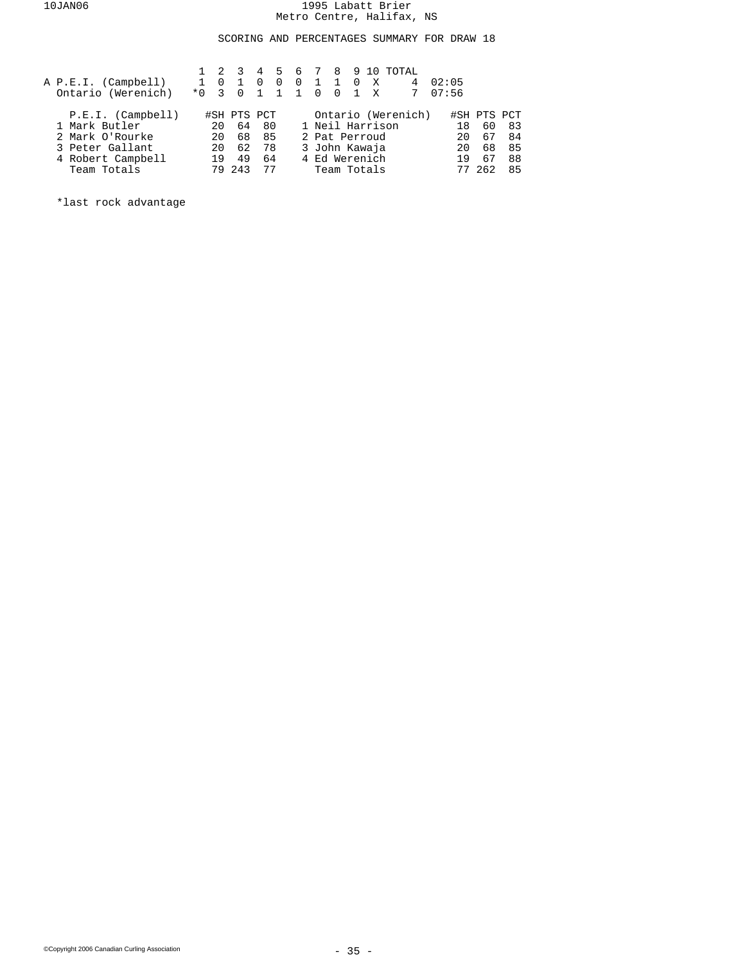## SCORING AND PERCENTAGES SUMMARY FOR DRAW 18

| A P.E.I. (Campbell)<br>Ontario (Werenich) | $*0 \t3$ | $\Omega$ | $\overline{0}$ | 4<br>$\Omega$ | 5.<br>$\Omega$ | -6<br>$0\quad 1$<br>1 1 0 | 8910<br>1 0<br>$\Omega$ | $-1$ | X<br>X          | TOTAL<br>4         | 02:05<br>07:56 |             |    |
|-------------------------------------------|----------|----------|----------------|---------------|----------------|---------------------------|-------------------------|------|-----------------|--------------------|----------------|-------------|----|
| P.E.I. (Camplell)                         |          |          | #SH PTS PCT    |               |                |                           |                         |      |                 | Ontario (Werenich) |                | #SH PTS PCT |    |
| 1 Mark Butler                             |          | 20       | 64             | 80            |                |                           |                         |      | 1 Neil Harrison |                    | 18             | 60          | 83 |
| 2 Mark O'Rourke                           |          | 20       | 68             | 85            |                |                           |                         |      | 2 Pat Perroud   |                    | 2.0            | 67          | 84 |
| 3 Peter Gallant                           |          | 20       | 62             | 78            |                |                           |                         |      | 3 John Kawaja   |                    | 20             | 68          | 85 |
| 4 Robert Campbell                         |          | 19       | 49             | 64            |                |                           |                         |      | 4 Ed Werenich   |                    | 1 Q            | 67          | 88 |
| Team Totals                               |          | 79       | 243            | 77            |                |                           |                         |      | Team Totals     |                    |                |             | 85 |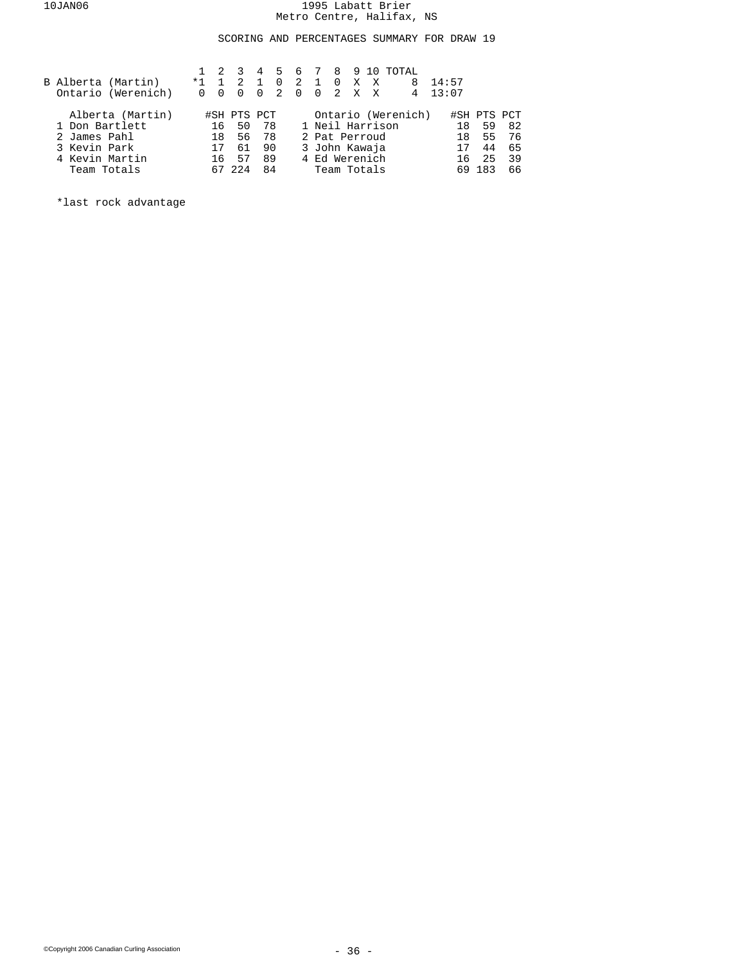## SCORING AND PERCENTAGES SUMMARY FOR DRAW 19

|                | B Alberta (Martin)<br>Ontario (Werenich) | $*1 \quad 1$<br>0 | $\overline{0}$ | $\mathcal{R}$<br>-2<br>$\Omega$ | 4<br>$\Omega$ | - 5<br>$\overline{0}$<br>$\mathcal{L}$ | 6<br>2 1 0 X X<br>$\Omega$ | $\Omega$        | 8910<br>2 X | X           | TOTAL<br>8<br>4    | 14:57<br>13:07 |     |             |
|----------------|------------------------------------------|-------------------|----------------|---------------------------------|---------------|----------------------------------------|----------------------------|-----------------|-------------|-------------|--------------------|----------------|-----|-------------|
|                | Alberta (Martin)                         |                   |                | #SH PTS PCT                     |               |                                        |                            |                 |             |             | Ontario (Werenich) |                |     | #SH PTS PCT |
| 1 Don Bartlett |                                          |                   | 16             | 50                              | -78           |                                        |                            | 1 Neil Harrison |             |             |                    | 18             | 59  | -82         |
| 2 James Pahl   |                                          |                   | 18             |                                 | 56 78         |                                        |                            | 2 Pat Perroud   |             |             |                    | 18             | 55  | 76          |
| 3 Kevin Park   |                                          |                   | 17             | 61                              | 90            |                                        |                            | 3 John Kawaja   |             |             |                    |                | 44  | 65          |
| 4 Kevin Martin |                                          |                   | 16             | 57                              | 89            |                                        |                            | 4 Ed Werenich   |             |             |                    | 16             | 25  | 39          |
| Team Totals    |                                          |                   |                |                                 | 84            |                                        |                            |                 |             | Team Totals |                    |                | 183 | 66          |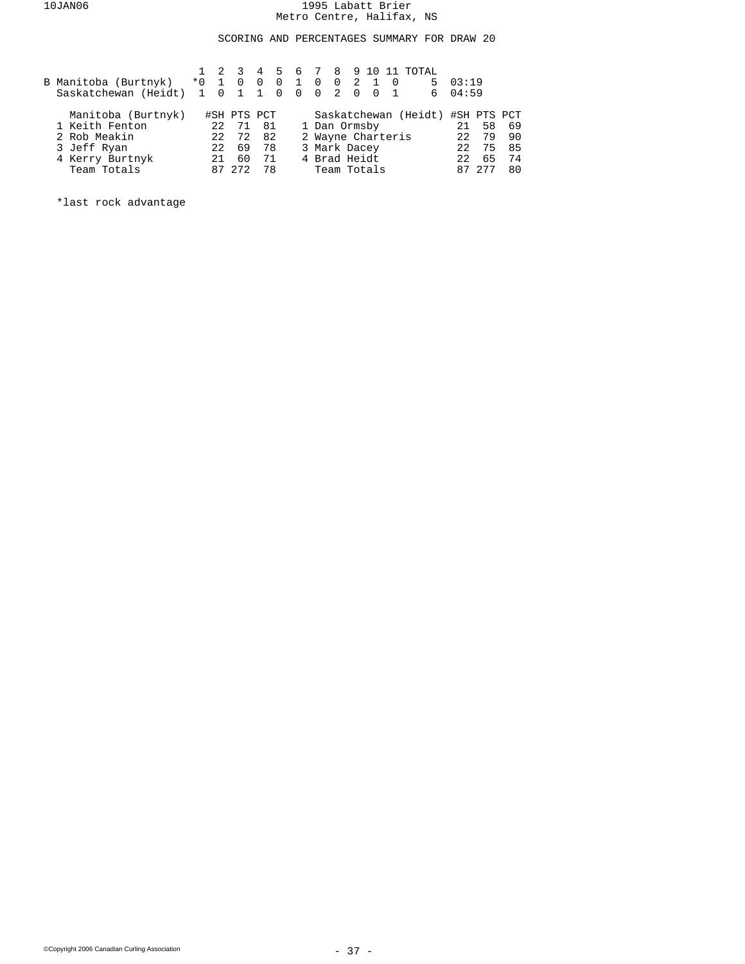SCORING AND PERCENTAGES SUMMARY FOR DRAW 20

|                      |             |     | - 3         | 4              | . 5            |                |                   |                   |                |                |          | 6 7 8 9 10 11 TOTAL              |                  |    |    |
|----------------------|-------------|-----|-------------|----------------|----------------|----------------|-------------------|-------------------|----------------|----------------|----------|----------------------------------|------------------|----|----|
| B Manitoba (Burtnyk) | $*0$        |     | 1 0         | $\overline{0}$ | $\overline{0}$ | $\mathbf{1}$   | $\overline{0}$    | $0\quad 2\quad 1$ |                |                | $\Omega$ | 5                                | 03:19            |    |    |
| Saskatchewan (Heidt) | $1 \quad 0$ |     | $\cdot$ 1   | $\overline{1}$ | $\overline{0}$ | $\overline{0}$ | $\overline{0}$    | 2                 | $\overline{0}$ | $\overline{0}$ |          | 6                                | 04:59            |    |    |
| Manitoba (Burtnyk)   |             |     | #SH PTS PCT |                |                |                |                   |                   |                |                |          | Saskatchewan (Heidt) #SH PTS PCT |                  |    |    |
| 1 Keith Fenton       |             | 22  | 71          | -81            |                |                | 1 Dan Ormsby      |                   |                |                |          |                                  | 21               | 58 | 69 |
| 2 Rob Meakin         |             | 22  | 72          | 82             |                |                | 2 Wayne Charteris |                   |                |                |          |                                  | 22               | 79 | 90 |
| 3 Jeff Ryan          |             | 22  | 69          | 78             |                |                | 3 Mark Dacey      |                   |                |                |          |                                  | 22               | 75 | 85 |
| 4 Kerry Burtnyk      |             | 2.1 | 60          | 71             |                |                | 4 Brad Heidt      |                   |                |                |          |                                  | 2.2 <sub>1</sub> | 65 | 74 |
| Team Totals          |             | 87  |             | 78             |                |                | Team Totals       |                   |                |                |          |                                  |                  |    | 80 |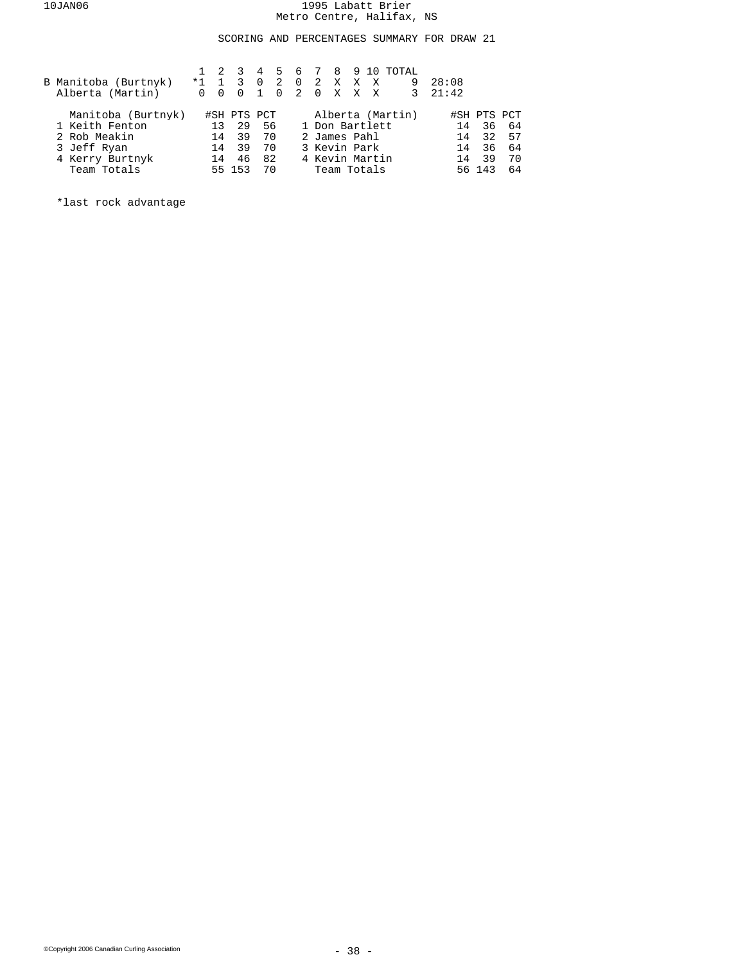## SCORING AND PERCENTAGES SUMMARY FOR DRAW 21

| B Manitoba (Burtnyk)<br>Alberta (Martin) | $*1$<br>0 | $\overline{0}$ | 2 3<br>1 3<br>$\Omega$ | $\overline{0}$ | -2<br>$\Omega$ | 0 2 X X X<br>2 0 X X X |  | 4 5 6 7 8 9 10 TOTAL<br>9 | 28:08<br>$3 \quad 21:42$ |             |    |
|------------------------------------------|-----------|----------------|------------------------|----------------|----------------|------------------------|--|---------------------------|--------------------------|-------------|----|
| Manitoba (Burtnyk)                       |           |                | #SH PTS PCT            |                |                |                        |  | Alberta (Martin)          |                          | #SH PTS PCT |    |
| 1 Keith Fenton                           |           | 13             | 29                     | 56             |                | 1 Don Bartlett         |  |                           | 14                       | 36          | 64 |
| 2 Rob Meakin                             |           | 14             | 39                     | 70             |                | 2 James Pahl           |  |                           | 14                       | 32          | 57 |
| 3 Jeff Ryan                              |           | 14             | 39                     | 70             |                | 3 Kevin Park           |  |                           | 14                       | 36          | 64 |
| 4 Kerry Burtnyk                          |           | 14             | 46                     | 82             |                | 4 Kevin Martin         |  |                           | 14                       | 39          | 70 |
| Team Totals                              |           |                | 55 153                 | 70             |                | Team Totals            |  |                           |                          | 56 143      | 64 |